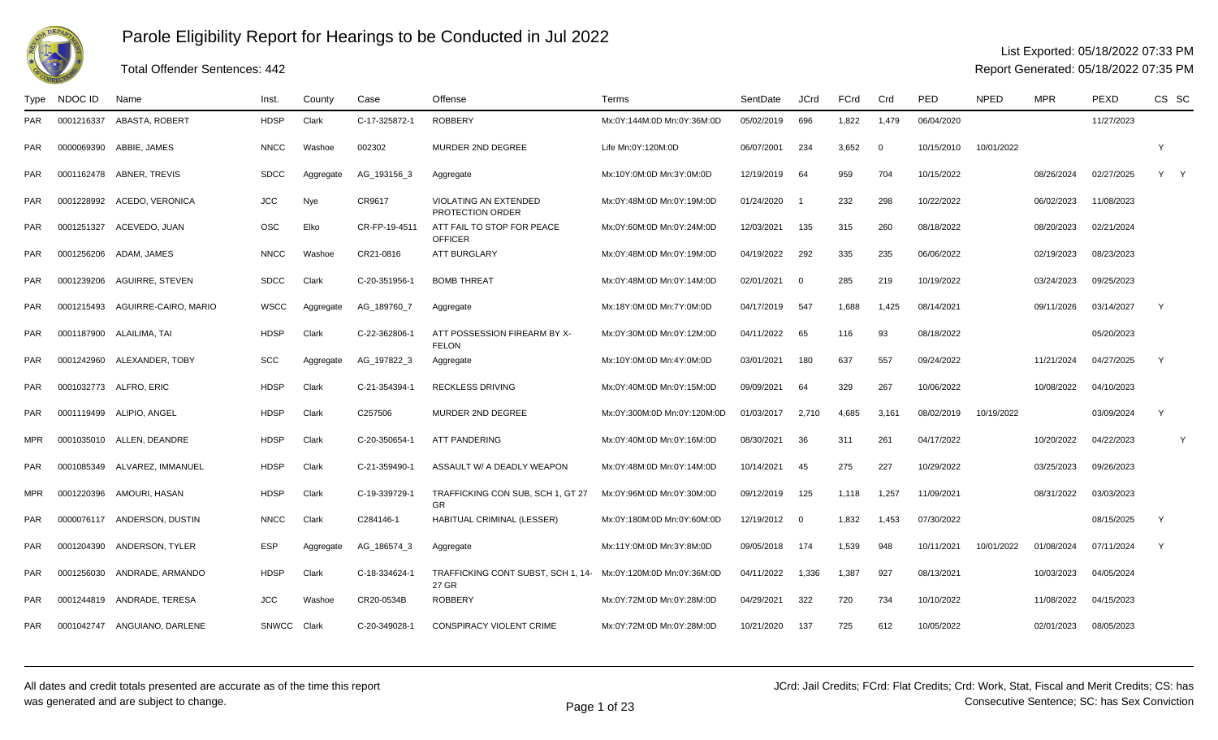

### Total Offender Sentences: 442

#### List Exported: 05/18/2022 07:33 PM

| Type       | NDOC ID    | Name                         | Inst.        | County    | Case          | Offense                                          | Terms                       | SentDate   | <b>JCrd</b>              | FCrd  | Crd            | PED        | <b>NPED</b> | <b>MPR</b> | PEXD       | CS SC |  |
|------------|------------|------------------------------|--------------|-----------|---------------|--------------------------------------------------|-----------------------------|------------|--------------------------|-------|----------------|------------|-------------|------------|------------|-------|--|
| PAR.       | 0001216337 | ABASTA, ROBERT               | <b>HDSP</b>  | Clark     | C-17-325872-1 | <b>ROBBERY</b>                                   | Mx:0Y:144M:0D Mn:0Y:36M:0D  | 05/02/2019 | 696                      | 1,822 | 1,479          | 06/04/2020 |             |            | 11/27/2023 |       |  |
| PAR.       | 0000069390 | ABBIE, JAMES                 | <b>NNCC</b>  | Washoe    | 002302        | MURDER 2ND DEGREE                                | Life Mn:0Y:120M:0D          | 06/07/2001 | 234                      | 3,652 | $\overline{0}$ | 10/15/2010 | 10/01/2022  |            |            |       |  |
| PAR        |            | 0001162478 ABNER, TREVIS     | <b>SDCC</b>  | Aggregate | AG_193156_3   | Aggregate                                        | Mx:10Y:0M:0D Mn:3Y:0M:0D    | 12/19/2019 | 64                       | 959   | 704            | 10/15/2022 |             | 08/26/2024 | 02/27/2025 | Y     |  |
| PAR        | 0001228992 | ACEDO, VERONICA              | <b>JCC</b>   | Nye       | CR9617        | <b>VIOLATING AN EXTENDED</b><br>PROTECTION ORDER | Mx:0Y:48M:0D Mn:0Y:19M:0D   | 01/24/2020 |                          | 232   | 298            | 10/22/2022 |             | 06/02/2023 | 11/08/2023 |       |  |
| <b>PAR</b> | 0001251327 | ACEVEDO, JUAN                | <b>OSC</b>   | Elko      | CR-FP-19-4511 | ATT FAIL TO STOP FOR PEACE<br><b>OFFICER</b>     | Mx:0Y:60M:0D Mn:0Y:24M:0D   | 12/03/2021 | 135                      | 315   | 260            | 08/18/2022 |             | 08/20/2023 | 02/21/2024 |       |  |
| PAR        | 0001256206 | ADAM, JAMES                  | <b>NNCC</b>  | Washoe    | CR21-0816     | <b>ATT BURGLARY</b>                              | Mx:0Y:48M:0D Mn:0Y:19M:0D   | 04/19/2022 | 292                      | 335   | 235            | 06/06/2022 |             | 02/19/2023 | 08/23/2023 |       |  |
| <b>PAR</b> | 0001239206 | <b>AGUIRRE, STEVEN</b>       | <b>SDCC</b>  | Clark     | C-20-351956-1 | <b>BOMB THREAT</b>                               | Mx:0Y:48M:0D Mn:0Y:14M:0D   | 02/01/2021 | $\Omega$                 | 285   | 219            | 10/19/2022 |             | 03/24/2023 | 09/25/2023 |       |  |
| PAR        | 0001215493 | AGUIRRE-CAIRO, MARIO         | <b>WSCC</b>  | Aggregate | AG_189760_7   | Aggregate                                        | Mx:18Y:0M:0D Mn:7Y:0M:0D    | 04/17/2019 | 547                      | 1,688 | 1,425          | 08/14/2021 |             | 09/11/2026 | 03/14/2027 | Y     |  |
| <b>PAR</b> |            | 0001187900 ALAILIMA, TAI     | <b>HDSP</b>  | Clark     | C-22-362806-1 | ATT POSSESSION FIREARM BY X-<br><b>FELON</b>     | Mx:0Y:30M:0D Mn:0Y:12M:0D   | 04/11/2022 | 65                       | 116   | 93             | 08/18/2022 |             |            | 05/20/2023 |       |  |
| PAR        | 0001242960 | ALEXANDER, TOBY              | <b>SCC</b>   | Aggregate | AG_197822_3   | Aggregate                                        | Mx:10Y:0M:0D Mn:4Y:0M:0D    | 03/01/2021 | 180                      | 637   | 557            | 09/24/2022 |             | 11/21/2024 | 04/27/2025 | Y     |  |
| PAR        | 0001032773 | ALFRO, ERIC                  | <b>HDSP</b>  | Clark     | C-21-354394-1 | <b>RECKLESS DRIVING</b>                          | Mx:0Y:40M:0D Mn:0Y:15M:0D   | 09/09/2021 | 64                       | 329   | 267            | 10/06/2022 |             | 10/08/2022 | 04/10/2023 |       |  |
| <b>PAR</b> | 0001119499 | ALIPIO, ANGEL                | <b>HDSP</b>  | Clark     | C257506       | MURDER 2ND DEGREE                                | Mx:0Y:300M:0D Mn:0Y:120M:0D | 01/03/2017 | 2,710                    | 4.685 | 3,161          | 08/02/2019 | 10/19/2022  |            | 03/09/2024 | Y     |  |
| <b>MPR</b> |            | 0001035010 ALLEN, DEANDRE    | <b>HDSP</b>  | Clark     | C-20-350654-1 | <b>ATT PANDERING</b>                             | Mx:0Y:40M:0D Mn:0Y:16M:0D   | 08/30/2021 | 36                       | 311   | 261            | 04/17/2022 |             | 10/20/2022 | 04/22/2023 |       |  |
| PAR        | 0001085349 | ALVAREZ. IMMANUEL            | <b>HDSP</b>  | Clark     | C-21-359490-1 | ASSAULT W/ A DEADLY WEAPON                       | Mx:0Y:48M:0D Mn:0Y:14M:0D   | 10/14/2021 | 45                       | 275   | 227            | 10/29/2022 |             | 03/25/2023 | 09/26/2023 |       |  |
| MPR        | 0001220396 | AMOURI, HASAN                | <b>HDSP</b>  | Clark     | C-19-339729-1 | TRAFFICKING CON SUB, SCH 1, GT 27<br><b>GR</b>   | Mx:0Y:96M:0D Mn:0Y:30M:0D   | 09/12/2019 | 125                      | 1,118 | 1,257          | 11/09/2021 |             | 08/31/2022 | 03/03/2023 |       |  |
| PAR        |            | 0000076117 ANDERSON, DUSTIN  | <b>NNCC</b>  | Clark     | C284146-1     | HABITUAL CRIMINAL (LESSER)                       | Mx:0Y:180M:0D Mn:0Y:60M:0D  | 12/19/2012 | $\overline{\phantom{0}}$ | 1,832 | 1,453          | 07/30/2022 |             |            | 08/15/2025 | Y     |  |
| PAR        | 0001204390 | ANDERSON, TYLER              | <b>ESP</b>   | Aggregate | AG_186574_3   | Aggregate                                        | Mx:11Y:0M:0D Mn:3Y:8M:0D    | 09/05/2018 | 174                      | 1,539 | 948            | 10/11/2021 | 10/01/2022  | 01/08/2024 | 07/11/2024 | Y     |  |
| PAR.       | 0001256030 | ANDRADE, ARMANDO             | <b>HDSP</b>  | Clark     | C-18-334624-1 | TRAFFICKING CONT SUBST, SCH 1, 14-<br>27 GR      | Mx:0Y:120M:0D Mn:0Y:36M:0D  | 04/11/2022 | 1,336                    | 1.387 | 927            | 08/13/2021 |             | 10/03/2023 | 04/05/2024 |       |  |
| PAR        | 0001244819 | ANDRADE, TERESA              | <b>JCC</b>   | Washoe    | CR20-0534B    | <b>ROBBERY</b>                                   | Mx:0Y:72M:0D Mn:0Y:28M:0D   | 04/29/2021 | 322                      | 720   | 734            | 10/10/2022 |             | 11/08/2022 | 04/15/2023 |       |  |
| <b>PAR</b> |            | 0001042747 ANGUIANO, DARLENE | <b>SNWCC</b> | Clark     | C-20-349028-1 | <b>CONSPIRACY VIOLENT CRIME</b>                  | Mx:0Y:72M:0D Mn:0Y:28M:0D   | 10/21/2020 | 137                      | 725   | 612            | 10/05/2022 |             | 02/01/2023 | 08/05/2023 |       |  |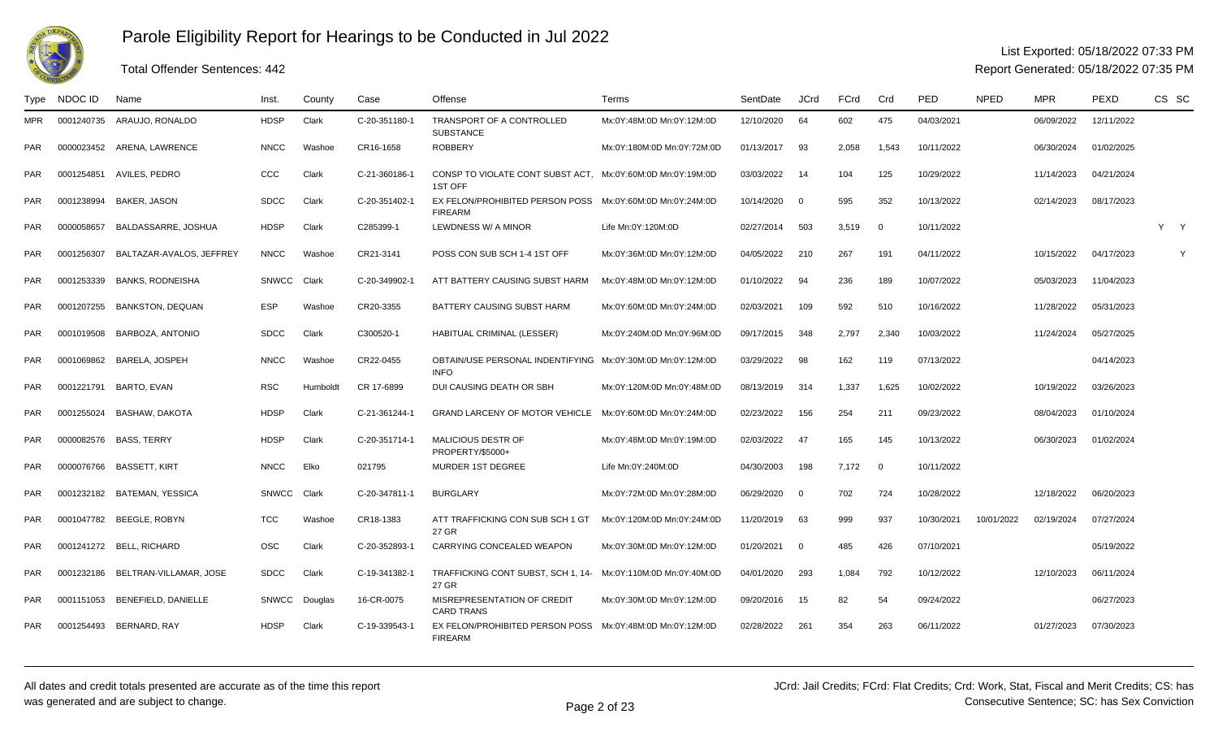

#### List Exported: 05/18/2022 07:33 PM

Report Generated: 05/18/2022 07:35 PM

#### Type NDOC IDD Name Ninst. County Case Offense New Terms Network SentDate JCrd FCrd Crd PED NPED MPR PEXD CS SC MPR <sup>0001240735</sup> ARAUJO, RONALDO HDSP Clark C-20-351180-1 TRANSPORT OF A CONTROLLED **SUBSTANCE** Mx:0Y:48M:0D Mn:0Y:12M:0D 12/10/2020 <sup>64</sup> <sup>602</sup> <sup>475</sup> 04/03/2021 06/09/2022 12/11/2022 PAR <sup>0000023452</sup> ARENA, LAWRENCE NNCC Washoe CR16-1658 ROBBERY Mx:0Y:180M:0D Mn:0Y:72M:0D 01/13/2017 <sup>93</sup> 2,058 1,543 10/11/2022 06/30/2024 01/02/2025 PAR <sup>0001254851</sup> AVILES, PEDRO CCC Clark C-21-360186-1 CONSP TO VIOLATE CONT SUBST ACT, Mx:0Y:60M:0D Mn:0Y:19M:0D1ST OFFR 0001238994 BAKER, JASON SDCC Clark C-20-351402-1 EX FELON/PROHIBITED PERSON POSS 03/03/2022 <sup>14</sup> <sup>104</sup> <sup>125</sup> 10/29/2022 11/14/2023 04/21/2024 PARFIREARMLEWDNESS W/ A MINOR Mx:0Y:60M:0D Mn:0Y:24M:0D 10/14/2020 <sup>0</sup> <sup>595</sup> <sup>352</sup> 10/13/2022 02/14/2023 08/17/2023 PAR <sup>0000058657</sup> BALDASSARRE, JOSHUA HDSP Clark C285399-1 LEWDNESS W/ A MINOR Life Mn:0Y:120M:0D 02/27/2014 <sup>503</sup> 3,519 <sup>0</sup> 10/11/2022 <sup>Y</sup> <sup>Y</sup> PARR 0001256307 BALTAZAR-AVALOS, JEFFREY NNCC Washoe CR21-3141 POSS CON SUB SCH 1-4 1ST OFF Mx:0Y:36M:0D Mn:0Y:12M:0D 04/05/2022 210 267 191 04/11/2022 10/15/2022 04/17/2023 Y PAR <sup>0001253339</sup> BANKS, RODNEISHA SNWCC Clark C-20-349902-1 ATT BATTERY CAUSING SUBST HARM Mx:0Y:48M:0D Mn:0Y:12M:0D 01/10/2022 <sup>94</sup> <sup>236</sup> <sup>189</sup> 10/07/2022 05/03/2023 11/04/2023 PAR <sup>0001207255</sup> BANKSTON, DEQUAN ESP Washoe CR20-3355 BATTERY CAUSING SUBST HARM Mx:0Y:60M:0D Mn:0Y:24M:0D 02/03/2021 <sup>109</sup> <sup>592</sup> <sup>510</sup> 10/16/2022 11/28/2022 05/31/2023 PAR <sup>0001019508</sup> BARBOZA, ANTONIO SDCC Clark C300520-1 HABITUAL CRIMINAL (LESSER) Mx:0Y:240M:0D Mn:0Y:96M:0D 09/17/2015 <sup>348</sup> 2,797 2,340 10/03/2022 11/24/2024 05/27/2025 PAR <sup>0001069862</sup> BARELA, JOSPEH NNCC Washoe CR22-0455 OBTAIN/USE PERSONAL INDENTIFYINGMx:0Y:30M:0D Mn:0Y:12M:0DINFODUI CAUSING DEATH OR SBH 03/29/2022 <sup>98</sup> <sup>162</sup> <sup>119</sup> 07/13/2022 04/14/2023 PAR <sup>0001221791</sup> BARTO, EVAN RSC Humboldt CR 17-6899 DUI CAUSING DEATH OR SBH Mx:0Y:120M:0D Mn:0Y:48M:0D 08/13/2019 <sup>314</sup> 1,337 1,625 10/02/2022 10/19/2022 03/26/2023 PAR <sup>0001255024</sup> BASHAW, DAKOTA HDSP Clark C-21-361244-1 GRAND LARCENY OF MOTOR VEHICLE Mx:0Y:60M:0D Mn:0Y:24M:0D 02/23/2022 <sup>156</sup> <sup>254</sup> <sup>211</sup> 09/23/2022 08/04/2023 01/10/2024 PAR <sup>0000082576</sup> BASS, TERRY HDSP Clark C-20-351714-1 MALICIOUS DESTR OF PROPERTY/\$5000+Mx:0Y:48M:0D Mn:0Y:19M:0D 02/03/2022 <sup>47</sup> <sup>165</sup> <sup>145</sup> 10/13/2022 06/30/2023 01/02/2024 PAR <sup>0000076766</sup> BASSETT, KIRT NNCC Elko <sup>021795</sup> MURDER 1ST DEGREE Life Mn:0Y:240M:0D 04/30/2003 <sup>198</sup> 7,172 <sup>0</sup> 10/11/2022 PARR 0001232182 BATEMAN, YESSICA SNWCC Clark C-20-347811-1 BURGLARY Mx:0Y:72M:0D Mn:0Y:28M:0D 06/29/2020 0 702 724 10/28/2022 12/18/2022 06/20/2023 PAR <sup>0001047782</sup> BEEGLE, ROBYN TCC Washoe CR18-1383 ATT TRAFFICKING CON SUB SCH 1 GT 27 GRCARRYING CONCEALED WEAPON Mx:0Y:120M:0D Mn:0Y:24M:0D 11/20/2019 <sup>63</sup> <sup>999</sup> <sup>937</sup> 10/30/2021 10/01/2022 02/19/2024 07/27/2024 PAR <sup>0001241272</sup> BELL, RICHARD OSC Clark C-20-352893-1 CARRYING CONCEALED WEAPON Mx:0Y:30M:0D Mn:0Y:12M:0D 01/20/2021 <sup>0</sup> <sup>485</sup> <sup>426</sup> 07/10/2021 05/19/2022 PAR0001232186 BELTRAN-VILLAMAR, JOSE SDCC Clark C-19-341382-1 TRAFFICKING CONT SUBST, SCH 1, 14-27 GRR 0001151053 BENEFIELD, DANIELLE SNWCC Douglas 16-CR-0075 MISREPRESENTATION OF CREDIT Mx:0Y:110M:0D Mn:0Y:40M:0D 04/01/2020 <sup>293</sup> 1,084 <sup>792</sup> 10/12/2022 12/10/2023 06/11/2024 PARCARD TRANS <sup>0001254493</sup> BERNARD, RAY HDSP Clark C-19-339543-1 EX FELON/PROHIBITED PERSON POSS Mx:0Y:48M:0D Mn:0Y:12M:0DMx:0Y:30M:0D Mn:0Y:12M:0D 09/20/2016 <sup>15</sup> <sup>82</sup> <sup>54</sup> 09/24/2022 06/27/2023 PARFIREARM02/28/2022 <sup>261</sup> <sup>354</sup> <sup>263</sup> 06/11/2022 01/27/2023 07/30/2023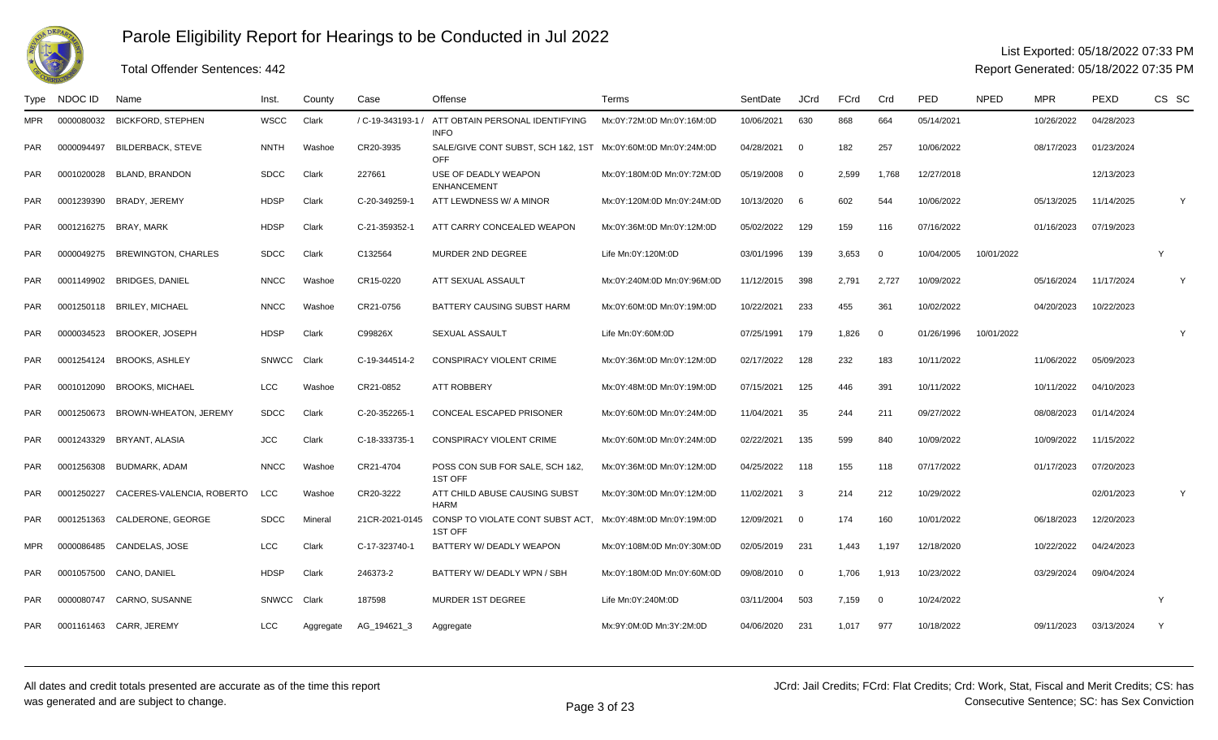

PAR

PAR

# Parole Eligibility Report for Hearings to be Conducted in Jul 2022

#### List Exported: 05/18/2022 07:33 PM

Report Generated: 05/18/2022 07:35 PM

#### Type NDOC IDD Name Ninst. County Case Offense New Terms Network SentDate JCrd FCrd Crd PED NPED MPR PEXD CS SC MPR <sup>0000080032</sup> BICKFORD, STEPHEN WSCC Clark / C-19-343193-1 / ATT OBTAIN PERSONAL IDENTIFYINGINFOR 0000094497 BILDERBACK, STEVE NNTH Washoe CR20-3935 SALE/GIVE CONT SUBST, SCH 1&2, 1ST Mx:0Y:72M:0D Mn:0Y:16M:0D 10/06/2021 <sup>630</sup> <sup>868</sup> <sup>664</sup> 05/14/2021 10/26/2022 04/28/2023 PAROFFMx:0Y:60M:0D Mn:0Y:24M:0D 04/28/2021 <sup>0</sup> <sup>182</sup> <sup>257</sup> 10/06/2022 08/17/2023 01/23/2024 PAR <sup>0001020028</sup> BLAND, BRANDON SDCC Clark <sup>227661</sup> USE OF DEADLY WEAPON ENHANCEMENTATT LEWDNESS W/ A MINOR Mx:0Y:180M:0D Mn:0Y:72M:0D 05/19/2008 <sup>0</sup> 2,599 1,768 12/27/2018 12/13/2023 PARR 0001239390 BRADY, JEREMY HDSP Clark C-20-349259-1 ATT LEWDNESS W/A MINOR Mx:0Y:120M:0D Mn:0Y:24M:0D 10/13/2020 6 602 544 10/06/2022 05/13/2025 11/14/2025 Y PAR <sup>0001216275</sup> BRAY, MARK HDSP Clark C-21-359352-1 ATT CARRY CONCEALED WEAPON Mx:0Y:36M:0D Mn:0Y:12M:0D 05/02/2022 <sup>129</sup> <sup>159</sup> <sup>116</sup> 07/16/2022 01/16/2023 07/19/2023 PARR 0000049275 BREWINGTON, CHARLES SDCC Clark C132564 MURDER 2ND DEGREE Life Mn:0Y:120M:0D 03/01/1996 139 3,653 0 10/04/2005 10/01/2022 PARR 0001149902 BRIDGES, DANIEL MNCC Washoe CR15-0220 ATT SEXUAL ASSAULT Mx:0Y:240M:0D Mn:0Y:96M:0D 11/12/2015 398 2,791 2,727 10/09/2022 65/16/2024 11/17/2024 Y PAR0001250118 BRILEY, MICHAEL NNCC Washoe CR21-0756 BATTERY CAUSING SUBST HARM Mx:0Y:60M:0D Mn:0Y:19M:0D 10/22/2021 <sup>233</sup> <sup>455</sup> <sup>361</sup> 10/02/2022 04/20/2023 10/22/2023 PARR 0000034523 BROOKER, JOSEPH HDSP Clark C99826X SEXUAL ASSAULT Life Mn:0Y:60M:0D 07/25/1991 179 1,826 0 01/26/1996 10/01/2022 Y PARR 0001254124 BROOKS, ASHLEY SNWCC Clark C-19-344514-2 CONSPIRACY VIOLENT CRIME Mx:0Y:36M:0D Mn:0Y:12M:0D 02/17/2022 128 232 183 10/11/2022 11/06/2022 05/09/2023 PAR <sup>0001012090</sup> BROOKS, MICHAEL LCC Washoe CR21-0852 ATT ROBBERY Mx:0Y:48M:0D Mn:0Y:19M:0D 07/15/2021 <sup>125</sup> <sup>446</sup> <sup>391</sup> 10/11/2022 10/11/2022 04/10/2023 PARR 0001250673 BROWN-WHEATON, JEREMY SDCC Clark C-20-352265-1 CONCEAL ESCAPED PRISONER Mx:0Y:60M:0D Mn:0Y:24M:0D 11/04/2021 35 244 211 09/27/2022 08/08/2023 01/14/2024 PARR 0001243329 BRYANT, ALASIA JCC Clark C-18-333735-1 CONSPIRACY VIOLENT CRIME Mx:0Y:60M:0D Mn:0Y:24M:0D 02/22/2021 135 599 840 10/09/2022 10/09/2022 PAR <sup>0001256308</sup> BUDMARK, ADAM NNCC Washoe CR21-4704 POSS CON SUB FOR SALE, SCH 1&2, 1ST OFFO LCC Washoe CR20-3222 ATT CHILD ABUSE CAUSING SUBST Mx:0Y:36M:0D Mn:0Y:12M:0D 04/25/2022 <sup>118</sup> <sup>155</sup> <sup>118</sup> 07/17/2022 01/17/2023 07/20/2023 PAR <sup>0001250227</sup> CACERES-VALENCIA, ROBERTOHARMR 0001251363 CALDERONE, GEORGE SDCC Mineral 21CR-2021-0145 CONSP TO VIOLATE CONT SUBST ACT, Mx:0Y:30M:0D Mn:0Y:12M:0D 11/02/2021 <sup>3</sup> <sup>214</sup> <sup>212</sup> 10/29/2022 02/01/2023 <sup>Y</sup> PAR1ST OFFBATTERY W/ DEADLY WEAPON Mx:0Y:48M:0D Mn:0Y:19M:0D 12/09/2021 <sup>0</sup> <sup>174</sup> <sup>160</sup> 10/01/2022 06/18/2023 12/20/2023 MPRR 0000086485 CANDELAS, JOSE LCC Clark C-17-323740-1 BATTERY W/DEADLY WEAPON Mx:0Y:108M:0D Mn:0Y:30M:0D 02/05/2019 231 1,443 1,197 12/18/2020 10/22/2022 04/24/2023 PAR<sup>0001057500</sup> CANO, DANIEL HDSP Clark 246373-2 BATTERY W/ DEADLY WPN / SBH Mx:0Y:180M:0D Mn:0Y:60M:0D 09/08/2010 <sup>0</sup> 1,706 1,913 10/23/2022 03/29/2024 09/04/2024

Total Offender Sentences: 442

R 0000080747 CARNO, SUSANNE SNWCC Clark 187598 MURDER 1ST DEGREE Life Mn:0Y:240M:0D 03/11/2004 503 7,159 0 10/24/2022

R 0001161463 CARR, JEREMY LCC Aggregate AG\_194621\_3 Aggregate Mx:9Y:0M:0D Mn:3Y:2M:0D 04/06/2020 231 1,017 977 10/18/2022 09/11/2023 03/13/2024 Y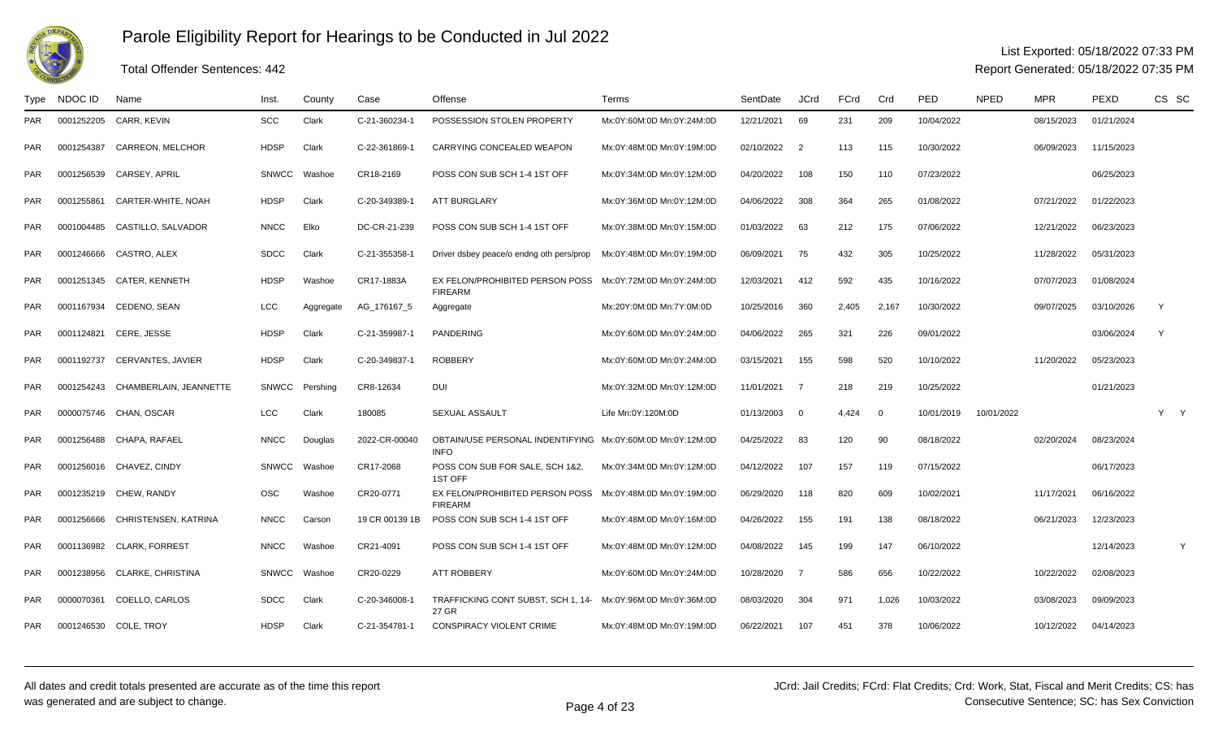

### Total Offender Sentences: 442

#### List Exported: 05/18/2022 07:33 PM

| Type       | NDOC ID    | Name                      | Inst.        | County    | Case           | Offense                                                                   | Terms                     | SentDate   | <b>JCrd</b>    | <b>FCrd</b> | Crd            | <b>PED</b> | <b>NPED</b> | <b>MPR</b> | PEXD       | CS SC |
|------------|------------|---------------------------|--------------|-----------|----------------|---------------------------------------------------------------------------|---------------------------|------------|----------------|-------------|----------------|------------|-------------|------------|------------|-------|
| <b>PAR</b> | 0001252205 | CARR, KEVIN               | <b>SCC</b>   | Clark     | C-21-360234-   | POSSESSION STOLEN PROPERTY                                                | Mx:0Y:60M:0D Mn:0Y:24M:0D | 12/21/2021 | 69             | 231         | 209            | 10/04/2022 |             | 08/15/2023 | 01/21/2024 |       |
| <b>PAR</b> | 0001254387 | CARREON, MELCHOR          | <b>HDSP</b>  | Clark     | C-22-361869-   | CARRYING CONCEALED WEAPON                                                 | Mx:0Y:48M:0D Mn:0Y:19M:0D | 02/10/2022 | $\overline{2}$ | 113         | 115            | 10/30/2022 |             | 06/09/2023 | 11/15/2023 |       |
| <b>PAR</b> | 0001256539 | CARSEY, APRIL             | <b>SNWCC</b> | Washoe    | CR18-2169      | POSS CON SUB SCH 1-4 1ST OFF                                              | Mx:0Y:34M:0D Mn:0Y:12M:0D | 04/20/2022 | 108            | 150         | 110            | 07/23/2022 |             |            | 06/25/2023 |       |
| <b>PAR</b> | 0001255861 | CARTER-WHITE, NOAH        | <b>HDSP</b>  | Clark     | C-20-349389-   | <b>ATT BURGLARY</b>                                                       | Mx:0Y:36M:0D Mn:0Y:12M:0D | 04/06/2022 | 308            | 364         | 265            | 01/08/2022 |             | 07/21/2022 | 01/22/2023 |       |
| <b>PAR</b> | 0001004485 | CASTILLO, SALVADOR        | <b>NNCC</b>  | Elko      | DC-CR-21-239   | POSS CON SUB SCH 1-4 1ST OFF                                              | Mx:0Y:38M:0D Mn:0Y:15M:0D | 01/03/2022 | 63             | 212         | 175            | 07/06/2022 |             | 12/21/2022 | 06/23/2023 |       |
| <b>PAR</b> | 0001246666 | CASTRO, ALEX              | <b>SDCC</b>  | Clark     | C-21-355358-   | Driver dsbey peace/o endng oth pers/prop                                  | Mx:0Y:48M:0D Mn:0Y:19M:0D | 06/09/2021 | 75             | 432         | 305            | 10/25/2022 |             | 11/28/2022 | 05/31/2023 |       |
| <b>PAR</b> | 0001251345 | CATER, KENNETH            | <b>HDSP</b>  | Washoe    | CR17-1883A     | EX FELON/PROHIBITED PERSON POSS<br><b>FIREARM</b>                         | Mx:0Y:72M:0D Mn:0Y:24M:0D | 12/03/2021 | 412            | 592         | 435            | 10/16/2022 |             | 07/07/2023 | 01/08/2024 |       |
| <b>PAR</b> | 0001167934 | CEDENO, SEAN              | <b>LCC</b>   | Aggregate | AG_176167_5    | Aggregate                                                                 | Mx:20Y:0M:0D Mn:7Y:0M:0D  | 10/25/2016 | 360            | 2,405       | 2,167          | 10/30/2022 |             | 09/07/2025 | 03/10/2026 | Y     |
| <b>PAR</b> |            | 0001124821 CERE, JESSE    | <b>HDSP</b>  | Clark     | C-21-359987-1  | <b>PANDERING</b>                                                          | Mx:0Y:60M:0D Mn:0Y:24M:0D | 04/06/2022 | 265            | 321         | 226            | 09/01/2022 |             |            | 03/06/2024 | Y     |
| <b>PAR</b> | 0001192737 | <b>CERVANTES, JAVIER</b>  | <b>HDSP</b>  | Clark     | C-20-349837-   | <b>ROBBERY</b>                                                            | Mx:0Y:60M:0D Mn:0Y:24M:0D | 03/15/2021 | 155            | 598         | 520            | 10/10/2022 |             | 11/20/2022 | 05/23/2023 |       |
| <b>PAR</b> | 0001254243 | CHAMBERLAIN, JEANNETTE    | <b>SNWCC</b> | Pershing  | CR8-12634      | <b>DUI</b>                                                                | Mx:0Y:32M:0D Mn:0Y:12M:0D | 11/01/2021 | $\overline{7}$ | 218         | 219            | 10/25/2022 |             |            | 01/21/2023 |       |
| <b>PAR</b> | 0000075746 | CHAN, OSCAR               | LCC          | Clark     | 180085         | <b>SEXUAL ASSAULT</b>                                                     | Life Mn:0Y:120M:0D        | 01/13/2003 | $\Omega$       | 4.424       | $\overline{0}$ | 10/01/2019 | 10/01/2022  |            |            | Y Y   |
| <b>PAR</b> | 0001256488 | CHAPA. RAFAEL             | <b>NNCC</b>  | Douglas   | 2022-CR-00040  | OBTAIN/USE PERSONAL INDENTIFYING Mx:0Y:60M:0D Mn:0Y:12M:0D<br><b>INFO</b> |                           | 04/25/2022 | 83             | 120         | 90             | 08/18/2022 |             | 02/20/2024 | 08/23/2024 |       |
| <b>PAR</b> |            | 0001256016 CHAVEZ, CINDY  | <b>SNWCC</b> | Washoe    | CR17-2068      | POSS CON SUB FOR SALE, SCH 1&2.<br>1ST OFF                                | Mx:0Y:34M:0D Mn:0Y:12M:0D | 04/12/2022 | 107            | 157         | 119            | 07/15/2022 |             |            | 06/17/2023 |       |
| <b>PAR</b> |            | 0001235219 CHEW, RANDY    | <b>OSC</b>   | Washoe    | CR20-0771      | EX FELON/PROHIBITED PERSON POSS<br><b>FIREARM</b>                         | Mx:0Y:48M:0D Mn:0Y:19M:0D | 06/29/2020 | 118            | 820         | 609            | 10/02/2021 |             | 11/17/2021 | 06/16/2022 |       |
| <b>PAR</b> | 0001256666 | CHRISTENSEN, KATRINA      | <b>NNCC</b>  | Carson    | 19 CR 00139 1B | POSS CON SUB SCH 1-4 1ST OFF                                              | Mx:0Y:48M:0D Mn:0Y:16M:0D | 04/26/2022 | 155            | 191         | 138            | 08/18/2022 |             | 06/21/2023 | 12/23/2023 |       |
| <b>PAR</b> |            | 0001136982 CLARK, FORREST | <b>NNCC</b>  | Washoe    | CR21-4091      | POSS CON SUB SCH 1-4 1ST OFF                                              | Mx:0Y:48M:0D Mn:0Y:12M:0D | 04/08/2022 | 145            | 199         | 147            | 06/10/2022 |             |            | 12/14/2023 | Y     |
| <b>PAR</b> | 0001238956 | CLARKE, CHRISTINA         | <b>SNWCC</b> | Washoe    | CR20-0229      | <b>ATT ROBBERY</b>                                                        | Mx:0Y:60M:0D Mn:0Y:24M:0D | 10/28/2020 | - 7            | 586         | 656            | 10/22/2022 |             | 10/22/2022 | 02/08/2023 |       |
| <b>PAR</b> | 0000070361 | COELLO, CARLOS            | <b>SDCC</b>  | Clark     | C-20-346008-1  | TRAFFICKING CONT SUBST, SCH 1, 14-<br>27 GR                               | Mx:0Y:96M:0D Mn:0Y:36M:0D | 08/03/2020 | 304            | 971         | 1,026          | 10/03/2022 |             | 03/08/2023 | 09/09/2023 |       |
| <b>PAR</b> |            | 0001246530 COLE, TROY     | <b>HDSP</b>  | Clark     | C-21-354781-1  | CONSPIRACY VIOLENT CRIME                                                  | Mx:0Y:48M:0D Mn:0Y:19M:0D | 06/22/2021 | 107            | 451         | 378            | 10/06/2022 |             | 10/12/2022 | 04/14/2023 |       |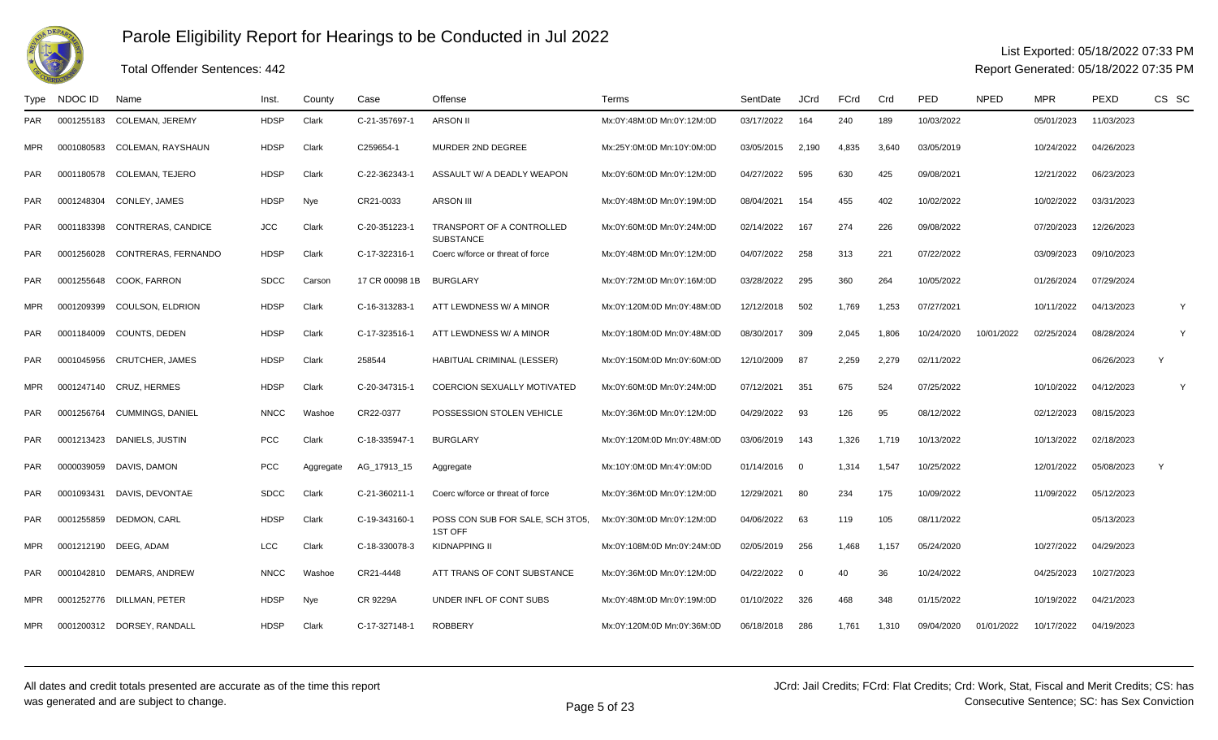

### Total Offender Sentences: 442

#### List Exported: 05/18/2022 07:33 PM

| Type       | NDOC ID    | Name                       | Inst.       | County    | Case            | Offense                                       | Terms                      | SentDate   | <b>JCrd</b>             | FCrd  | Crd   | PED        | <b>NPED</b> | <b>MPR</b> | PEXD       | CS SC |
|------------|------------|----------------------------|-------------|-----------|-----------------|-----------------------------------------------|----------------------------|------------|-------------------------|-------|-------|------------|-------------|------------|------------|-------|
| <b>PAR</b> | 0001255183 | <b>COLEMAN, JEREMY</b>     | HDSP        | Clark     | C-21-357697-1   | <b>ARSON II</b>                               | Mx:0Y:48M:0D Mn:0Y:12M:0D  | 03/17/2022 | 164                     | 240   | 189   | 10/03/2022 |             | 05/01/2023 | 11/03/2023 |       |
| <b>MPR</b> | 0001080583 | COLEMAN, RAYSHAUN          | HDSP        | Clark     | C259654-1       | MURDER 2ND DEGREE                             | Mx:25Y:0M:0D Mn:10Y:0M:0D  | 03/05/2015 | 2,190                   | 4,835 | 3,640 | 03/05/2019 |             | 10/24/2022 | 04/26/2023 |       |
| <b>PAR</b> | 0001180578 | COLEMAN, TEJERO            | <b>HDSP</b> | Clark     | C-22-362343-1   | ASSAULT W/ A DEADLY WEAPON                    | Mx:0Y:60M:0D Mn:0Y:12M:0D  | 04/27/2022 | 595                     | 630   | 425   | 09/08/2021 |             | 12/21/2022 | 06/23/2023 |       |
| <b>PAR</b> | 0001248304 | CONLEY, JAMES              | HDSP        | Nye       | CR21-0033       | <b>ARSON III</b>                              | Mx:0Y:48M:0D Mn:0Y:19M:0D  | 08/04/2021 | 154                     | 455   | 402   | 10/02/2022 |             | 10/02/2022 | 03/31/2023 |       |
| <b>PAR</b> | 0001183398 | <b>CONTRERAS, CANDICE</b>  | <b>JCC</b>  | Clark     | C-20-351223-1   | TRANSPORT OF A CONTROLLED<br><b>SUBSTANCE</b> | Mx:0Y:60M:0D Mn:0Y:24M:0D  | 02/14/2022 | 167                     | 274   | 226   | 09/08/2022 |             | 07/20/2023 | 12/26/2023 |       |
| <b>PAR</b> | 0001256028 | CONTRERAS, FERNANDO        | <b>HDSP</b> | Clark     | C-17-322316-1   | Coerc w/force or threat of force              | Mx:0Y:48M:0D Mn:0Y:12M:0D  | 04/07/2022 | 258                     | 313   | 221   | 07/22/2022 |             | 03/09/2023 | 09/10/2023 |       |
| <b>PAR</b> | 0001255648 | COOK. FARRON               | <b>SDCC</b> | Carson    | 17 CR 00098 1B  | <b>BURGLARY</b>                               | Mx:0Y:72M:0D Mn:0Y:16M:0D  | 03/28/2022 | 295                     | 360   | 264   | 10/05/2022 |             | 01/26/2024 | 07/29/2024 |       |
| <b>MPR</b> | 0001209399 | <b>COULSON, ELDRION</b>    | <b>HDSP</b> | Clark     | C-16-313283-1   | ATT LEWDNESS W/ A MINOR                       | Mx:0Y:120M:0D Mn:0Y:48M:0D | 12/12/2018 | 502                     | 1,769 | 1,253 | 07/27/2021 |             | 10/11/2022 | 04/13/2023 | Y     |
| <b>PAR</b> |            | 0001184009 COUNTS, DEDEN   | <b>HDSP</b> | Clark     | C-17-323516-1   | ATT LEWDNESS W/ A MINOR                       | Mx:0Y:180M:0D Mn:0Y:48M:0D | 08/30/2017 | 309                     | 2.045 | 1.806 | 10/24/2020 | 10/01/2022  | 02/25/2024 | 08/28/2024 | Y     |
| <b>PAR</b> | 0001045956 | <b>CRUTCHER, JAMES</b>     | <b>HDSP</b> | Clark     | 258544          | HABITUAL CRIMINAL (LESSER)                    | Mx:0Y:150M:0D Mn:0Y:60M:0D | 12/10/2009 | 87                      | 2,259 | 2,279 | 02/11/2022 |             |            | 06/26/2023 | Y     |
| <b>MPR</b> | 0001247140 | CRUZ, HERMES               | <b>HDSP</b> | Clark     | C-20-347315-1   | <b>COERCION SEXUALLY MOTIVATED</b>            | Mx:0Y:60M:0D Mn:0Y:24M:0D  | 07/12/2021 | 351                     | 675   | 524   | 07/25/2022 |             | 10/10/2022 | 04/12/2023 | Y     |
| <b>PAR</b> | 0001256764 | <b>CUMMINGS, DANIEL</b>    | <b>NNCC</b> | Washoe    | CR22-0377       | POSSESSION STOLEN VEHICLE                     | Mx:0Y:36M:0D Mn:0Y:12M:0D  | 04/29/2022 | 93                      | 126   | 95    | 08/12/2022 |             | 02/12/2023 | 08/15/2023 |       |
| <b>PAR</b> | 0001213423 | DANIELS, JUSTIN            | <b>PCC</b>  | Clark     | C-18-335947-1   | <b>BURGLARY</b>                               | Mx:0Y:120M:0D Mn:0Y:48M:0D | 03/06/2019 | 143                     | 1,326 | 1.719 | 10/13/2022 |             | 10/13/2022 | 02/18/2023 |       |
| <b>PAR</b> | 0000039059 | DAVIS, DAMON               | <b>PCC</b>  | Aggregate | AG_17913_15     | Aggregate                                     | Mx:10Y:0M:0D Mn:4Y:0M:0D   | 01/14/2016 | $\overline{\mathbf{0}}$ | 1,314 | 1,547 | 10/25/2022 |             | 12/01/2022 | 05/08/2023 | Y     |
| <b>PAR</b> | 0001093431 | DAVIS, DEVONTAE            | <b>SDCC</b> | Clark     | C-21-360211-1   | Coerc w/force or threat of force              | Mx:0Y:36M:0D Mn:0Y:12M:0D  | 12/29/2021 | 80                      | 234   | 175   | 10/09/2022 |             | 11/09/2022 | 05/12/2023 |       |
| <b>PAR</b> | 0001255859 | DEDMON, CARL               | <b>HDSP</b> | Clark     | C-19-343160-1   | POSS CON SUB FOR SALE, SCH 3TO5.<br>1ST OFF   | Mx:0Y:30M:0D Mn:0Y:12M:0D  | 04/06/2022 | 63                      | 119   | 105   | 08/11/2022 |             |            | 05/13/2023 |       |
| <b>MPR</b> |            | 0001212190 DEEG, ADAM      | <b>LCC</b>  | Clark     | C-18-330078-3   | <b>KIDNAPPING II</b>                          | Mx:0Y:108M:0D Mn:0Y:24M:0D | 02/05/2019 | 256                     | 1,468 | 1,157 | 05/24/2020 |             | 10/27/2022 | 04/29/2023 |       |
| <b>PAR</b> | 0001042810 | DEMARS, ANDREW             | <b>NNCC</b> | Washoe    | CR21-4448       | ATT TRANS OF CONT SUBSTANCE                   | Mx:0Y:36M:0D Mn:0Y:12M:0D  | 04/22/2022 | $\overline{0}$          | 40    | 36    | 10/24/2022 |             | 04/25/2023 | 10/27/2023 |       |
| <b>MPR</b> | 0001252776 | DILLMAN, PETER             | <b>HDSP</b> | Nye       | <b>CR 9229A</b> | UNDER INFL OF CONT SUBS                       | Mx:0Y:48M:0D Mn:0Y:19M:0D  | 01/10/2022 | 326                     | 468   | 348   | 01/15/2022 |             | 10/19/2022 | 04/21/2023 |       |
| <b>MPR</b> |            | 0001200312 DORSEY, RANDALL | <b>HDSP</b> | Clark     | C-17-327148-1   | <b>ROBBERY</b>                                | Mx:0Y:120M:0D Mn:0Y:36M:0D | 06/18/2018 | 286                     | 1.761 | 1.310 | 09/04/2020 | 01/01/2022  | 10/17/2022 | 04/19/2023 |       |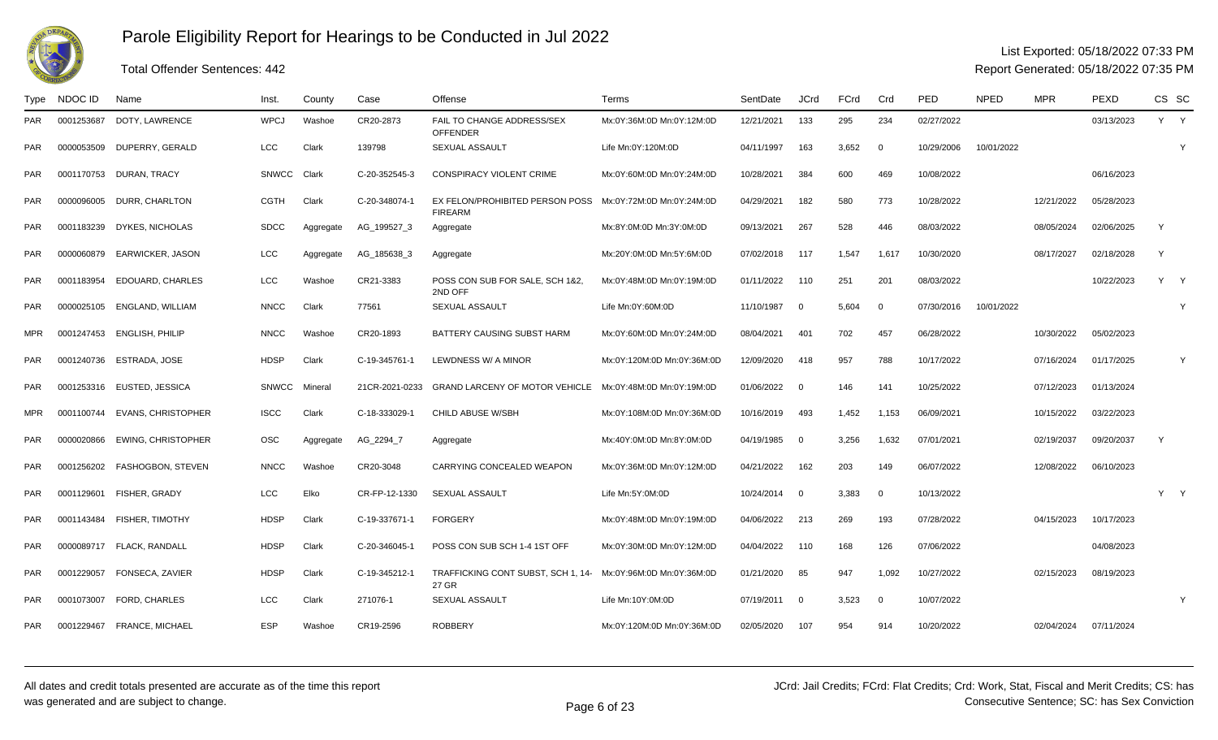

## Total Offender Sentences: 442

### List Exported: 05/18/2022 07:33 PM

| Type       | NDOC ID    | Name                          | Inst.        | County    | Case           | Offense                                           | Terms                      | SentDate   | JCrd                    | FCrd  | Crd            | <b>PED</b> | <b>NPED</b> | <b>MPR</b> | PEXD       |   | CS SC |
|------------|------------|-------------------------------|--------------|-----------|----------------|---------------------------------------------------|----------------------------|------------|-------------------------|-------|----------------|------------|-------------|------------|------------|---|-------|
| PAR        | 0001253687 | DOTY. LAWRENCE                | <b>WPCJ</b>  | Washoe    | CR20-2873      | FAIL TO CHANGE ADDRESS/SEX<br><b>OFFENDER</b>     | Mx:0Y:36M:0D Mn:0Y:12M:0D  | 12/21/2021 | 133                     | 295   | 234            | 02/27/2022 |             |            | 03/13/2023 |   | Y Y   |
| <b>PAR</b> | 0000053509 | DUPERRY, GERALD               | LCC          | Clark     | 139798         | <b>SEXUAL ASSAULT</b>                             | Life Mn:0Y:120M:0D         | 04/11/1997 | 163                     | 3.652 | $\Omega$       | 10/29/2006 | 10/01/2022  |            |            |   | Y     |
| PAR        |            | 0001170753 DURAN, TRACY       | <b>SNWCC</b> | Clark     | C-20-352545-3  | CONSPIRACY VIOLENT CRIME                          | Mx:0Y:60M:0D Mn:0Y:24M:0D  | 10/28/2021 | 384                     | 600   | 469            | 10/08/2022 |             |            | 06/16/2023 |   |       |
| <b>PAR</b> | 0000096005 | DURR. CHARLTON                | <b>CGTH</b>  | Clark     | C-20-348074-1  | EX FELON/PROHIBITED PERSON POSS<br><b>FIREARM</b> | Mx:0Y:72M:0D Mn:0Y:24M:0D  | 04/29/2021 | 182                     | 580   | 773            | 10/28/2022 |             | 12/21/2022 | 05/28/2023 |   |       |
| PAR        | 0001183239 | <b>DYKES, NICHOLAS</b>        | <b>SDCC</b>  | Aggregate | AG_199527_3    | Aggregate                                         | Mx:8Y:0M:0D Mn:3Y:0M:0D    | 09/13/2021 | 267                     | 528   | 446            | 08/03/2022 |             | 08/05/2024 | 02/06/2025 | Y |       |
| <b>PAR</b> | 0000060879 | <b>EARWICKER, JASON</b>       | <b>LCC</b>   | Aggregate | AG 185638 3    | Aggregate                                         | Mx:20Y:0M:0D Mn:5Y:6M:0D   | 07/02/2018 | 117                     | 1.547 | 1,617          | 10/30/2020 |             | 08/17/2027 | 02/18/2028 | Y |       |
| PAR        | 0001183954 | EDOUARD, CHARLES              | <b>LCC</b>   | Washoe    | CR21-3383      | POSS CON SUB FOR SALE, SCH 1&2,<br>2ND OFF        | Mx:0Y:48M:0D Mn:0Y:19M:0D  | 01/11/2022 | 110                     | 251   | 201            | 08/03/2022 |             |            | 10/22/2023 | Y | Y     |
| PAR        | 0000025105 | ENGLAND, WILLIAM              | <b>NNCC</b>  | Clark     | 77561          | <b>SEXUAL ASSAULT</b>                             | Life Mn:0Y:60M:0D          | 11/10/1987 | $\overline{0}$          | 5,604 | $\overline{0}$ | 07/30/2016 | 10/01/2022  |            |            |   |       |
| <b>MPR</b> | 0001247453 | <b>ENGLISH, PHILIP</b>        | <b>NNCC</b>  | Washoe    | CR20-1893      | BATTERY CAUSING SUBST HARM                        | Mx:0Y:60M:0D Mn:0Y:24M:0D  | 08/04/2021 | 401                     | 702   | 457            | 06/28/2022 |             | 10/30/2022 | 05/02/2023 |   |       |
| PAR        | 0001240736 | <b>ESTRADA, JOSE</b>          | <b>HDSP</b>  | Clark     | C-19-345761-1  | LEWDNESS W/ A MINOR                               | Mx:0Y:120M:0D Mn:0Y:36M:0D | 12/09/2020 | 418                     | 957   | 788            | 10/17/2022 |             | 07/16/2024 | 01/17/2025 |   | Y     |
| <b>PAR</b> |            | 0001253316    EUSTED, JESSICA | <b>SNWCC</b> | Mineral   | 21CR-2021-0233 | <b>GRAND LARCENY OF MOTOR VEHICLE</b>             | Mx:0Y:48M:0D Mn:0Y:19M:0D  | 01/06/2022 | $\overline{0}$          | 146   | 141            | 10/25/2022 |             | 07/12/2023 | 01/13/2024 |   |       |
| <b>MPR</b> | 0001100744 | <b>EVANS, CHRISTOPHER</b>     | <b>ISCC</b>  | Clark     | C-18-333029-1  | CHILD ABUSE W/SBH                                 | Mx:0Y:108M:0D Mn:0Y:36M:0D | 10/16/2019 | 493                     | 1,452 | 1,153          | 06/09/2021 |             | 10/15/2022 | 03/22/2023 |   |       |
| <b>PAR</b> | 0000020866 | <b>EWING. CHRISTOPHER</b>     | <b>OSC</b>   | Aggregate | AG 2294 7      | Aggregate                                         | Mx:40Y:0M:0D Mn:8Y:0M:0D   | 04/19/1985 | $\overline{0}$          | 3.256 | 1,632          | 07/01/2021 |             | 02/19/2037 | 09/20/2037 | Y |       |
| PAR        |            | 0001256202 FASHOGBON, STEVEN  | <b>NNCC</b>  | Washoe    | CR20-3048      | CARRYING CONCEALED WEAPON                         | Mx:0Y:36M:0D Mn:0Y:12M:0D  | 04/21/2022 | 162                     | 203   | 149            | 06/07/2022 |             | 12/08/2022 | 06/10/2023 |   |       |
| <b>PAR</b> | 0001129601 | FISHER, GRADY                 | <b>LCC</b>   | Elko      | CR-FP-12-1330  | <b>SEXUAL ASSAULT</b>                             | Life Mn:5Y:0M:0D           | 10/24/2014 | $\overline{0}$          | 3.383 | $\overline{0}$ | 10/13/2022 |             |            |            |   | Y Y   |
| PAR        | 0001143484 | <b>FISHER, TIMOTHY</b>        | <b>HDSP</b>  | Clark     | C-19-337671-1  | <b>FORGERY</b>                                    | Mx:0Y:48M:0D Mn:0Y:19M:0D  | 04/06/2022 | 213                     | 269   | 193            | 07/28/2022 |             | 04/15/2023 | 10/17/2023 |   |       |
| <b>PAR</b> | 0000089717 | <b>FLACK, RANDALL</b>         | <b>HDSP</b>  | Clark     | C-20-346045-1  | POSS CON SUB SCH 1-4 1ST OFF                      | Mx:0Y:30M:0D Mn:0Y:12M:0D  | 04/04/2022 | 110                     | 168   | 126            | 07/06/2022 |             |            | 04/08/2023 |   |       |
| <b>PAR</b> | 0001229057 | FONSECA, ZAVIER               | <b>HDSP</b>  | Clark     | C-19-345212-1  | TRAFFICKING CONT SUBST, SCH 1, 14-<br>27 GR       | Mx:0Y:96M:0D Mn:0Y:36M:0D  | 01/21/2020 | 85                      | 947   | 1.092          | 10/27/2022 |             | 02/15/2023 | 08/19/2023 |   |       |
| PAR        | 0001073007 | FORD, CHARLES                 | LCC          | Clark     | 271076-1       | <b>SEXUAL ASSAULT</b>                             | Life Mn:10Y:0M:0D          | 07/19/2011 | $\overline{\mathbf{0}}$ | 3,523 | $\Omega$       | 10/07/2022 |             |            |            |   | Y     |
| <b>PAR</b> | 0001229467 | <b>FRANCE, MICHAEL</b>        | <b>ESP</b>   | Washoe    | CR19-2596      | <b>ROBBERY</b>                                    | Mx:0Y:120M:0D Mn:0Y:36M:0D | 02/05/2020 | 107                     | 954   | 914            | 10/20/2022 |             | 02/04/2024 | 07/11/2024 |   |       |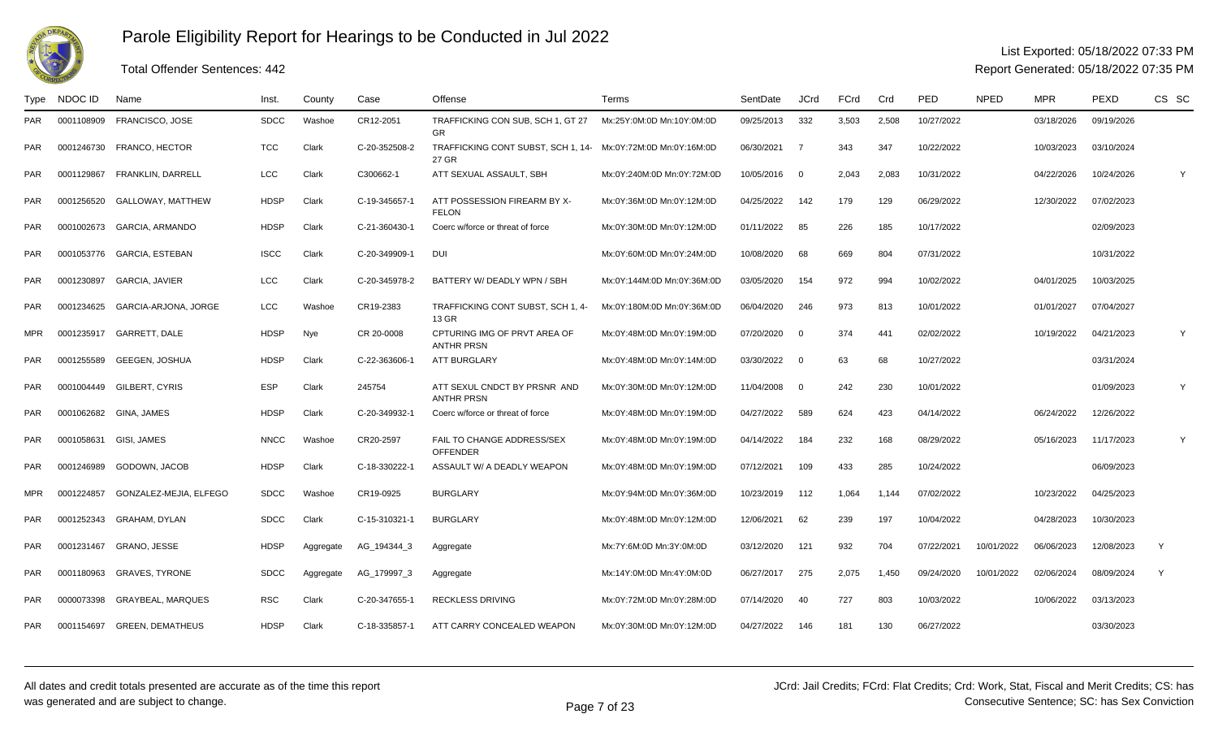

#### List Exported: 05/18/2022 07:33 PM

Report Generated: 05/18/2022 07:35 PM

| Type       | NDOC ID    | Name                      | Inst.       | County    | Case          | Offense                                                               | Terms                      | SentDate   | JCrd                    | FCrd  | Crd   | PED        | <b>NPED</b> | MPR        | PEXD       | CS SC |
|------------|------------|---------------------------|-------------|-----------|---------------|-----------------------------------------------------------------------|----------------------------|------------|-------------------------|-------|-------|------------|-------------|------------|------------|-------|
| <b>PAR</b> | 0001108909 | <b>FRANCISCO, JOSE</b>    | <b>SDCC</b> | Washoe    | CR12-2051     | TRAFFICKING CON SUB, SCH 1, GT 27<br><b>GR</b>                        | Mx:25Y:0M:0D Mn:10Y:0M:0D  | 09/25/2013 | 332                     | 3,503 | 2,508 | 10/27/2022 |             | 03/18/2026 | 09/19/2026 |       |
| PAR        |            | 0001246730 FRANCO, HECTOR | <b>TCC</b>  | Clark     | C-20-352508-2 | TRAFFICKING CONT SUBST, SCH 1, 14- Mx:0Y:72M:0D Mn:0Y:16M:0D<br>27 GR |                            | 06/30/2021 | $\overline{7}$          | 343   | 347   | 10/22/2022 |             | 10/03/2023 | 03/10/2024 |       |
| <b>PAR</b> | 0001129867 | FRANKLIN, DARRELL         | <b>LCC</b>  | Clark     | C300662-1     | ATT SEXUAL ASSAULT, SBH                                               | Mx:0Y:240M:0D Mn:0Y:72M:0D | 10/05/2016 | $\overline{0}$          | 2,043 | 2,083 | 10/31/2022 |             | 04/22/2026 | 10/24/2026 | Υ     |
| <b>PAR</b> | 0001256520 | <b>GALLOWAY, MATTHEW</b>  | HDSP        | Clark     | C-19-345657-1 | ATT POSSESSION FIREARM BY X-<br><b>FELON</b>                          | Mx:0Y:36M:0D Mn:0Y:12M:0D  | 04/25/2022 | 142                     | 179   | 129   | 06/29/2022 |             | 12/30/2022 | 07/02/2023 |       |
| <b>PAR</b> | 0001002673 | <b>GARCIA, ARMANDO</b>    | <b>HDSP</b> | Clark     | C-21-360430-  | Coerc w/force or threat of force                                      | Mx:0Y:30M:0D Mn:0Y:12M:0D  | 01/11/2022 | 85                      | 226   | 185   | 10/17/2022 |             |            | 02/09/2023 |       |
| <b>PAR</b> | 0001053776 | GARCIA, ESTEBAN           | <b>ISCC</b> | Clark     | C-20-349909-1 | DUI                                                                   | Mx:0Y:60M:0D Mn:0Y:24M:0D  | 10/08/2020 | 68                      | 669   | 804   | 07/31/2022 |             |            | 10/31/2022 |       |
| <b>PAR</b> | 0001230897 | <b>GARCIA, JAVIER</b>     | <b>LCC</b>  | Clark     | C-20-345978-2 | BATTERY W/ DEADLY WPN / SBH                                           | Mx:0Y:144M:0D Mn:0Y:36M:0D | 03/05/2020 | 154                     | 972   | 994   | 10/02/2022 |             | 04/01/2025 | 10/03/2025 |       |
| <b>PAR</b> | 0001234625 | GARCIA-ARJONA, JORGE      | <b>LCC</b>  | Washoe    | CR19-2383     | TRAFFICKING CONT SUBST, SCH 1, 4-<br>13 GR                            | Mx:0Y:180M:0D Mn:0Y:36M:0D | 06/04/2020 | 246                     | 973   | 813   | 10/01/2022 |             | 01/01/2027 | 07/04/2027 |       |
| <b>MPR</b> | 0001235917 | <b>GARRETT, DALE</b>      | <b>HDSP</b> | Nye       | CR 20-0008    | CPTURING IMG OF PRVT AREA OF<br><b>ANTHR PRSN</b>                     | Mx:0Y:48M:0D Mn:0Y:19M:0D  | 07/20/2020 | $\Omega$                | 374   | 441   | 02/02/2022 |             | 10/19/2022 | 04/21/2023 |       |
| <b>PAR</b> | 0001255589 | <b>GEEGEN, JOSHUA</b>     | <b>HDSP</b> | Clark     | C-22-363606-  | <b>ATT BURGLARY</b>                                                   | Mx:0Y:48M:0D Mn:0Y:14M:0D  | 03/30/2022 | $\overline{\mathbf{0}}$ | 63    | 68    | 10/27/2022 |             |            | 03/31/2024 |       |
| <b>PAR</b> | 0001004449 | GILBERT, CYRIS            | <b>ESP</b>  | Clark     | 245754        | ATT SEXUL CNDCT BY PRSNR AND<br><b>ANTHR PRSN</b>                     | Mx:0Y:30M:0D Mn:0Y:12M:0D  | 11/04/2008 | $\overline{\mathbf{0}}$ | 242   | 230   | 10/01/2022 |             |            | 01/09/2023 |       |
| <b>PAR</b> | 0001062682 | GINA, JAMES               | <b>HDSP</b> | Clark     | C-20-349932-  | Coerc w/force or threat of force                                      | Mx:0Y:48M:0D Mn:0Y:19M:0D  | 04/27/2022 | 589                     | 624   | 423   | 04/14/2022 |             | 06/24/2022 | 12/26/2022 |       |
| <b>PAR</b> | 0001058631 | GISI. JAMES               | <b>NNCC</b> | Washoe    | CR20-2597     | FAIL TO CHANGE ADDRESS/SEX<br><b>OFFENDER</b>                         | Mx:0Y:48M:0D Mn:0Y:19M:0D  | 04/14/2022 | 184                     | 232   | 168   | 08/29/2022 |             | 05/16/2023 | 11/17/2023 | Y     |
| <b>PAR</b> | 0001246989 | GODOWN, JACOB             | <b>HDSP</b> | Clark     | C-18-330222-1 | ASSAULT W/ A DEADLY WEAPON                                            | Mx:0Y:48M:0D Mn:0Y:19M:0D  | 07/12/2021 | 109                     | 433   | 285   | 10/24/2022 |             |            | 06/09/2023 |       |
| <b>MPR</b> | 0001224857 | GONZALEZ-MEJIA. ELFEGO    | <b>SDCC</b> | Washoe    | CR19-0925     | <b>BURGLARY</b>                                                       | Mx:0Y:94M:0D Mn:0Y:36M:0D  | 10/23/2019 | 112                     | 1.064 | 1.144 | 07/02/2022 |             | 10/23/2022 | 04/25/2023 |       |
| <b>PAR</b> | 0001252343 | GRAHAM, DYLAN             | <b>SDCC</b> | Clark     | C-15-310321-1 | <b>BURGLARY</b>                                                       | Mx:0Y:48M:0D Mn:0Y:12M:0D  | 12/06/2021 | 62                      | 239   | 197   | 10/04/2022 |             | 04/28/2023 | 10/30/2023 |       |
| <b>PAR</b> | 0001231467 | GRANO, JESSE              | <b>HDSP</b> | Aggregate | AG_194344_3   | Aggregate                                                             | Mx:7Y:6M:0D Mn:3Y:0M:0D    | 03/12/2020 | 121                     | 932   | 704   | 07/22/2021 | 10/01/2022  | 06/06/2023 | 12/08/2023 | Y     |
| <b>PAR</b> | 0001180963 | <b>GRAVES, TYRONE</b>     | <b>SDCC</b> | Aggregate | AG_179997_3   | Aggregate                                                             | Mx:14Y:0M:0D Mn:4Y:0M:0D   | 06/27/2017 | 275                     | 2,075 | 1.450 | 09/24/2020 | 10/01/2022  | 02/06/2024 | 08/09/2024 | Y     |
| <b>PAR</b> | 0000073398 | <b>GRAYBEAL, MARQUES</b>  | <b>RSC</b>  | Clark     | C-20-347655-1 | <b>RECKLESS DRIVING</b>                                               | Mx:0Y:72M:0D Mn:0Y:28M:0D  | 07/14/2020 | 40                      | 727   | 803   | 10/03/2022 |             | 10/06/2022 | 03/13/2023 |       |
| <b>PAR</b> | 0001154697 | <b>GREEN, DEMATHEUS</b>   | <b>HDSP</b> | Clark     | C-18-335857-1 | ATT CARRY CONCEALED WEAPON                                            | Mx:0Y:30M:0D Mn:0Y:12M:0D  | 04/27/2022 | 146                     | 181   | 130   | 06/27/2022 |             |            | 03/30/2023 |       |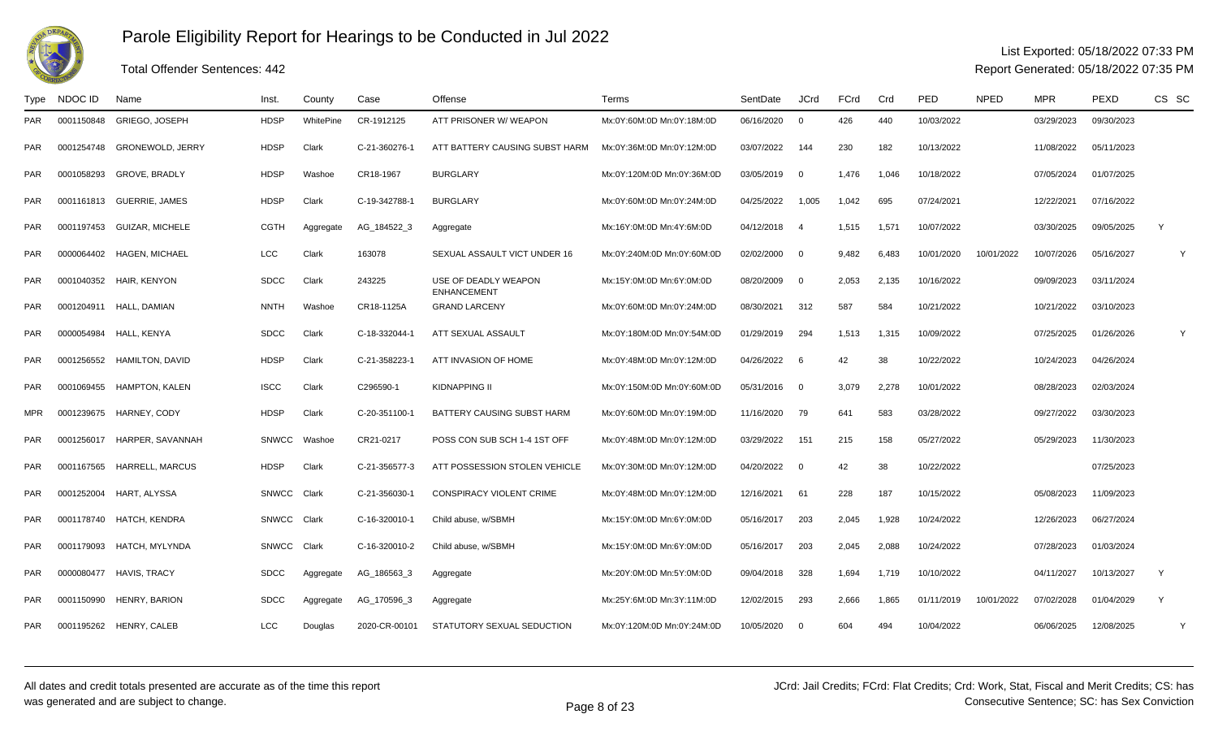

### List Exported: 05/18/2022 07:33 PM

Report Generated: 05/18/2022 07:35 PM

| Type       | NDOC ID    | Name                       | Inst.        | County    | Case          | Offense                                    | Terms                      | SentDate     | <b>JCrd</b>              | FCrd  | Crd   | PED        | <b>NPED</b> | <b>MPR</b> | PEXD       | CS SC        |   |
|------------|------------|----------------------------|--------------|-----------|---------------|--------------------------------------------|----------------------------|--------------|--------------------------|-------|-------|------------|-------------|------------|------------|--------------|---|
| <b>PAR</b> | 0001150848 | GRIEGO, JOSEPH             | <b>HDSP</b>  | WhitePine | CR-1912125    | ATT PRISONER W/ WEAPON                     | Mx:0Y:60M:0D Mn:0Y:18M:0D  | 06/16/2020   | $\overline{0}$           | 426   | 440   | 10/03/2022 |             | 03/29/2023 | 09/30/2023 |              |   |
| <b>PAR</b> | 0001254748 | <b>GRONEWOLD, JERRY</b>    | <b>HDSP</b>  | Clark     | C-21-360276-1 | ATT BATTERY CAUSING SUBST HARM             | Mx:0Y:36M:0D Mn:0Y:12M:0D  | 03/07/2022   | - 144                    | 230   | 182   | 10/13/2022 |             | 11/08/2022 | 05/11/2023 |              |   |
| <b>PAR</b> | 0001058293 | <b>GROVE, BRADLY</b>       | <b>HDSP</b>  | Washoe    | CR18-1967     | <b>BURGLARY</b>                            | Mx:0Y:120M:0D Mn:0Y:36M:0D | 03/05/2019 0 |                          | 1,476 | 1,046 | 10/18/2022 |             | 07/05/2024 | 01/07/2025 |              |   |
| <b>PAR</b> | 0001161813 | GUERRIE, JAMES             | <b>HDSP</b>  | Clark     | C-19-342788-1 | <b>BURGLARY</b>                            | Mx:0Y:60M:0D Mn:0Y:24M:0D  | 04/25/2022   | 1,005                    | 1,042 | 695   | 07/24/2021 |             | 12/22/2021 | 07/16/2022 |              |   |
| <b>PAR</b> | 0001197453 | <b>GUIZAR, MICHELE</b>     | <b>CGTH</b>  | Aggregate | AG_184522_3   | Aggregate                                  | Mx:16Y:0M:0D Mn:4Y:6M:0D   | 04/12/2018 4 |                          | 1,515 | 1,571 | 10/07/2022 |             | 03/30/2025 | 09/05/2025 | Y            |   |
| <b>PAR</b> | 0000064402 | <b>HAGEN, MICHAEL</b>      | LCC          | Clark     | 163078        | SEXUAL ASSAULT VICT UNDER 16               | Mx:0Y:240M:0D Mn:0Y:60M:0D | 02/02/2000   | $\overline{0}$           | 9.482 | 6,483 | 10/01/2020 | 10/01/2022  | 10/07/2026 | 05/16/2027 |              | Y |
| <b>PAR</b> |            | 0001040352 HAIR, KENYON    | <b>SDCC</b>  | Clark     | 243225        | USE OF DEADLY WEAPON<br><b>ENHANCEMENT</b> | Mx:15Y:0M:0D Mn:6Y:0M:0D   | 08/20/2009   | $\overline{\phantom{0}}$ | 2,053 | 2,135 | 10/16/2022 |             | 09/09/2023 | 03/11/2024 |              |   |
| <b>PAR</b> |            | 0001204911 HALL, DAMIAN    | <b>NNTH</b>  | Washoe    | CR18-1125A    | <b>GRAND LARCENY</b>                       | Mx:0Y:60M:0D Mn:0Y:24M:0D  | 08/30/2021   | 312                      | 587   | 584   | 10/21/2022 |             | 10/21/2022 | 03/10/2023 |              |   |
| <b>PAR</b> | 0000054984 | HALL, KENYA                | <b>SDCC</b>  | Clark     | C-18-332044-1 | ATT SEXUAL ASSAULT                         | Mx:0Y:180M:0D Mn:0Y:54M:0D | 01/29/2019   | 294                      | 1,513 | 1,315 | 10/09/2022 |             | 07/25/2025 | 01/26/2026 |              | Y |
| <b>PAR</b> | 0001256552 | <b>HAMILTON, DAVID</b>     | <b>HDSP</b>  | Clark     | C-21-358223-  | ATT INVASION OF HOME                       | Mx:0Y:48M:0D Mn:0Y:12M:0D  | 04/26/2022   | 6                        | 42    | 38    | 10/22/2022 |             | 10/24/2023 | 04/26/2024 |              |   |
| <b>PAR</b> |            | 0001069455 HAMPTON, KALEN  | <b>ISCC</b>  | Clark     | C296590-1     | <b>KIDNAPPING II</b>                       | Mx:0Y:150M:0D Mn:0Y:60M:0D | 05/31/2016 0 |                          | 3,079 | 2,278 | 10/01/2022 |             | 08/28/2023 | 02/03/2024 |              |   |
| <b>MPR</b> | 0001239675 | HARNEY, CODY               | <b>HDSP</b>  | Clark     | C-20-351100-  | BATTERY CAUSING SUBST HARM                 | Mx:0Y:60M:0D Mn:0Y:19M:0D  | 11/16/2020   | 79                       | 641   | 583   | 03/28/2022 |             | 09/27/2022 | 03/30/2023 |              |   |
| <b>PAR</b> | 0001256017 | HARPER, SAVANNAH           | <b>SNWCC</b> | Washoe    | CR21-0217     | POSS CON SUB SCH 1-4 1ST OFF               | Mx:0Y:48M:0D Mn:0Y:12M:0D  | 03/29/2022   | 151                      | 215   | 158   | 05/27/2022 |             | 05/29/2023 | 11/30/2023 |              |   |
| <b>PAR</b> |            | 0001167565 HARRELL, MARCUS | <b>HDSP</b>  | Clark     | C-21-356577-3 | ATT POSSESSION STOLEN VEHICLE              | Mx:0Y:30M:0D Mn:0Y:12M:0D  | 04/20/2022 0 |                          | 42    | 38    | 10/22/2022 |             |            | 07/25/2023 |              |   |
| <b>PAR</b> | 0001252004 | HART, ALYSSA               | SNWCC        | Clark     | C-21-356030-1 | <b>CONSPIRACY VIOLENT CRIME</b>            | Mx:0Y:48M:0D Mn:0Y:12M:0D  | 12/16/2021   | - 61                     | 228   | 187   | 10/15/2022 |             | 05/08/2023 | 11/09/2023 |              |   |
| <b>PAR</b> |            | 0001178740 HATCH, KENDRA   | SNWCC        | Clark     | C-16-320010-1 | Child abuse, w/SBMH                        | Mx:15Y:0M:0D Mn:6Y:0M:0D   | 05/16/2017   | 203                      | 2.045 | 1,928 | 10/24/2022 |             | 12/26/2023 | 06/27/2024 |              |   |
| <b>PAR</b> | 0001179093 | HATCH, MYLYNDA             | <b>SNWCC</b> | Clark     | C-16-320010-2 | Child abuse, w/SBMH                        | Mx:15Y:0M:0D Mn:6Y:0M:0D   | 05/16/2017   | 203                      | 2,045 | 2,088 | 10/24/2022 |             | 07/28/2023 | 01/03/2024 |              |   |
| <b>PAR</b> | 0000080477 | <b>HAVIS, TRACY</b>        | <b>SDCC</b>  | Aggregate | AG_186563_3   | Aggregate                                  | Mx:20Y:0M:0D Mn:5Y:0M:0D   | 09/04/2018   | 328                      | 1,694 | 1,719 | 10/10/2022 |             | 04/11/2027 | 10/13/2027 | $\mathsf{Y}$ |   |
| <b>PAR</b> | 0001150990 | <b>HENRY, BARION</b>       | <b>SDCC</b>  | Aggregate | AG_170596_3   | Aggregate                                  | Mx:25Y:6M:0D Mn:3Y:11M:0D  | 12/02/2015   | 293                      | 2,666 | 1,865 | 01/11/2019 | 10/01/2022  | 07/02/2028 | 01/04/2029 | Y            |   |
| <b>PAR</b> |            | 0001195262 HENRY, CALEB    | <b>LCC</b>   | Douglas   | 2020-CR-00101 | STATUTORY SEXUAL SEDUCTION                 | Mx:0Y:120M:0D Mn:0Y:24M:0D | 10/05/2020   | $\overline{\mathbf{0}}$  | 604   | 494   | 10/04/2022 |             | 06/06/2025 | 12/08/2025 |              | Y |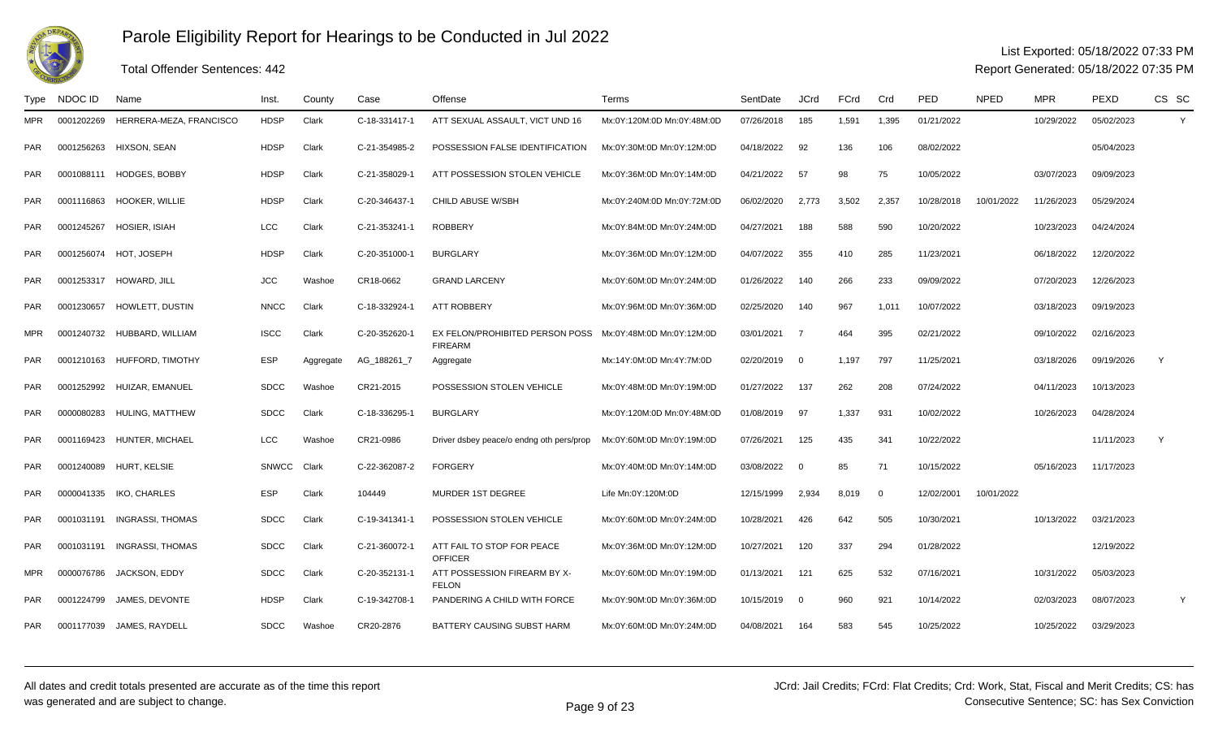

### Total Offender Sentences: 442

#### List Exported: 05/18/2022 07:33 PM

| Type       | NDOC ID    | Name                        | Inst.        | County    | Case          | Offense                                           | Terms                      | SentDate   | <b>JCrd</b>             | FCrd  | Crd          | PED        | <b>NPED</b> | <b>MPR</b> | <b>PEXD</b> | CS SC        |
|------------|------------|-----------------------------|--------------|-----------|---------------|---------------------------------------------------|----------------------------|------------|-------------------------|-------|--------------|------------|-------------|------------|-------------|--------------|
| <b>MPR</b> | 0001202269 | HERRERA-MEZA, FRANCISCO     | <b>HDSP</b>  | Clark     | C-18-331417-1 | ATT SEXUAL ASSAULT, VICT UND 16                   | Mx:0Y:120M:0D Mn:0Y:48M:0D | 07/26/2018 | 185                     | 1,591 | 1,395        | 01/21/2022 |             | 10/29/2022 | 05/02/2023  | Y            |
| <b>PAR</b> | 0001256263 | <b>HIXSON, SEAN</b>         | <b>HDSP</b>  | Clark     | C-21-354985-2 | POSSESSION FALSE IDENTIFICATION                   | Mx:0Y:30M:0D Mn:0Y:12M:0D  | 04/18/2022 | 92                      | 136   | 106          | 08/02/2022 |             |            | 05/04/2023  |              |
| PAR        |            | 0001088111 HODGES, BOBBY    | <b>HDSP</b>  | Clark     | C-21-358029-1 | ATT POSSESSION STOLEN VEHICLE                     | Mx:0Y:36M:0D Mn:0Y:14M:0D  | 04/21/2022 | 57                      | 98    | 75           | 10/05/2022 |             | 03/07/2023 | 09/09/2023  |              |
| <b>PAR</b> | 0001116863 | <b>HOOKER, WILLIE</b>       | <b>HDSP</b>  | Clark     | C-20-346437-1 | CHILD ABUSE W/SBH                                 | Mx:0Y:240M:0D Mn:0Y:72M:0D | 06/02/2020 | 2,773                   | 3,502 | 2,357        | 10/28/2018 | 10/01/2022  | 11/26/2023 | 05/29/2024  |              |
| PAR        | 0001245267 | HOSIER, ISIAH               | LCC          | Clark     | C-21-353241-1 | <b>ROBBERY</b>                                    | Mx:0Y:84M:0D Mn:0Y:24M:0D  | 04/27/2021 | 188                     | 588   | 590          | 10/20/2022 |             | 10/23/2023 | 04/24/2024  |              |
| PAR.       |            | 0001256074 HOT, JOSEPH      | <b>HDSP</b>  | Clark     | C-20-351000-1 | <b>BURGLARY</b>                                   | Mx:0Y:36M:0D Mn:0Y:12M:0D  | 04/07/2022 | 355                     | 410   | 285          | 11/23/2021 |             | 06/18/2022 | 12/20/2022  |              |
| <b>PAR</b> | 0001253317 | HOWARD, JILL                | <b>JCC</b>   | Washoe    | CR18-0662     | <b>GRAND LARCENY</b>                              | Mx:0Y:60M:0D Mn:0Y:24M:0D  | 01/26/2022 | 140                     | 266   | 233          | 09/09/2022 |             | 07/20/2023 | 12/26/2023  |              |
| PAR        | 0001230657 | HOWLETT, DUSTIN             | <b>NNCC</b>  | Clark     | C-18-332924-1 | <b>ATT ROBBERY</b>                                | Mx:0Y:96M:0D Mn:0Y:36M:0D  | 02/25/2020 | 140                     | 967   | 1,011        | 10/07/2022 |             | 03/18/2023 | 09/19/2023  |              |
| MPR        |            | 0001240732 HUBBARD, WILLIAM | <b>ISCC</b>  | Clark     | C-20-352620-1 | EX FELON/PROHIBITED PERSON POSS<br><b>FIREARM</b> | Mx:0Y:48M:0D Mn:0Y:12M:0D  | 03/01/2021 | $\overline{7}$          | 464   | 395          | 02/21/2022 |             | 09/10/2022 | 02/16/2023  |              |
| PAR        | 0001210163 | <b>HUFFORD, TIMOTHY</b>     | <b>ESP</b>   | Aggregate | AG_188261_7   | Aggregate                                         | Mx:14Y:0M:0D Mn:4Y:7M:0D   | 02/20/2019 | $\overline{\mathbf{0}}$ | 1,197 | 797          | 11/25/2021 |             | 03/18/2026 | 09/19/2026  | $\mathsf{Y}$ |
| <b>PAR</b> | 0001252992 | HUIZAR, EMANUEL             | <b>SDCC</b>  | Washoe    | CR21-2015     | POSSESSION STOLEN VEHICLE                         | Mx:0Y:48M:0D Mn:0Y:19M:0D  | 01/27/2022 | 137                     | 262   | 208          | 07/24/2022 |             | 04/11/2023 | 10/13/2023  |              |
| PAR        | 0000080283 | HULING, MATTHEW             | <b>SDCC</b>  | Clark     | C-18-336295-1 | <b>BURGLARY</b>                                   | Mx:0Y:120M:0D Mn:0Y:48M:0D | 01/08/2019 | 97                      | 1,337 | 931          | 10/02/2022 |             | 10/26/2023 | 04/28/2024  |              |
| <b>PAR</b> | 0001169423 | HUNTER, MICHAEL             | LCC          | Washoe    | CR21-0986     | Driver dsbey peace/o endng oth pers/prop          | Mx:0Y:60M:0D Mn:0Y:19M:0D  | 07/26/2021 | 125                     | 435   | 341          | 10/22/2022 |             |            | 11/11/2023  | Y            |
| <b>PAR</b> | 0001240089 | <b>HURT, KELSIE</b>         | <b>SNWCC</b> | Clark     | C-22-362087-2 | <b>FORGERY</b>                                    | Mx:0Y:40M:0D Mn:0Y:14M:0D  | 03/08/2022 | $\Omega$                | 85    | 71           | 10/15/2022 |             | 05/16/2023 | 11/17/2023  |              |
| <b>PAR</b> | 0000041335 | IKO, CHARLES                | <b>ESP</b>   | Clark     | 104449        | <b>MURDER 1ST DEGREE</b>                          | Life Mn:0Y:120M:0D         | 12/15/1999 | 2,934                   | 8.019 | $\mathbf{0}$ | 12/02/2001 | 10/01/2022  |            |             |              |
| PAR        |            | 0001031191 INGRASSI, THOMAS | <b>SDCC</b>  | Clark     | C-19-341341-1 | POSSESSION STOLEN VEHICLE                         | Mx:0Y:60M:0D Mn:0Y:24M:0D  | 10/28/2021 | 426                     | 642   | 505          | 10/30/2021 |             | 10/13/2022 | 03/21/2023  |              |
| PAR        | 0001031191 | INGRASSI, THOMAS            | <b>SDCC</b>  | Clark     | C-21-360072-1 | ATT FAIL TO STOP FOR PEACE<br><b>OFFICER</b>      | Mx:0Y:36M:0D Mn:0Y:12M:0D  | 10/27/2021 | 120                     | 337   | 294          | 01/28/2022 |             |            | 12/19/2022  |              |
| MPR        | 0000076786 | JACKSON, EDDY               | <b>SDCC</b>  | Clark     | C-20-352131-1 | ATT POSSESSION FIREARM BY X-<br><b>FELON</b>      | Mx:0Y:60M:0D Mn:0Y:19M:0D  | 01/13/2021 | 121                     | 625   | 532          | 07/16/2021 |             | 10/31/2022 | 05/03/2023  |              |
| PAR        | 0001224799 | JAMES, DEVONTE              | HDSP         | Clark     | C-19-342708-1 | PANDERING A CHILD WITH FORCE                      | Mx:0Y:90M:0D Mn:0Y:36M:0D  | 10/15/2019 | - 0                     | 960   | 921          | 10/14/2022 |             | 02/03/2023 | 08/07/2023  | Y            |
| <b>PAR</b> | 0001177039 | JAMES, RAYDELL              | <b>SDCC</b>  | Washoe    | CR20-2876     | BATTERY CAUSING SUBST HARM                        | Mx:0Y:60M:0D Mn:0Y:24M:0D  | 04/08/2021 | 164                     | 583   | 545          | 10/25/2022 |             | 10/25/2022 | 03/29/2023  |              |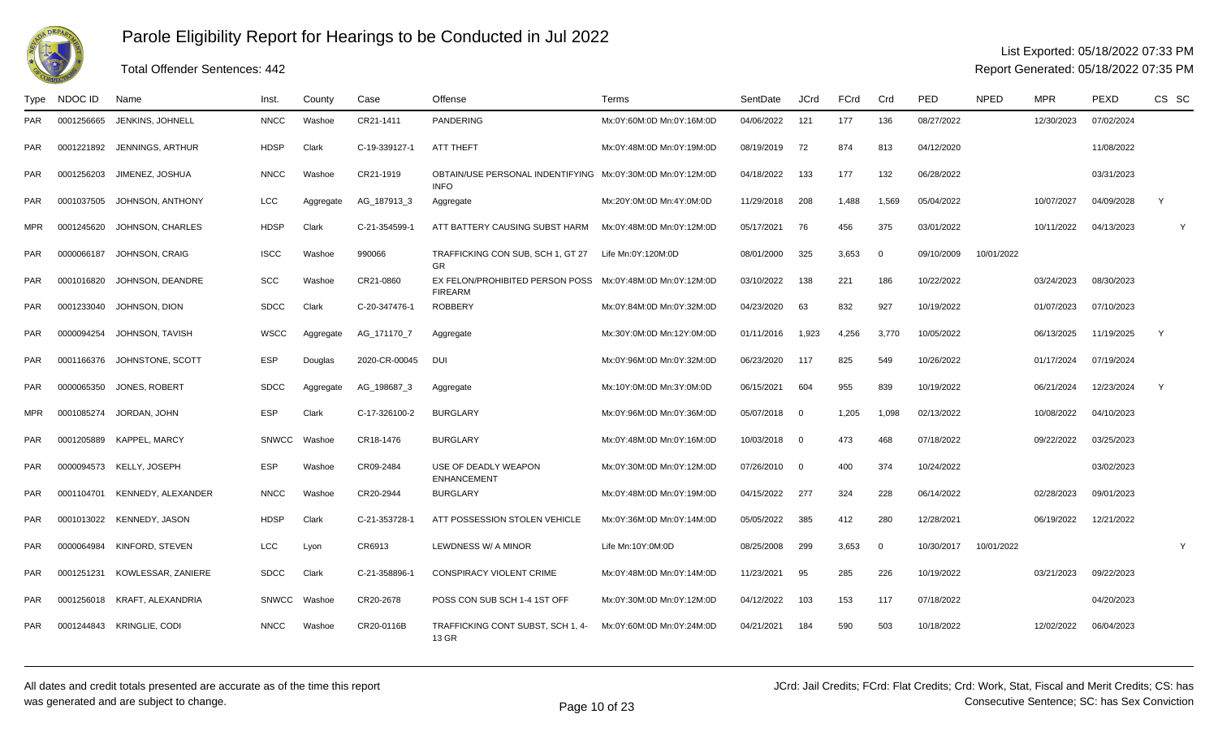

## Total Offender Sentences: 442

#### List Exported: 05/18/2022 07:33 PM

| Type       | NDOC ID    | Name                         | lnst.        | County    | Case          | Offense                                                                     | Terms                     | SentDate     | <b>JCrd</b> | FCrd  | Crd            | PED        | <b>NPED</b> | <b>MPR</b> | <b>PEXD</b> | CS SC |
|------------|------------|------------------------------|--------------|-----------|---------------|-----------------------------------------------------------------------------|---------------------------|--------------|-------------|-------|----------------|------------|-------------|------------|-------------|-------|
| <b>PAR</b> | 0001256665 | JENKINS, JOHNELL             | <b>NNCC</b>  | Washoe    | CR21-1411     | <b>PANDERING</b>                                                            | Mx:0Y:60M:0D Mn:0Y:16M:0D | 04/06/2022   | 121         | 177   | 136            | 08/27/2022 |             | 12/30/2023 | 07/02/2024  |       |
| <b>PAR</b> | 0001221892 | JENNINGS, ARTHUR             | <b>HDSP</b>  | Clark     | C-19-339127-1 | ATT THEFT                                                                   | Mx:0Y:48M:0D Mn:0Y:19M:0D | 08/19/2019   | 72          | 874   | 813            | 04/12/2020 |             |            | 11/08/2022  |       |
| <b>PAR</b> | 0001256203 | JIMENEZ, JOSHUA              | <b>NNCC</b>  | Washoe    | CR21-1919     | OBTAIN/USE PERSONAL INDENTIFYING Mx:0Y:30M:0D Mn:0Y:12M:0D<br><b>INFO</b>   |                           | 04/18/2022   | 133         | 177   | 132            | 06/28/2022 |             |            | 03/31/2023  |       |
| <b>PAR</b> | 0001037505 | JOHNSON, ANTHONY             | <b>LCC</b>   | Aggregate | AG_187913_3   | Aggregate                                                                   | Mx:20Y:0M:0D Mn:4Y:0M:0D  | 11/29/2018   | 208         | 1,488 | 1,569          | 05/04/2022 |             | 10/07/2027 | 04/09/2028  | Y     |
| <b>MPR</b> | 0001245620 | JOHNSON, CHARLES             | <b>HDSP</b>  | Clark     | C-21-354599-1 | ATT BATTERY CAUSING SUBST HARM                                              | Mx:0Y:48M:0D Mn:0Y:12M:0D | 05/17/2021   | 76          | 456   | 375            | 03/01/2022 |             | 10/11/2022 | 04/13/2023  | Y     |
| <b>PAR</b> | 0000066187 | JOHNSON, CRAIG               | <b>ISCC</b>  | Washoe    | 990066        | TRAFFICKING CON SUB, SCH 1, GT 27<br><b>GR</b>                              | Life Mn:0Y:120M:0D        | 08/01/2000   | 325         | 3.653 | $\overline{0}$ | 09/10/2009 | 10/01/2022  |            |             |       |
| <b>PAR</b> | 0001016820 | JOHNSON, DEANDRE             | <b>SCC</b>   | Washoe    | CR21-0860     | EX FELON/PROHIBITED PERSON POSS Mx:0Y:48M:0D Mn:0Y:12M:0D<br><b>FIREARM</b> |                           | 03/10/2022   | 138         | 221   | 186            | 10/22/2022 |             | 03/24/2023 | 08/30/2023  |       |
| <b>PAR</b> | 0001233040 | JOHNSON, DION                | <b>SDCC</b>  | Clark     | C-20-347476-1 | <b>ROBBERY</b>                                                              | Mx:0Y:84M:0D Mn:0Y:32M:0D | 04/23/2020   | 63          | 832   | 927            | 10/19/2022 |             | 01/07/2023 | 07/10/2023  |       |
| <b>PAR</b> | 0000094254 | JOHNSON, TAVISH              | WSCC         | Aggregate | AG 171170 7   | Aggregate                                                                   | Mx:30Y:0M:0D Mn:12Y:0M:0D | 01/11/2016   | 1.923       | 4.256 | 3,770          | 10/05/2022 |             | 06/13/2025 | 11/19/2025  | Y     |
| <b>PAR</b> | 0001166376 | JOHNSTONE, SCOTT             | <b>ESP</b>   | Douglas   | 2020-CR-00045 | DUI                                                                         | Mx:0Y:96M:0D Mn:0Y:32M:0D | 06/23/2020   | 117         | 825   | 549            | 10/26/2022 |             | 01/17/2024 | 07/19/2024  |       |
| <b>PAR</b> | 0000065350 | JONES, ROBERT                | <b>SDCC</b>  | Aggregate | AG_198687_3   | Aggregate                                                                   | Mx:10Y:0M:0D Mn:3Y:0M:0D  | 06/15/2021   | 604         | 955   | 839            | 10/19/2022 |             | 06/21/2024 | 12/23/2024  | Y     |
| MPR        |            | 0001085274 JORDAN, JOHN      | <b>ESP</b>   | Clark     | C-17-326100-2 | <b>BURGLARY</b>                                                             | Mx:0Y:96M:0D Mn:0Y:36M:0D | 05/07/2018 0 |             | 1,205 | 1,098          | 02/13/2022 |             | 10/08/2022 | 04/10/2023  |       |
| <b>PAR</b> |            | 0001205889 KAPPEL, MARCY     | <b>SNWCC</b> | Washoe    | CR18-1476     | <b>BURGLARY</b>                                                             | Mx:0Y:48M:0D Mn:0Y:16M:0D | 10/03/2018 0 |             | 473   | 468            | 07/18/2022 |             | 09/22/2022 | 03/25/2023  |       |
| <b>PAR</b> |            | 0000094573 KELLY, JOSEPH     | <b>ESP</b>   | Washoe    | CR09-2484     | USE OF DEADLY WEAPON<br><b>ENHANCEMENT</b>                                  | Mx:0Y:30M:0D Mn:0Y:12M:0D | 07/26/2010 0 |             | 400   | 374            | 10/24/2022 |             |            | 03/02/2023  |       |
| <b>PAR</b> | 0001104701 | KENNEDY, ALEXANDER           | <b>NNCC</b>  | Washoe    | CR20-2944     | <b>BURGLARY</b>                                                             | Mx:0Y:48M:0D Mn:0Y:19M:0D | 04/15/2022   | 277         | 324   | 228            | 06/14/2022 |             | 02/28/2023 | 09/01/2023  |       |
| <b>PAR</b> |            | 0001013022 KENNEDY, JASON    | <b>HDSP</b>  | Clark     | C-21-353728-1 | ATT POSSESSION STOLEN VEHICLE                                               | Mx:0Y:36M:0D Mn:0Y:14M:0D | 05/05/2022   | 385         | 412   | 280            | 12/28/2021 |             | 06/19/2022 | 12/21/2022  |       |
| <b>PAR</b> |            | 0000064984 KINFORD, STEVEN   | LCC          | Lvon      | CR6913        | LEWDNESS W/ A MINOR                                                         | Life Mn:10Y:0M:0D         | 08/25/2008   | 299         | 3,653 | $\overline{0}$ | 10/30/2017 | 10/01/2022  |            |             |       |
| <b>PAR</b> | 0001251231 | KOWLESSAR, ZANIERE           | <b>SDCC</b>  | Clark     | C-21-358896-1 | CONSPIRACY VIOLENT CRIME                                                    | Mx:0Y:48M:0D Mn:0Y:14M:0D | 11/23/2021   | 95          | 285   | 226            | 10/19/2022 |             | 03/21/2023 | 09/22/2023  |       |
| <b>PAR</b> |            | 0001256018 KRAFT, ALEXANDRIA | SNWCC        | Washoe    | CR20-2678     | POSS CON SUB SCH 1-4 1ST OFF                                                | Mx:0Y:30M:0D Mn:0Y:12M:0D | 04/12/2022   | 103         | 153   | 117            | 07/18/2022 |             |            | 04/20/2023  |       |
| <b>PAR</b> | 0001244843 | KRINGLIE, CODI               | <b>NNCC</b>  | Washoe    | CR20-0116B    | TRAFFICKING CONT SUBST, SCH 1, 4-<br>13 GR                                  | Mx:0Y:60M:0D Mn:0Y:24M:0D | 04/21/2021   | 184         | 590   | 503            | 10/18/2022 |             | 12/02/2022 | 06/04/2023  |       |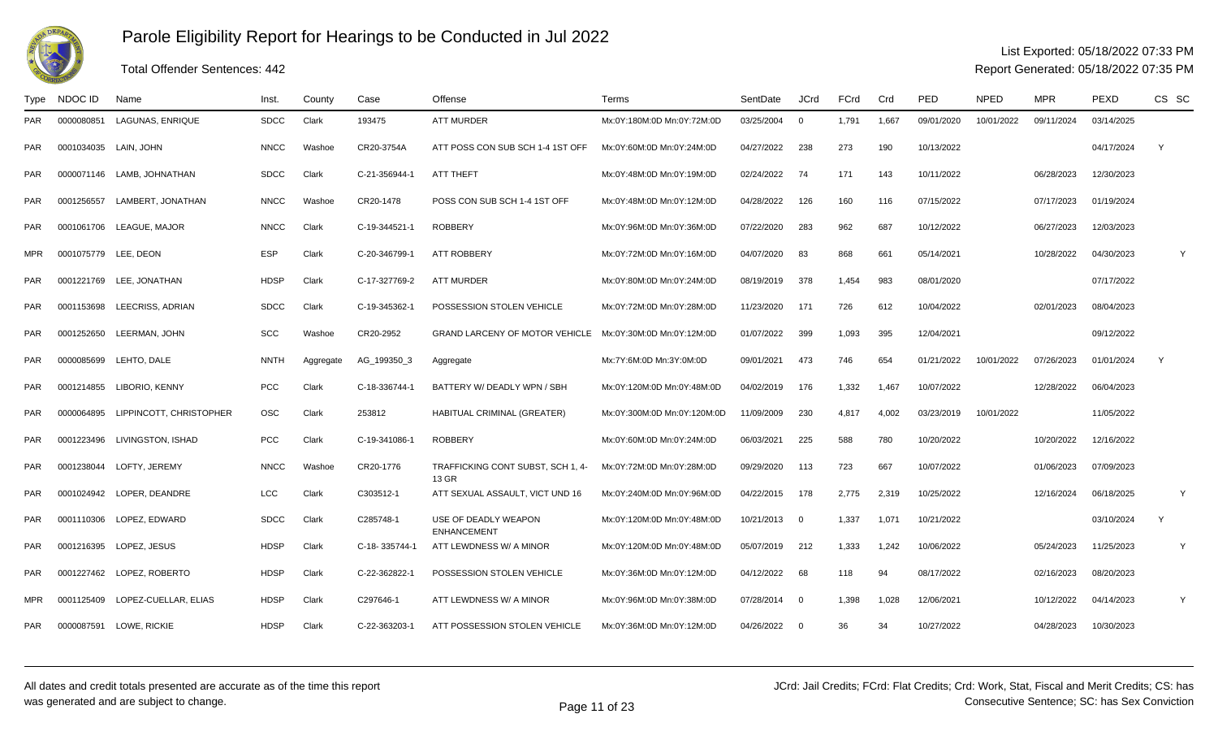

## Total Offender Sentences: 442

#### List Exported: 05/18/2022 07:33 PM

| Type       | NDOC ID              | Name                       | Inst        | County    | Case          | Offense                                                  | Terms                       | SentDate   | <b>JCrd</b>             | FCrd  | Crd   | PED        | <b>NPED</b> | <b>MPR</b> | <b>PEXD</b> | CS SC |
|------------|----------------------|----------------------------|-------------|-----------|---------------|----------------------------------------------------------|-----------------------------|------------|-------------------------|-------|-------|------------|-------------|------------|-------------|-------|
| <b>PAR</b> | 0000080851           | LAGUNAS, ENRIQUE           | <b>SDCC</b> | Clark     | 193475        | <b>ATT MURDER</b>                                        | Mx:0Y:180M:0D Mn:0Y:72M:0D  | 03/25/2004 | $\overline{0}$          | 1,791 | 1,667 | 09/01/2020 | 10/01/2022  | 09/11/2024 | 03/14/2025  |       |
| <b>PAR</b> | 0001034035           | LAIN, JOHN                 | <b>NNCC</b> | Washoe    | CR20-3754A    | ATT POSS CON SUB SCH 1-4 1ST OFF                         | Mx:0Y:60M:0D Mn:0Y:24M:0D   | 04/27/2022 | 238                     | 273   | 190   | 10/13/2022 |             |            | 04/17/2024  | Y     |
| PAR.       |                      | 0000071146 LAMB, JOHNATHAN | <b>SDCC</b> | Clark     | C-21-356944-1 | ATT THEFT                                                | Mx:0Y:48M:0D Mn:0Y:19M:0D   | 02/24/2022 | - 74                    | 171   | 143   | 10/11/2022 |             | 06/28/2023 | 12/30/2023  |       |
| <b>PAR</b> | 0001256557           | LAMBERT, JONATHAN          | <b>NNCC</b> | Washoe    | CR20-1478     | POSS CON SUB SCH 1-4 1ST OFF                             | Mx:0Y:48M:0D Mn:0Y:12M:0D   | 04/28/2022 | 126                     | 160   | 116   | 07/15/2022 |             | 07/17/2023 | 01/19/2024  |       |
| <b>PAR</b> | 0001061706           | LEAGUE, MAJOR              | <b>NNCC</b> | Clark     | C-19-344521-1 | <b>ROBBERY</b>                                           | Mx:0Y:96M:0D Mn:0Y:36M:0D   | 07/22/2020 | 283                     | 962   | 687   | 10/12/2022 |             | 06/27/2023 | 12/03/2023  |       |
| <b>MPR</b> | 0001075779 LEE, DEON |                            | <b>ESP</b>  | Clark     | C-20-346799-1 | <b>ATT ROBBERY</b>                                       | Mx:0Y:72M:0D Mn:0Y:16M:0D   | 04/07/2020 | 83                      | 868   | 661   | 05/14/2021 |             | 10/28/2022 | 04/30/2023  | Y     |
| <b>PAR</b> | 0001221769           | LEE, JONATHAN              | <b>HDSP</b> | Clark     | C-17-327769-2 | <b>ATT MURDER</b>                                        | Mx:0Y:80M:0D Mn:0Y:24M:0D   | 08/19/2019 | 378                     | 1,454 | 983   | 08/01/2020 |             |            | 07/17/2022  |       |
| <b>PAR</b> | 0001153698           | LEECRISS, ADRIAN           | <b>SDCC</b> | Clark     | C-19-345362-1 | POSSESSION STOLEN VEHICLE                                | Mx:0Y:72M:0D Mn:0Y:28M:0D   | 11/23/2020 | 171                     | 726   | 612   | 10/04/2022 |             | 02/01/2023 | 08/04/2023  |       |
| <b>PAR</b> |                      | 0001252650 LEERMAN, JOHN   | <b>SCC</b>  | Washoe    | CR20-2952     | GRAND LARCENY OF MOTOR VEHICLE Mx:0Y:30M:0D Mn:0Y:12M:0D |                             | 01/07/2022 | 399                     | 1,093 | 395   | 12/04/2021 |             |            | 09/12/2022  |       |
| <b>PAR</b> | 0000085699           | LEHTO. DALE                | <b>NNTH</b> | Aggregate | AG_199350_3   | Aggregate                                                | Mx:7Y:6M:0D Mn:3Y:0M:0D     | 09/01/2021 | 473                     | 746   | 654   | 01/21/2022 | 10/01/2022  | 07/26/2023 | 01/01/2024  | Y     |
| <b>PAR</b> | 0001214855           | LIBORIO, KENNY             | <b>PCC</b>  | Clark     | C-18-336744-1 | BATTERY W/ DEADLY WPN / SBH                              | Mx:0Y:120M:0D Mn:0Y:48M:0D  | 04/02/2019 | 176                     | 1,332 | 1,467 | 10/07/2022 |             | 12/28/2022 | 06/04/2023  |       |
| <b>PAR</b> | 0000064895           | LIPPINCOTT, CHRISTOPHER    | <b>OSC</b>  | Clark     | 253812        | HABITUAL CRIMINAL (GREATER)                              | Mx:0Y:300M:0D Mn:0Y:120M:0D | 11/09/2009 | 230                     | 4,817 | 4,002 | 03/23/2019 | 10/01/2022  |            | 11/05/2022  |       |
| <b>PAR</b> | 0001223496           | LIVINGSTON, ISHAD          | <b>PCC</b>  | Clark     | C-19-341086-1 | <b>ROBBERY</b>                                           | Mx:0Y:60M:0D Mn:0Y:24M:0D   | 06/03/2021 | 225                     | 588   | 780   | 10/20/2022 |             | 10/20/2022 | 12/16/2022  |       |
| <b>PAR</b> |                      | 0001238044 LOFTY, JEREMY   | <b>NNCC</b> | Washoe    | CR20-1776     | TRAFFICKING CONT SUBST, SCH 1, 4-<br>13 GR               | Mx:0Y:72M:0D Mn:0Y:28M:0D   | 09/29/2020 | 113                     | 723   | 667   | 10/07/2022 |             | 01/06/2023 | 07/09/2023  |       |
| <b>PAR</b> |                      | 0001024942 LOPER, DEANDRE  | LCC         | Clark     | C303512-1     | ATT SEXUAL ASSAULT, VICT UND 16                          | Mx:0Y:240M:0D Mn:0Y:96M:0D  | 04/22/2015 | - 178                   | 2,775 | 2,319 | 10/25/2022 |             | 12/16/2024 | 06/18/2025  | Y     |
| PAR.       | 0001110306           | LOPEZ. EDWARD              | <b>SDCC</b> | Clark     | C285748-1     | USE OF DEADLY WEAPON<br><b>ENHANCEMENT</b>               | Mx:0Y:120M:0D Mn:0Y:48M:0D  | 10/21/2013 | $\overline{\mathbf{0}}$ | 1,337 | 1.071 | 10/21/2022 |             |            | 03/10/2024  | Y     |
| <b>PAR</b> |                      | 0001216395 LOPEZ, JESUS    | <b>HDSP</b> | Clark     | C-18-335744-1 | ATT LEWDNESS W/ A MINOR                                  | Mx:0Y:120M:0D Mn:0Y:48M:0D  | 05/07/2019 | 212                     | 1,333 | 1,242 | 10/06/2022 |             | 05/24/2023 | 11/25/2023  | Y     |
| <b>PAR</b> | 0001227462           | LOPEZ, ROBERTO             | <b>HDSP</b> | Clark     | C-22-362822-1 | POSSESSION STOLEN VEHICLE                                | Mx:0Y:36M:0D Mn:0Y:12M:0D   | 04/12/2022 | 68                      | 118   | 94    | 08/17/2022 |             | 02/16/2023 | 08/20/2023  |       |
| <b>MPR</b> | 0001125409           | LOPEZ-CUELLAR, ELIAS       | <b>HDSP</b> | Clark     | C297646-1     | ATT LEWDNESS W/ A MINOR                                  | Mx:0Y:96M:0D Mn:0Y:38M:0D   | 07/28/2014 | $\overline{\mathbf{0}}$ | 1,398 | 1,028 | 12/06/2021 |             | 10/12/2022 | 04/14/2023  | Y     |
| <b>PAR</b> | 0000087591           | LOWE, RICKIE               | <b>HDSP</b> | Clark     | C-22-363203-1 | ATT POSSESSION STOLEN VEHICLE                            | Mx:0Y:36M:0D Mn:0Y:12M:0D   | 04/26/2022 | $\overline{\mathbf{0}}$ | 36    | 34    | 10/27/2022 |             | 04/28/2023 | 10/30/2023  |       |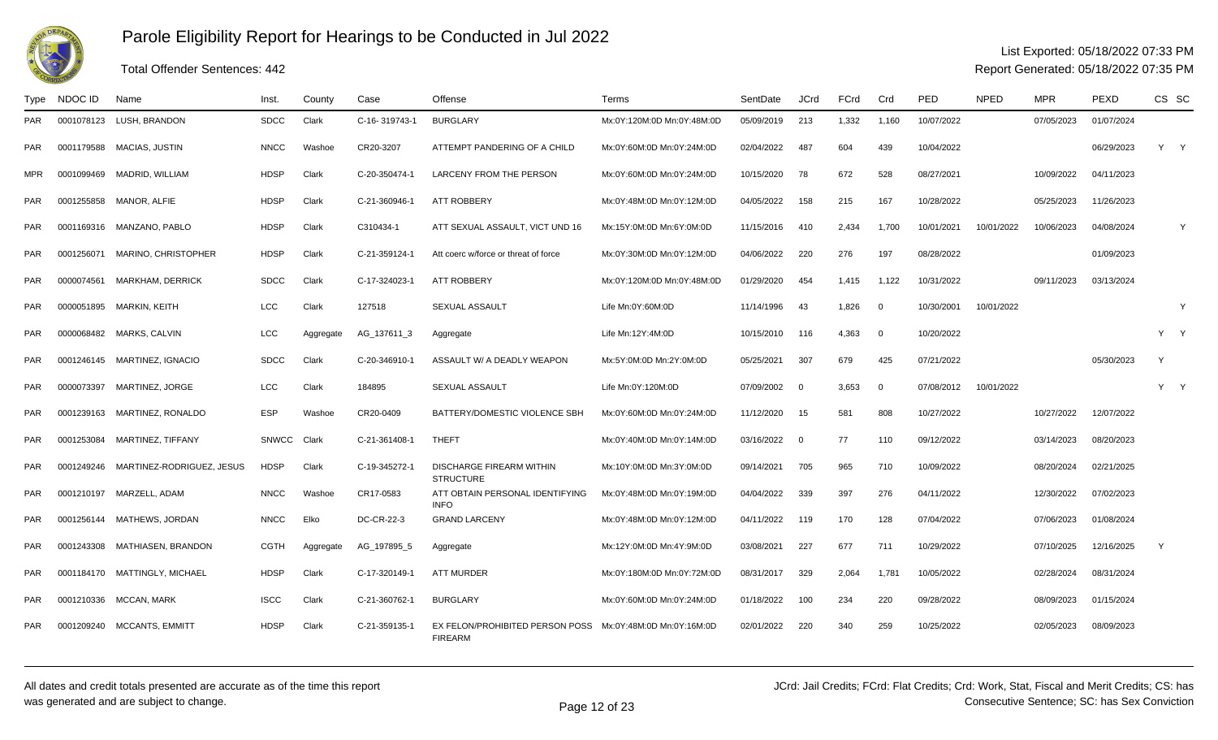

## Total Offender Sentences: 442

### List Exported: 05/18/2022 07:33 PM

| Type       | NDOC ID    | Name                           | Inst         | County    | Case          | Offense                                             | Terms                      | SentDate   | <b>JCrd</b>             | FCrd  | Crd            | <b>PED</b> | <b>NPED</b> | <b>MPR</b> | <b>PEXD</b> | CS SC        |     |
|------------|------------|--------------------------------|--------------|-----------|---------------|-----------------------------------------------------|----------------------------|------------|-------------------------|-------|----------------|------------|-------------|------------|-------------|--------------|-----|
| PAR.       |            | 0001078123 LUSH, BRANDON       | <b>SDCC</b>  | Clark     | C-16-319743-1 | <b>BURGLARY</b>                                     | Mx:0Y:120M:0D Mn:0Y:48M:0D | 05/09/2019 | 213                     | 1,332 | 1,160          | 10/07/2022 |             | 07/05/2023 | 01/07/2024  |              |     |
| PAR        |            | 0001179588 MACIAS, JUSTIN      | <b>NNCC</b>  | Washoe    | CR20-3207     | ATTEMPT PANDERING OF A CHILD                        | Mx:0Y:60M:0D Mn:0Y:24M:0D  | 02/04/2022 | 487                     | 604   | 439            | 10/04/2022 |             |            | 06/29/2023  | Y Y          |     |
| <b>MPR</b> | 0001099469 | MADRID, WILLIAM                | <b>HDSP</b>  | Clark     | C-20-350474-1 | LARCENY FROM THE PERSON                             | Mx:0Y:60M:0D Mn:0Y:24M:0D  | 10/15/2020 | 78                      | 672   | 528            | 08/27/2021 |             | 10/09/2022 | 04/11/2023  |              |     |
| PAR        | 0001255858 | MANOR, ALFIE                   | <b>HDSP</b>  | Clark     | C-21-360946-1 | <b>ATT ROBBERY</b>                                  | Mx:0Y:48M:0D Mn:0Y:12M:0D  | 04/05/2022 | 158                     | 215   | 167            | 10/28/2022 |             | 05/25/2023 | 11/26/2023  |              |     |
| <b>PAR</b> |            | 0001169316 MANZANO, PABLO      | <b>HDSP</b>  | Clark     | C310434-1     | ATT SEXUAL ASSAULT, VICT UND 16                     | Mx:15Y:0M:0D Mn:6Y:0M:0D   | 11/15/2016 | 410                     | 2,434 | 1,700          | 10/01/2021 | 10/01/2022  | 10/06/2023 | 04/08/2024  |              | Y   |
| PAR.       |            | 0001256071 MARINO, CHRISTOPHER | <b>HDSP</b>  | Clark     | C-21-359124-1 | Att coerc w/force or threat of force                | Mx:0Y:30M:0D Mn:0Y:12M:0D  | 04/06/2022 | 220                     | 276   | 197            | 08/28/2022 |             |            | 01/09/2023  |              |     |
| PAR        |            | 0000074561 MARKHAM, DERRICK    | <b>SDCC</b>  | Clark     | C-17-324023-1 | <b>ATT ROBBERY</b>                                  | Mx:0Y:120M:0D Mn:0Y:48M:0D | 01/29/2020 | 454                     | 1,415 | 1,122          | 10/31/2022 |             | 09/11/2023 | 03/13/2024  |              |     |
| PAR        | 0000051895 | MARKIN, KEITH                  | LCC          | Clark     | 127518        | <b>SEXUAL ASSAULT</b>                               | Life Mn:0Y:60M:0D          | 11/14/1996 | 43                      | 1,826 | $\overline{0}$ | 10/30/2001 | 10/01/2022  |            |             |              | Y   |
| <b>PAR</b> | 0000068482 | <b>MARKS, CALVIN</b>           | LCC          | Aggregate | AG 137611 3   | Aggregate                                           | Life Mn:12Y:4M:0D          | 10/15/2010 | 116                     | 4.363 | $\overline{0}$ | 10/20/2022 |             |            |             |              | Y Y |
| PAR        | 0001246145 | MARTINEZ, IGNACIO              | <b>SDCC</b>  | Clark     | C-20-346910-1 | ASSAULT W/ A DEADLY WEAPON                          | Mx:5Y:0M:0D Mn:2Y:0M:0D    | 05/25/2021 | 307                     | 679   | 425            | 07/21/2022 |             |            | 05/30/2023  | $\mathsf{Y}$ |     |
| <b>PAR</b> | 0000073397 | MARTINEZ, JORGE                | LCC          | Clark     | 184895        | <b>SEXUAL ASSAULT</b>                               | Life Mn:0Y:120M:0D         | 07/09/2002 | $\overline{\mathbf{0}}$ | 3,653 | $\overline{0}$ | 07/08/2012 | 10/01/2022  |            |             | Y Y          |     |
| <b>PAR</b> |            | 0001239163 MARTINEZ, RONALDO   | <b>ESP</b>   | Washoe    | CR20-0409     | BATTERY/DOMESTIC VIOLENCE SBH                       | Mx:0Y:60M:0D Mn:0Y:24M:0D  | 11/12/2020 | 15                      | 581   | 808            | 10/27/2022 |             | 10/27/2022 | 12/07/2022  |              |     |
| PAR        | 0001253084 | MARTINEZ, TIFFANY              | <b>SNWCC</b> | Clark     | C-21-361408-1 | <b>THEFT</b>                                        | Mx:0Y:40M:0D Mn:0Y:14M:0D  | 03/16/2022 | $\overline{\mathbf{0}}$ | 77    | 110            | 09/12/2022 |             | 03/14/2023 | 08/20/2023  |              |     |
| <b>PAR</b> | 0001249246 | MARTINEZ-RODRIGUEZ, JESUS      | <b>HDSP</b>  | Clark     | C-19-345272-1 | <b>DISCHARGE FIREARM WITHIN</b><br><b>STRUCTURE</b> | Mx:10Y:0M:0D Mn:3Y:0M:0D   | 09/14/2021 | 705                     | 965   | 710            | 10/09/2022 |             | 08/20/2024 | 02/21/2025  |              |     |
| <b>PAR</b> | 0001210197 | MARZELL, ADAM                  | <b>NNCC</b>  | Washoe    | CR17-0583     | ATT OBTAIN PERSONAL IDENTIFYING<br><b>INFO</b>      | Mx:0Y:48M:0D Mn:0Y:19M:0D  | 04/04/2022 | 339                     | 397   | 276            | 04/11/2022 |             | 12/30/2022 | 07/02/2023  |              |     |
| PAR        | 0001256144 | MATHEWS, JORDAN                | <b>NNCC</b>  | Elko      | DC-CR-22-3    | <b>GRAND LARCENY</b>                                | Mx:0Y:48M:0D Mn:0Y:12M:0D  | 04/11/2022 | 119                     | 170   | 128            | 07/04/2022 |             | 07/06/2023 | 01/08/2024  |              |     |
| <b>PAR</b> |            | 0001243308 MATHIASEN, BRANDON  | <b>CGTH</b>  | Aggregate | AG_197895_5   | Aggregate                                           | Mx:12Y:0M:0D Mn:4Y:9M:0D   | 03/08/2021 | 227                     | 677   | 711            | 10/29/2022 |             | 07/10/2025 | 12/16/2025  | Y            |     |
| PAR        |            | 0001184170 MATTINGLY, MICHAEL  | <b>HDSP</b>  | Clark     | C-17-320149-1 | <b>ATT MURDER</b>                                   | Mx:0Y:180M:0D Mn:0Y:72M:0D | 08/31/2017 | 329                     | 2,064 | 1,781          | 10/05/2022 |             | 02/28/2024 | 08/31/2024  |              |     |
| PAR        |            | 0001210336 MCCAN, MARK         | <b>ISCC</b>  | Clark     | C-21-360762-1 | <b>BURGLARY</b>                                     | Mx:0Y:60M:0D Mn:0Y:24M:0D  | 01/18/2022 | 100                     | 234   | 220            | 09/28/2022 |             | 08/09/2023 | 01/15/2024  |              |     |
| <b>PAR</b> | 0001209240 | <b>MCCANTS, EMMITT</b>         | <b>HDSP</b>  | Clark     | C-21-359135-1 | EX FELON/PROHIBITED PERSON POSS<br><b>FIREARM</b>   | Mx:0Y:48M:0D Mn:0Y:16M:0D  | 02/01/2022 | 220                     | 340   | 259            | 10/25/2022 |             | 02/05/2023 | 08/09/2023  |              |     |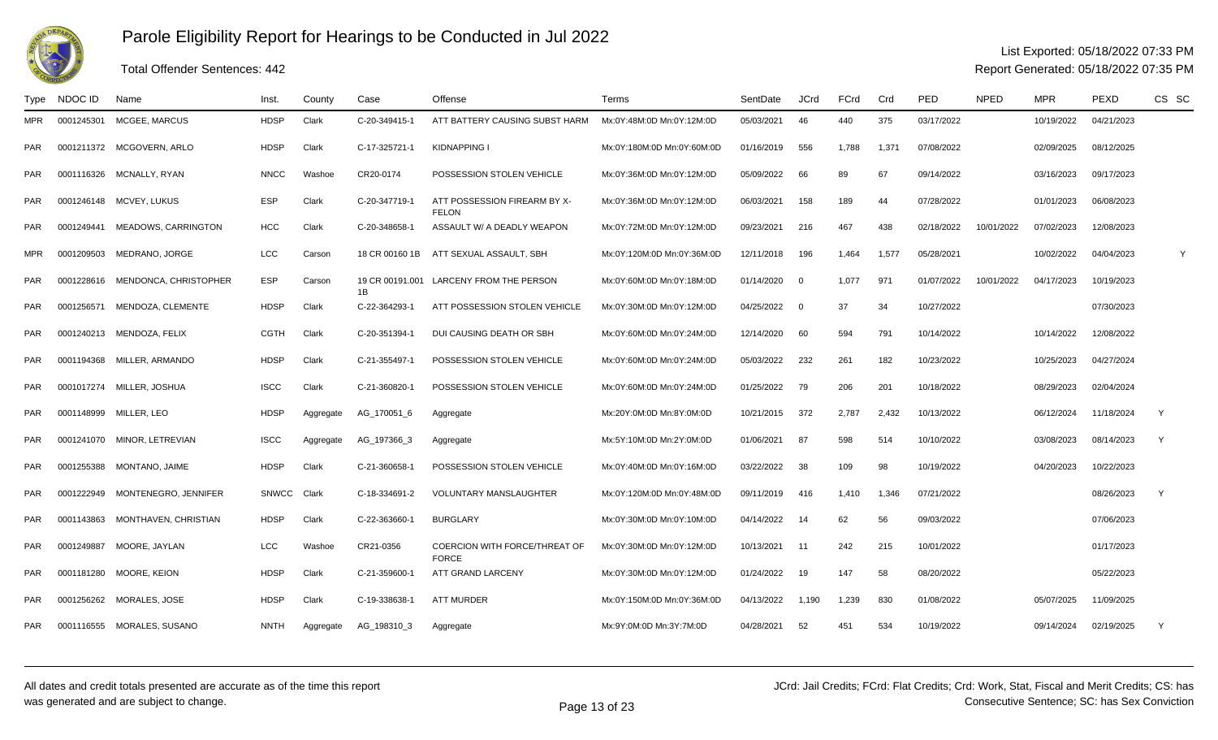

## Total Offender Sentences: 442

#### List Exported: 05/18/2022 07:33 PM

| Type       | NDOC ID    | Name                             | Inst.        | County    | Case           | Offense                                              | Terms                      | SentDate   | <b>JCrd</b> | FCrd  | Crd   | <b>PED</b> | <b>NPED</b> | <b>MPR</b> | <b>PEXD</b> | CS SC |
|------------|------------|----------------------------------|--------------|-----------|----------------|------------------------------------------------------|----------------------------|------------|-------------|-------|-------|------------|-------------|------------|-------------|-------|
| <b>MPR</b> | 0001245301 | MCGEE, MARCUS                    | <b>HDSP</b>  | Clark     | C-20-349415-1  | ATT BATTERY CAUSING SUBST HARM                       | Mx:0Y:48M:0D Mn:0Y:12M:0D  | 05/03/2021 | 46          | 440   | 375   | 03/17/2022 |             | 10/19/2022 | 04/21/2023  |       |
| PAR.       |            | 0001211372 MCGOVERN, ARLO        | <b>HDSP</b>  | Clark     | C-17-325721-1  | <b>KIDNAPPING I</b>                                  | Mx:0Y:180M:0D Mn:0Y:60M:0D | 01/16/2019 | 556         | 1,788 | 1,371 | 07/08/2022 |             | 02/09/2025 | 08/12/2025  |       |
| <b>PAR</b> |            | 0001116326 MCNALLY, RYAN         | <b>NNCC</b>  | Washoe    | CR20-0174      | POSSESSION STOLEN VEHICLE                            | Mx:0Y:36M:0D Mn:0Y:12M:0D  | 05/09/2022 | 66          | 89    | 67    | 09/14/2022 |             | 03/16/2023 | 09/17/2023  |       |
| <b>PAR</b> |            | 0001246148 MCVEY, LUKUS          | <b>ESP</b>   | Clark     | C-20-347719-1  | ATT POSSESSION FIREARM BY X-<br><b>FELON</b>         | Mx:0Y:36M:0D Mn:0Y:12M:0D  | 06/03/2021 | 158         | 189   | 44    | 07/28/2022 |             | 01/01/2023 | 06/08/2023  |       |
| <b>PAR</b> | 0001249441 | MEADOWS, CARRINGTON              | <b>HCC</b>   | Clark     | C-20-348658-1  | ASSAULT W/ A DEADLY WEAPON                           | Mx:0Y:72M:0D Mn:0Y:12M:0D  | 09/23/2021 | 216         | 467   | 438   | 02/18/2022 | 10/01/2022  | 07/02/2023 | 12/08/2023  |       |
| <b>MPR</b> | 0001209503 | MEDRANO, JORGE                   | LCC          | Carson    | 18 CR 00160 1B | ATT SEXUAL ASSAULT. SBH                              | Mx:0Y:120M:0D Mn:0Y:36M:0D | 12/11/2018 | 196         | 1.464 | 1,577 | 05/28/2021 |             | 10/02/2022 | 04/04/2023  | Y     |
| <b>PAR</b> |            | 0001228616 MENDONCA, CHRISTOPHER | <b>ESP</b>   | Carson    | 1B             | 19 CR 00191.001 LARCENY FROM THE PERSON              | Mx:0Y:60M:0D Mn:0Y:18M:0D  | 01/14/2020 | $\Omega$    | 1,077 | 971   | 01/07/2022 | 10/01/2022  | 04/17/2023 | 10/19/2023  |       |
| PAR        | 0001256571 | MENDOZA, CLEMENTE                | <b>HDSP</b>  | Clark     | C-22-364293-   | ATT POSSESSION STOLEN VEHICLE                        | Mx:0Y:30M:0D Mn:0Y:12M:0D  | 04/25/2022 | $\Omega$    | 37    | 34    | 10/27/2022 |             |            | 07/30/2023  |       |
| <b>PAR</b> |            | 0001240213 MENDOZA, FELIX        | <b>CGTH</b>  | Clark     | C-20-351394-1  | DUI CAUSING DEATH OR SBH                             | Mx:0Y:60M:0D Mn:0Y:24M:0D  | 12/14/2020 | 60          | 594   | 791   | 10/14/2022 |             | 10/14/2022 | 12/08/2022  |       |
| PAR.       |            | 0001194368 MILLER, ARMANDO       | <b>HDSP</b>  | Clark     | C-21-355497-   | POSSESSION STOLEN VEHICLE                            | Mx:0Y:60M:0D Mn:0Y:24M:0D  | 05/03/2022 | 232         | 261   | 182   | 10/23/2022 |             | 10/25/2023 | 04/27/2024  |       |
| <b>PAR</b> |            | 0001017274 MILLER, JOSHUA        | <b>ISCC</b>  | Clark     | C-21-360820-   | POSSESSION STOLEN VEHICLE                            | Mx:0Y:60M:0D Mn:0Y:24M:0D  | 01/25/2022 | 79          | 206   | 201   | 10/18/2022 |             | 08/29/2023 | 02/04/2024  |       |
| <b>PAR</b> |            | 0001148999 MILLER, LEO           | <b>HDSP</b>  | Aggregate | AG_170051_6    | Aggregate                                            | Mx:20Y:0M:0D Mn:8Y:0M:0D   | 10/21/2015 | 372         | 2,787 | 2,432 | 10/13/2022 |             | 06/12/2024 | 11/18/2024  | Y     |
| <b>PAR</b> |            | 0001241070 MINOR, LETREVIAN      | <b>ISCC</b>  | Aggregate | AG_197366_3    | Aggregate                                            | Mx:5Y:10M:0D Mn:2Y:0M:0D   | 01/06/2021 | 87          | 598   | 514   | 10/10/2022 |             | 03/08/2023 | 08/14/2023  | Y     |
| PAR        |            | 0001255388 MONTANO, JAIME        | <b>HDSP</b>  | Clark     | C-21-360658-   | POSSESSION STOLEN VEHICLE                            | Mx:0Y:40M:0D Mn:0Y:16M:0D  | 03/22/2022 | 38          | 109   | 98    | 10/19/2022 |             | 04/20/2023 | 10/22/2023  |       |
| <b>PAR</b> | 0001222949 | MONTENEGRO, JENNIFER             | <b>SNWCC</b> | Clark     | C-18-334691-2  | <b>VOLUNTARY MANSLAUGHTER</b>                        | Mx:0Y:120M:0D Mn:0Y:48M:0D | 09/11/2019 | 416         | 1,410 | 1,346 | 07/21/2022 |             |            | 08/26/2023  | Y     |
| PAR        | 0001143863 | MONTHAVEN, CHRISTIAN             | <b>HDSP</b>  | Clark     | C-22-363660-1  | <b>BURGLARY</b>                                      | Mx:0Y:30M:0D Mn:0Y:10M:0D  | 04/14/2022 | -14         | 62    | 56    | 09/03/2022 |             |            | 07/06/2023  |       |
| <b>PAR</b> | 0001249887 | MOORE, JAYLAN                    | <b>LCC</b>   | Washoe    | CR21-0356      | <b>COERCION WITH FORCE/THREAT OF</b><br><b>FORCE</b> | Mx:0Y:30M:0D Mn:0Y:12M:0D  | 10/13/2021 | 11          | 242   | 215   | 10/01/2022 |             |            | 01/17/2023  |       |
| PAR.       | 0001181280 | <b>MOORE, KEION</b>              | <b>HDSP</b>  | Clark     | C-21-359600-   | ATT GRAND LARCENY                                    | Mx:0Y:30M:0D Mn:0Y:12M:0D  | 01/24/2022 | 19          | 147   | 58    | 08/20/2022 |             |            | 05/22/2023  |       |
| <b>PAR</b> |            | 0001256262 MORALES, JOSE         | <b>HDSP</b>  | Clark     | C-19-338638-   | <b>ATT MURDER</b>                                    | Mx:0Y:150M:0D Mn:0Y:36M:0D | 04/13/2022 | 1,190       | 1,239 | 830   | 01/08/2022 |             | 05/07/2025 | 11/09/2025  |       |
| <b>PAR</b> |            | 0001116555 MORALES, SUSANO       | <b>NNTH</b>  | Aggregate | AG_198310_3    | Aggregate                                            | Mx:9Y:0M:0D Mn:3Y:7M:0D    | 04/28/2021 | 52          | 451   | 534   | 10/19/2022 |             | 09/14/2024 | 02/19/2025  | Y     |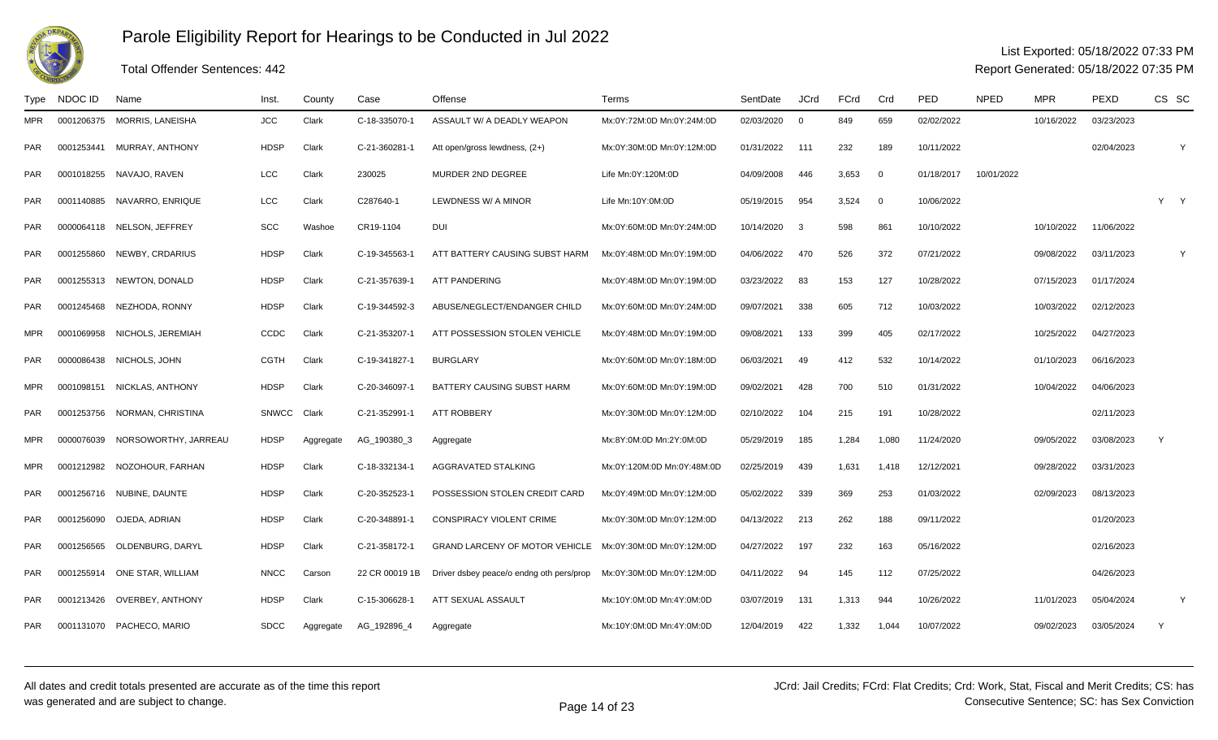

### Total Offender Sentences: 442

### List Exported: 05/18/2022 07:33 PM

| Type       | NDOC ID    | Name                        | Inst.        | County    | Case           | Offense                                  | Terms                      | SentDate   | <b>JCrd</b>    | FCrd  | Crd            | PED        | <b>NPED</b> | <b>MPR</b> | <b>PEXD</b> | CS SC |   |
|------------|------------|-----------------------------|--------------|-----------|----------------|------------------------------------------|----------------------------|------------|----------------|-------|----------------|------------|-------------|------------|-------------|-------|---|
| MPR.       | 0001206375 | MORRIS, LANEISHA            | <b>JCC</b>   | Clark     | C-18-335070-1  | ASSAULT W/ A DEADLY WEAPON               | Mx:0Y:72M:0D Mn:0Y:24M:0D  | 02/03/2020 | $\overline{0}$ | 849   | 659            | 02/02/2022 |             | 10/16/2022 | 03/23/2023  |       |   |
| PAR        |            | 0001253441 MURRAY, ANTHONY  | <b>HDSP</b>  | Clark     | C-21-360281-1  | Att open/gross lewdness, (2+)            | Mx:0Y:30M:0D Mn:0Y:12M:0D  | 01/31/2022 | 111            | 232   | 189            | 10/11/2022 |             |            | 02/04/2023  |       | Y |
| PAR        |            | 0001018255 NAVAJO, RAVEN    | LCC          | Clark     | 230025         | MURDER 2ND DEGREE                        | Life Mn:0Y:120M:0D         | 04/09/2008 | 446            | 3,653 | $\overline{0}$ | 01/18/2017 | 10/01/2022  |            |             |       |   |
| PAR        | 0001140885 | NAVARRO. ENRIQUE            | LCC          | Clark     | C287640-1      | LEWDNESS W/ A MINOR                      | Life Mn:10Y:0M:0D          | 05/19/2015 | 954            | 3,524 | $\overline{0}$ | 10/06/2022 |             |            |             | Y Y   |   |
| <b>PAR</b> |            | 0000064118 NELSON, JEFFREY  | <b>SCC</b>   | Washoe    | CR19-1104      | DUI                                      | Mx:0Y:60M:0D Mn:0Y:24M:0D  | 10/14/2020 | 3              | 598   | 861            | 10/10/2022 |             | 10/10/2022 | 11/06/2022  |       |   |
| PAR        | 0001255860 | NEWBY, CRDARIUS             | <b>HDSP</b>  | Clark     | C-19-345563-1  | ATT BATTERY CAUSING SUBST HARM           | Mx:0Y:48M:0D Mn:0Y:19M:0D  | 04/06/2022 | 470            | 526   | 372            | 07/21/2022 |             | 09/08/2022 | 03/11/2023  |       | Y |
| <b>PAR</b> |            | 0001255313 NEWTON, DONALD   | <b>HDSP</b>  | Clark     | C-21-357639-1  | <b>ATT PANDERING</b>                     | Mx:0Y:48M:0D Mn:0Y:19M:0D  | 03/23/2022 | 83             | 153   | 127            | 10/28/2022 |             | 07/15/2023 | 01/17/2024  |       |   |
| PAR        |            | 0001245468 NEZHODA, RONNY   | <b>HDSP</b>  | Clark     | C-19-344592-3  | ABUSE/NEGLECT/ENDANGER CHILD             | Mx:0Y:60M:0D Mn:0Y:24M:0D  | 09/07/2021 | 338            | 605   | 712            | 10/03/2022 |             | 10/03/2022 | 02/12/2023  |       |   |
| <b>MPR</b> | 0001069958 | NICHOLS, JEREMIAH           | CCDC         | Clark     | C-21-353207-1  | ATT POSSESSION STOLEN VEHICLE            | Mx:0Y:48M:0D Mn:0Y:19M:0D  | 09/08/2021 | 133            | 399   | 405            | 02/17/2022 |             | 10/25/2022 | 04/27/2023  |       |   |
| PAR        | 0000086438 | NICHOLS, JOHN               | <b>CGTH</b>  | Clark     | C-19-341827-1  | <b>BURGLARY</b>                          | Mx:0Y:60M:0D Mn:0Y:18M:0D  | 06/03/2021 | 49             | 412   | 532            | 10/14/2022 |             | 01/10/2023 | 06/16/2023  |       |   |
| <b>MPR</b> | 0001098151 | NICKLAS, ANTHONY            | <b>HDSP</b>  | Clark     | C-20-346097-1  | <b>BATTERY CAUSING SUBST HARM</b>        | Mx:0Y:60M:0D Mn:0Y:19M:0D  | 09/02/2021 | 428            | 700   | 510            | 01/31/2022 |             | 10/04/2022 | 04/06/2023  |       |   |
| <b>PAR</b> | 0001253756 | NORMAN, CHRISTINA           | <b>SNWCC</b> | Clark     | C-21-352991-1  | <b>ATT ROBBERY</b>                       | Mx:0Y:30M:0D Mn:0Y:12M:0D  | 02/10/2022 | 104            | 215   | 191            | 10/28/2022 |             |            | 02/11/2023  |       |   |
| <b>MPR</b> | 0000076039 | NORSOWORTHY, JARREAU        | <b>HDSP</b>  | Aggregate | AG 190380 3    | Aggregate                                | Mx:8Y:0M:0D Mn:2Y:0M:0D    | 05/29/2019 | 185            | 1.284 | 1.080          | 11/24/2020 |             | 09/05/2022 | 03/08/2023  | Y     |   |
| MPR        |            | 0001212982 NOZOHOUR, FARHAN | <b>HDSP</b>  | Clark     | C-18-332134-1  | AGGRAVATED STALKING                      | Mx:0Y:120M:0D Mn:0Y:48M:0D | 02/25/2019 | 439            | 1,631 | 1,418          | 12/12/2021 |             | 09/28/2022 | 03/31/2023  |       |   |
| PAR        |            | 0001256716 NUBINE, DAUNTE   | <b>HDSP</b>  | Clark     | C-20-352523-1  | POSSESSION STOLEN CREDIT CARD            | Mx:0Y:49M:0D Mn:0Y:12M:0D  | 05/02/2022 | 339            | 369   | 253            | 01/03/2022 |             | 02/09/2023 | 08/13/2023  |       |   |
| PAR        | 0001256090 | OJEDA, ADRIAN               | <b>HDSP</b>  | Clark     | C-20-348891-1  | CONSPIRACY VIOLENT CRIME                 | Mx:0Y:30M:0D Mn:0Y:12M:0D  | 04/13/2022 | 213            | 262   | 188            | 09/11/2022 |             |            | 01/20/2023  |       |   |
| <b>PAR</b> | 0001256565 | OLDENBURG, DARYL            | <b>HDSP</b>  | Clark     | C-21-358172-1  | GRAND LARCENY OF MOTOR VEHICLE           | Mx:0Y:30M:0D Mn:0Y:12M:0D  | 04/27/2022 | 197            | 232   | 163            | 05/16/2022 |             |            | 02/16/2023  |       |   |
| PAR        | 0001255914 | ONE STAR, WILLIAM           | <b>NNCC</b>  | Carson    | 22 CR 00019 1B | Driver dsbey peace/o endng oth pers/prop | Mx:0Y:30M:0D Mn:0Y:12M:0D  | 04/11/2022 | 94             | 145   | 112            | 07/25/2022 |             |            | 04/26/2023  |       |   |
| PAR        |            | 0001213426 OVERBEY, ANTHONY | <b>HDSP</b>  | Clark     | C-15-306628-1  | ATT SEXUAL ASSAULT                       | Mx:10Y:0M:0D Mn:4Y:0M:0D   | 03/07/2019 | 131            | 1,313 | 944            | 10/26/2022 |             | 11/01/2023 | 05/04/2024  |       | Y |
| PAR.       |            | 0001131070 PACHECO, MARIO   | <b>SDCC</b>  | Aggregate | AG_192896_4    | Aggregate                                | Mx:10Y:0M:0D Mn:4Y:0M:0D   | 12/04/2019 | 422            | 1,332 | 1,044          | 10/07/2022 |             | 09/02/2023 | 03/05/2024  | Y     |   |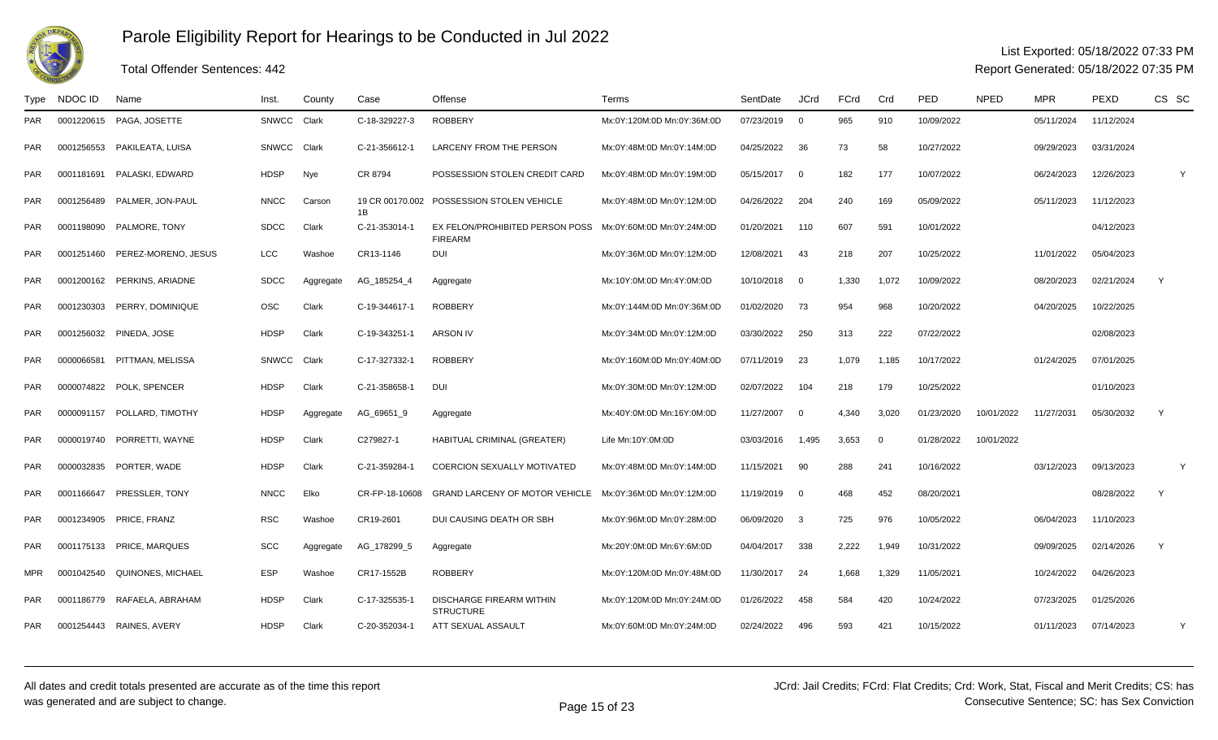

#### Total Offender Sentences: 442

#### List Exported: 05/18/2022 07:33 PM

| Type       | NDOC ID    | Name                        | Inst.        | County    | Case                  | Offense                                             | Terms                      | SentDate   | <b>JCrd</b>              | FCrd  | Crd         | PED        | <b>NPED</b> | <b>MPR</b> | <b>PEXD</b> | CS SC |
|------------|------------|-----------------------------|--------------|-----------|-----------------------|-----------------------------------------------------|----------------------------|------------|--------------------------|-------|-------------|------------|-------------|------------|-------------|-------|
| <b>PAR</b> | 0001220615 | PAGA, JOSETTE               | <b>SNWCC</b> | Clark     | C-18-329227-3         | <b>ROBBERY</b>                                      | Mx:0Y:120M:0D Mn:0Y:36M:0D | 07/23/2019 | $\overline{0}$           | 965   | 910         | 10/09/2022 |             | 05/11/2024 | 11/12/2024  |       |
| <b>PAR</b> | 0001256553 | PAKILEATA, LUISA            | <b>SNWCC</b> | Clark     | C-21-356612-1         | <b>LARCENY FROM THE PERSON</b>                      | Mx:0Y:48M:0D Mn:0Y:14M:0D  | 04/25/2022 | 36                       | 73    | 58          | 10/27/2022 |             | 09/29/2023 | 03/31/2024  |       |
| <b>PAR</b> |            | 0001181691 PALASKI, EDWARD  | <b>HDSP</b>  | Nye       | CR 8794               | POSSESSION STOLEN CREDIT CARD                       | Mx:0Y:48M:0D Mn:0Y:19M:0D  | 05/15/2017 | $\overline{\phantom{0}}$ | 182   | 177         | 10/07/2022 |             | 06/24/2023 | 12/26/2023  | Y     |
| <b>PAR</b> | 0001256489 | PALMER, JON-PAUL            | <b>NNCC</b>  | Carson    | 19 CR 00170.002<br>1B | POSSESSION STOLEN VEHICLE                           | Mx:0Y:48M:0D Mn:0Y:12M:0D  | 04/26/2022 | 204                      | 240   | 169         | 05/09/2022 |             | 05/11/2023 | 11/12/2023  |       |
| <b>PAR</b> | 0001198090 | PALMORE, TONY               | <b>SDCC</b>  | Clark     | C-21-353014-1         | EX FELON/PROHIBITED PERSON POSS<br><b>FIREARM</b>   | Mx:0Y:60M:0D Mn:0Y:24M:0D  | 01/20/2021 | 110                      | 607   | 591         | 10/01/2022 |             |            | 04/12/2023  |       |
| <b>PAR</b> | 0001251460 | PEREZ-MORENO, JESUS         | <b>LCC</b>   | Washoe    | CR13-1146             | <b>DUI</b>                                          | Mx:0Y:36M:0D Mn:0Y:12M:0D  | 12/08/2021 | 43                       | 218   | 207         | 10/25/2022 |             | 11/01/2022 | 05/04/2023  |       |
| <b>PAR</b> |            | 0001200162 PERKINS, ARIADNE | <b>SDCC</b>  | Aggregate | AG_185254_4           | Aggregate                                           | Mx:10Y:0M:0D Mn:4Y:0M:0D   | 10/10/2018 | $\overline{\mathbf{0}}$  | 1,330 | 1,072       | 10/09/2022 |             | 08/20/2023 | 02/21/2024  | Y     |
| PAR        | 0001230303 | PERRY, DOMINIQUE            | <b>OSC</b>   | Clark     | C-19-344617-1         | <b>ROBBERY</b>                                      | Mx:0Y:144M:0D Mn:0Y:36M:0D | 01/02/2020 | 73                       | 954   | 968         | 10/20/2022 |             | 04/20/2025 | 10/22/2025  |       |
| PAR        |            | 0001256032 PINEDA, JOSE     | <b>HDSP</b>  | Clark     | C-19-343251-1         | <b>ARSON IV</b>                                     | Mx:0Y:34M:0D Mn:0Y:12M:0D  | 03/30/2022 | 250                      | 313   | 222         | 07/22/2022 |             |            | 02/08/2023  |       |
| <b>PAR</b> | 0000066581 | PITTMAN, MELISSA            | <b>SNWCC</b> | Clark     | C-17-327332-1         | <b>ROBBERY</b>                                      | Mx:0Y:160M:0D Mn:0Y:40M:0D | 07/11/2019 | 23                       | 1.079 | 1.185       | 10/17/2022 |             | 01/24/2025 | 07/01/2025  |       |
| <b>PAR</b> | 0000074822 | POLK, SPENCER               | HDSP         | Clark     | C-21-358658-1         | <b>DUI</b>                                          | Mx:0Y:30M:0D Mn:0Y:12M:0D  | 02/07/2022 | 104                      | 218   | 179         | 10/25/2022 |             |            | 01/10/2023  |       |
| <b>PAR</b> | 0000091157 | POLLARD. TIMOTHY            | <b>HDSP</b>  | Aggregate | AG_69651_9            | Aggregate                                           | Mx:40Y:0M:0D Mn:16Y:0M:0D  | 11/27/2007 | $\overline{0}$           | 4,340 | 3,020       | 01/23/2020 | 10/01/2022  | 11/27/2031 | 05/30/2032  | Y     |
| <b>PAR</b> | 0000019740 | PORRETTI, WAYNE             | HDSP         | Clark     | C279827-1             | HABITUAL CRIMINAL (GREATER)                         | Life Mn:10Y:0M:0D          | 03/03/2016 | 1.495                    | 3,653 | $\mathbf 0$ | 01/28/2022 | 10/01/2022  |            |             |       |
| <b>PAR</b> |            | 0000032835 PORTER, WADE     | <b>HDSP</b>  | Clark     | C-21-359284-1         | <b>COERCION SEXUALLY MOTIVATED</b>                  | Mx:0Y:48M:0D Mn:0Y:14M:0D  | 11/15/2021 | 90                       | 288   | 241         | 10/16/2022 |             | 03/12/2023 | 09/13/2023  | Y     |
| <b>PAR</b> | 0001166647 | PRESSLER, TONY              | <b>NNCC</b>  | Elko      | CR-FP-18-10608        | <b>GRAND LARCENY OF MOTOR VEHICLE</b>               | Mx:0Y:36M:0D Mn:0Y:12M:0D  | 11/19/2019 | $\overline{\mathbf{0}}$  | 468   | 452         | 08/20/2021 |             |            | 08/28/2022  | Y     |
| <b>PAR</b> | 0001234905 | PRICE, FRANZ                | <b>RSC</b>   | Washoe    | CR19-2601             | DUI CAUSING DEATH OR SBH                            | Mx:0Y:96M:0D Mn:0Y:28M:0D  | 06/09/2020 | $\overline{\mathbf{3}}$  | 725   | 976         | 10/05/2022 |             | 06/04/2023 | 11/10/2023  |       |
| <b>PAR</b> |            | 0001175133 PRICE, MARQUES   | <b>SCC</b>   | Aggregate | AG_178299_5           | Aggregate                                           | Mx:20Y:0M:0D Mn:6Y:6M:0D   | 04/04/2017 | 338                      | 2,222 | 1,949       | 10/31/2022 |             | 09/09/2025 | 02/14/2026  | Y     |
| <b>MPR</b> | 0001042540 | QUINONES, MICHAEL           | <b>ESP</b>   | Washoe    | CR17-1552B            | <b>ROBBERY</b>                                      | Mx:0Y:120M:0D Mn:0Y:48M:0D | 11/30/2017 | -24                      | 1.668 | 1,329       | 11/05/2021 |             | 10/24/2022 | 04/26/2023  |       |
| <b>PAR</b> | 0001186779 | RAFAELA, ABRAHAM            | <b>HDSP</b>  | Clark     | C-17-325535-1         | <b>DISCHARGE FIREARM WITHIN</b><br><b>STRUCTURE</b> | Mx:0Y:120M:0D Mn:0Y:24M:0D | 01/26/2022 | 458                      | 584   | 420         | 10/24/2022 |             | 07/23/2025 | 01/25/2026  |       |
| <b>PAR</b> |            | 0001254443 RAINES, AVERY    | <b>HDSP</b>  | Clark     | C-20-352034-1         | ATT SEXUAL ASSAULT                                  | Mx:0Y:60M:0D Mn:0Y:24M:0D  | 02/24/2022 | 496                      | 593   | 421         | 10/15/2022 |             | 01/11/2023 | 07/14/2023  | Y     |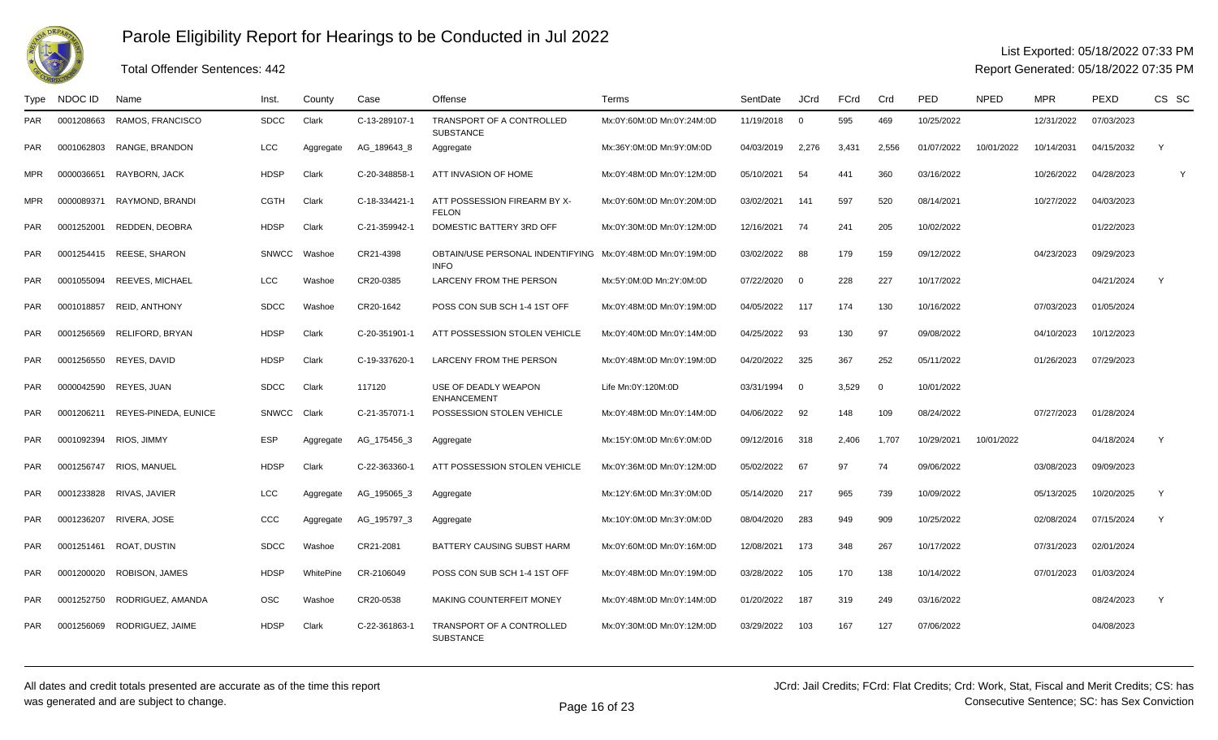

## List Exported: 05/18/2022 07:33 PM

Report Generated: 05/18/2022 07:35 PM

| Type       | NDOC ID    | Name                            | Inst.        | County    | Case          | Offense                                                                   | Terms                     | SentDate   | <b>JCrd</b>    | <b>FCrd</b> | Crd      | <b>PED</b> | <b>NPED</b> | <b>MPR</b> | PEXD       | CS SC |
|------------|------------|---------------------------------|--------------|-----------|---------------|---------------------------------------------------------------------------|---------------------------|------------|----------------|-------------|----------|------------|-------------|------------|------------|-------|
| <b>PAR</b> | 0001208663 | RAMOS, FRANCISCO                | <b>SDCC</b>  | Clark     | C-13-289107-1 | TRANSPORT OF A CONTROLLED<br><b>SUBSTANCE</b>                             | Mx:0Y:60M:0D Mn:0Y:24M:0D | 11/19/2018 | $\overline{0}$ | 595         | 469      | 10/25/2022 |             | 12/31/2022 | 07/03/2023 |       |
| <b>PAR</b> |            | 0001062803 RANGE, BRANDON       | LCC          | Aggregate | AG_189643_8   | Aggregate                                                                 | Mx:36Y:0M:0D Mn:9Y:0M:0D  | 04/03/2019 | 2,276          | 3,431       | 2,556    | 01/07/2022 | 10/01/2022  | 10/14/2031 | 04/15/2032 | Y     |
| <b>MPR</b> | 0000036651 | RAYBORN, JACK                   | <b>HDSP</b>  | Clark     | C-20-348858-1 | ATT INVASION OF HOME                                                      | Mx:0Y:48M:0D Mn:0Y:12M:0D | 05/10/2021 | 54             | 441         | 360      | 03/16/2022 |             | 10/26/2022 | 04/28/2023 |       |
| <b>MPR</b> | 0000089371 | RAYMOND, BRANDI                 | <b>CGTH</b>  | Clark     | C-18-334421-1 | ATT POSSESSION FIREARM BY X-<br><b>FELON</b>                              | Mx:0Y:60M:0D Mn:0Y:20M:0D | 03/02/2021 | 141            | 597         | 520      | 08/14/2021 |             | 10/27/2022 | 04/03/2023 |       |
| <b>PAR</b> | 0001252001 | REDDEN, DEOBRA                  | <b>HDSP</b>  | Clark     | C-21-359942-1 | DOMESTIC BATTERY 3RD OFF                                                  | Mx:0Y:30M:0D Mn:0Y:12M:0D | 12/16/2021 | 74             | 241         | 205      | 10/02/2022 |             |            | 01/22/2023 |       |
| <b>PAR</b> |            | 0001254415 REESE, SHARON        | <b>SNWCC</b> | Washoe    | CR21-4398     | OBTAIN/USE PERSONAL INDENTIFYING Mx:0Y:48M:0D Mn:0Y:19M:0D<br><b>INFO</b> |                           | 03/02/2022 | 88             | 179         | 159      | 09/12/2022 |             | 04/23/2023 | 09/29/2023 |       |
| <b>PAR</b> |            | 0001055094 REEVES, MICHAEL      | LCC          | Washoe    | CR20-0385     | LARCENY FROM THE PERSON                                                   | Mx:5Y:0M:0D Mn:2Y:0M:0D   | 07/22/2020 | $\overline{0}$ | 228         | 227      | 10/17/2022 |             |            | 04/21/2024 | Y     |
| <b>PAR</b> | 0001018857 | REID, ANTHONY                   | <b>SDCC</b>  | Washoe    | CR20-1642     | POSS CON SUB SCH 1-4 1ST OFF                                              | Mx:0Y:48M:0D Mn:0Y:19M:0D | 04/05/2022 | 117            | 174         | 130      | 10/16/2022 |             | 07/03/2023 | 01/05/2024 |       |
| <b>PAR</b> | 0001256569 | RELIFORD, BRYAN                 | <b>HDSP</b>  | Clark     | C-20-351901-1 | ATT POSSESSION STOLEN VEHICLE                                             | Mx:0Y:40M:0D Mn:0Y:14M:0D | 04/25/2022 | 93             | 130         | 97       | 09/08/2022 |             | 04/10/2023 | 10/12/2023 |       |
| <b>PAR</b> | 0001256550 | REYES, DAVID                    | <b>HDSP</b>  | Clark     | C-19-337620-1 | <b>LARCENY FROM THE PERSON</b>                                            | Mx:0Y:48M:0D Mn:0Y:19M:0D | 04/20/2022 | 325            | 367         | 252      | 05/11/2022 |             | 01/26/2023 | 07/29/2023 |       |
| <b>PAR</b> | 0000042590 | REYES, JUAN                     | <b>SDCC</b>  | Clark     | 117120        | USE OF DEADLY WEAPON<br><b>ENHANCEMENT</b>                                | Life Mn:0Y:120M:0D        | 03/31/1994 | $\Omega$       | 3,529       | $\Omega$ | 10/01/2022 |             |            |            |       |
| <b>PAR</b> |            | 0001206211 REYES-PINEDA, EUNICE | <b>SNWCC</b> | Clark     | C-21-357071-1 | POSSESSION STOLEN VEHICLE                                                 | Mx:0Y:48M:0D Mn:0Y:14M:0D | 04/06/2022 | 92             | 148         | 109      | 08/24/2022 |             | 07/27/2023 | 01/28/2024 |       |
| <b>PAR</b> | 0001092394 | RIOS, JIMMY                     | <b>ESP</b>   | Aggregate | AG_175456_3   | Aggregate                                                                 | Mx:15Y:0M:0D Mn:6Y:0M:0D  | 09/12/2016 | 318            | 2.406       | 1.707    | 10/29/2021 | 10/01/2022  |            | 04/18/2024 | Y     |
| <b>PAR</b> | 0001256747 | RIOS. MANUEL                    | <b>HDSP</b>  | Clark     | C-22-363360-1 | ATT POSSESSION STOLEN VEHICLE                                             | Mx:0Y:36M:0D Mn:0Y:12M:0D | 05/02/2022 | 67             | 97          | 74       | 09/06/2022 |             | 03/08/2023 | 09/09/2023 |       |
| <b>PAR</b> | 0001233828 | RIVAS, JAVIER                   | <b>LCC</b>   | Aggregate | AG_195065_3   | Aggregate                                                                 | Mx:12Y:6M:0D Mn:3Y:0M:0D  | 05/14/2020 | 217            | 965         | 739      | 10/09/2022 |             | 05/13/2025 | 10/20/2025 | Y     |
| <b>PAR</b> | 0001236207 | RIVERA, JOSE                    | CCC          | Aggregate | AG_195797_3   | Aggregate                                                                 | Mx:10Y:0M:0D Mn:3Y:0M:0D  | 08/04/2020 | 283            | 949         | 909      | 10/25/2022 |             | 02/08/2024 | 07/15/2024 | Y     |
| <b>PAR</b> |            | 0001251461 ROAT, DUSTIN         | <b>SDCC</b>  | Washoe    | CR21-2081     | BATTERY CAUSING SUBST HARM                                                | Mx:0Y:60M:0D Mn:0Y:16M:0D | 12/08/2021 | 173            | 348         | 267      | 10/17/2022 |             | 07/31/2023 | 02/01/2024 |       |
| <b>PAR</b> | 0001200020 | ROBISON, JAMES                  | <b>HDSP</b>  | WhitePine | CR-2106049    | POSS CON SUB SCH 1-4 1ST OFF                                              | Mx:0Y:48M:0D Mn:0Y:19M:0D | 03/28/2022 | 105            | 170         | 138      | 10/14/2022 |             | 07/01/2023 | 01/03/2024 |       |
| <b>PAR</b> | 0001252750 | RODRIGUEZ, AMANDA               | <b>OSC</b>   | Washoe    | CR20-0538     | MAKING COUNTERFEIT MONEY                                                  | Mx:0Y:48M:0D Mn:0Y:14M:0D | 01/20/2022 | 187            | 319         | 249      | 03/16/2022 |             |            | 08/24/2023 | Y     |
| <b>PAR</b> | 0001256069 | RODRIGUEZ, JAIME                | <b>HDSP</b>  | Clark     | C-22-361863-1 | TRANSPORT OF A CONTROLLED<br><b>SUBSTANCE</b>                             | Mx:0Y:30M:0D Mn:0Y:12M:0D | 03/29/2022 | 103            | 167         | 127      | 07/06/2022 |             |            | 04/08/2023 |       |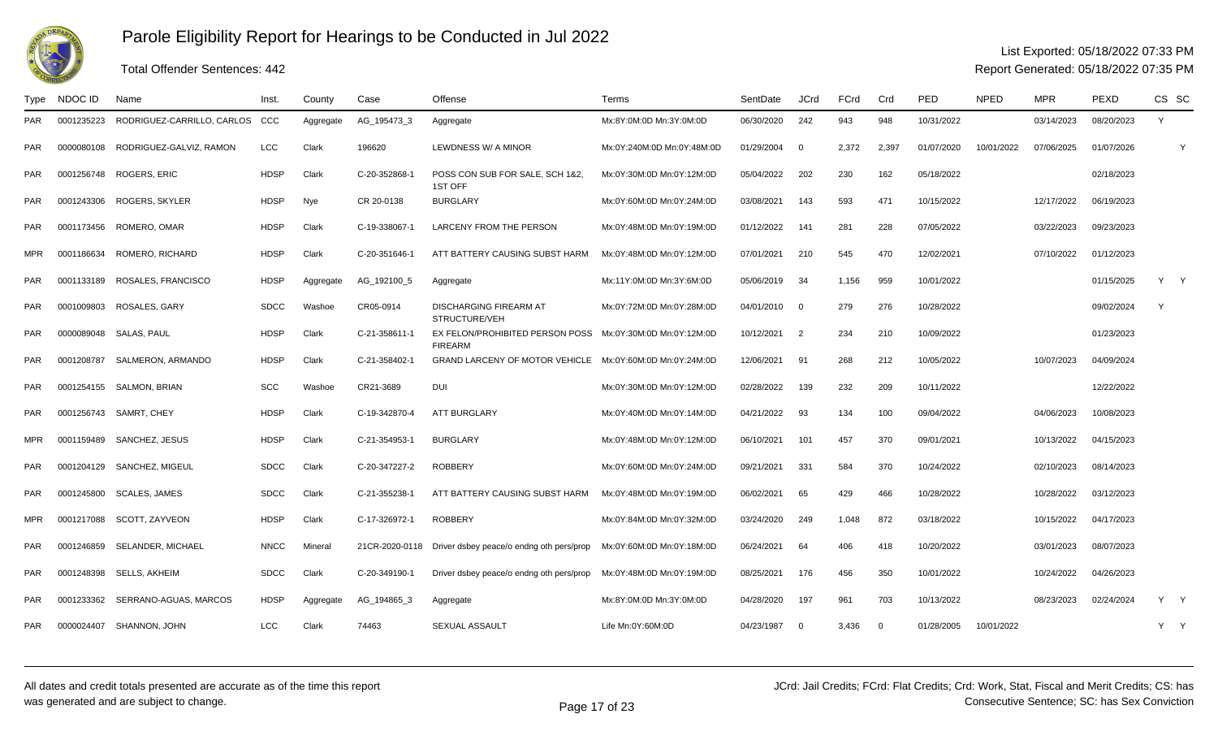

### Total Offender Sentences: 442

### List Exported: 05/18/2022 07:33 PM

| Type       | NDOC ID    | Name                       | lnst.       | County    | Case           | Offense                                                                     | Terms                      | SentDate     | <b>JCrd</b>    | <b>FCrd</b> | Crd            | PED        | <b>NPED</b> | <b>MPR</b> | <b>PEXD</b> | CS SC |              |
|------------|------------|----------------------------|-------------|-----------|----------------|-----------------------------------------------------------------------------|----------------------------|--------------|----------------|-------------|----------------|------------|-------------|------------|-------------|-------|--------------|
| <b>PAR</b> | 0001235223 | RODRIGUEZ-CARRILLO, CARLOS | CCC         | Aggregate | AG_195473_3    | Aggregate                                                                   | Mx:8Y:0M:0D Mn:3Y:0M:0D    | 06/30/2020   | 242            | 943         | 948            | 10/31/2022 |             | 03/14/2023 | 08/20/2023  | Y     |              |
| <b>PAR</b> | 0000080108 | RODRIGUEZ-GALVIZ, RAMON    | <b>LCC</b>  | Clark     | 196620         | LEWDNESS W/ A MINOR                                                         | Mx:0Y:240M:0D Mn:0Y:48M:0D | 01/29/2004   | $\Omega$       | 2.372       | 2.397          | 01/07/2020 | 10/01/2022  | 07/06/2025 | 01/07/2026  |       | $\mathbf{v}$ |
| <b>PAR</b> |            | 0001256748 ROGERS, ERIC    | <b>HDSP</b> | Clark     | C-20-352868-1  | POSS CON SUB FOR SALE, SCH 1&2,<br>1ST OFF                                  | Mx:0Y:30M:0D Mn:0Y:12M:0D  | 05/04/2022   | 202            | 230         | 162            | 05/18/2022 |             |            | 02/18/2023  |       |              |
| <b>PAR</b> | 0001243306 | ROGERS, SKYLER             | <b>HDSP</b> | Nye       | CR 20-0138     | <b>BURGLARY</b>                                                             | Mx:0Y:60M:0D Mn:0Y:24M:0D  | 03/08/2021   | 143            | 593         | 471            | 10/15/2022 |             | 12/17/2022 | 06/19/2023  |       |              |
| <b>PAR</b> | 0001173456 | ROMERO, OMAR               | <b>HDSP</b> | Clark     | C-19-338067-1  | <b>LARCENY FROM THE PERSON</b>                                              | Mx:0Y:48M:0D Mn:0Y:19M:0D  | 01/12/2022   | 141            | 281         | 228            | 07/05/2022 |             | 03/22/2023 | 09/23/2023  |       |              |
| <b>MPR</b> | 0001186634 | ROMERO, RICHARD            | <b>HDSP</b> | Clark     | C-20-351646-1  | ATT BATTERY CAUSING SUBST HARM                                              | Mx:0Y:48M:0D Mn:0Y:12M:0D  | 07/01/2021   | 210            | 545         | 470            | 12/02/2021 |             | 07/10/2022 | 01/12/2023  |       |              |
| <b>PAR</b> | 0001133189 | ROSALES, FRANCISCO         | <b>HDSP</b> | Aggregate | AG_192100_5    | Aggregate                                                                   | Mx:11Y:0M:0D Mn:3Y:6M:0D   | 05/06/2019   | -34            | 1,156       | 959            | 10/01/2022 |             |            | 01/15/2025  | Y Y   |              |
| <b>PAR</b> | 0001009803 | ROSALES, GARY              | <b>SDCC</b> | Washoe    | CR05-0914      | <b>DISCHARGING FIREARM AT</b><br>STRUCTURE/VEH                              | Mx:0Y:72M:0D Mn:0Y:28M:0D  | 04/01/2010 0 |                | 279         | 276            | 10/28/2022 |             |            | 09/02/2024  | Y     |              |
| <b>PAR</b> | 0000089048 | SALAS, PAUL                | <b>HDSP</b> | Clark     | C-21-358611-1  | EX FELON/PROHIBITED PERSON POSS Mx:0Y:30M:0D Mn:0Y:12M:0D<br><b>FIREARM</b> |                            | 10/12/2021   | $\overline{2}$ | 234         | 210            | 10/09/2022 |             |            | 01/23/2023  |       |              |
| <b>PAR</b> | 0001208787 | SALMERON, ARMANDO          | <b>HDSP</b> | Clark     | C-21-358402-1  | GRAND LARCENY OF MOTOR VEHICLE Mx:0Y:60M:0D Mn:0Y:24M:0D                    |                            | 12/06/2021   | 91             | 268         | 212            | 10/05/2022 |             | 10/07/2023 | 04/09/2024  |       |              |
| <b>PAR</b> | 0001254155 | SALMON, BRIAN              | <b>SCC</b>  | Washoe    | CR21-3689      | <b>DUI</b>                                                                  | Mx:0Y:30M:0D Mn:0Y:12M:0D  | 02/28/2022   | 139            | 232         | 209            | 10/11/2022 |             |            | 12/22/2022  |       |              |
| <b>PAR</b> | 0001256743 | SAMRT, CHEY                | <b>HDSP</b> | Clark     | C-19-342870-4  | <b>ATT BURGLARY</b>                                                         | Mx:0Y:40M:0D Mn:0Y:14M:0D  | 04/21/2022   | 93             | 134         | 100            | 09/04/2022 |             | 04/06/2023 | 10/08/2023  |       |              |
| <b>MPR</b> | 0001159489 | SANCHEZ, JESUS             | <b>HDSP</b> | Clark     | C-21-354953-1  | <b>BURGLARY</b>                                                             | Mx:0Y:48M:0D Mn:0Y:12M:0D  | 06/10/2021   | 101            | 457         | 370            | 09/01/2021 |             | 10/13/2022 | 04/15/2023  |       |              |
| <b>PAR</b> |            | 0001204129 SANCHEZ, MIGEUL | <b>SDCC</b> | Clark     | C-20-347227-2  | <b>ROBBERY</b>                                                              | Mx:0Y:60M:0D Mn:0Y:24M:0D  | 09/21/2021   | 331            | 584         | 370            | 10/24/2022 |             | 02/10/2023 | 08/14/2023  |       |              |
| <b>PAR</b> | 0001245800 | SCALES, JAMES              | <b>SDCC</b> | Clark     | C-21-355238-   | ATT BATTERY CAUSING SUBST HARM                                              | Mx:0Y:48M:0D Mn:0Y:19M:0D  | 06/02/2021   | 65             | 429         | 466            | 10/28/2022 |             | 10/28/2022 | 03/12/2023  |       |              |
| <b>MPR</b> | 0001217088 | SCOTT, ZAYVEON             | <b>HDSP</b> | Clark     | C-17-326972-1  | <b>ROBBERY</b>                                                              | Mx:0Y:84M:0D Mn:0Y:32M:0D  | 03/24/2020   | 249            | 1,048       | 872            | 03/18/2022 |             | 10/15/2022 | 04/17/2023  |       |              |
| <b>PAR</b> | 0001246859 | SELANDER, MICHAEL          | <b>NNCC</b> | Mineral   | 21CR-2020-0118 | Driver dsbey peace/o endng oth pers/prop                                    | Mx:0Y:60M:0D Mn:0Y:18M:0D  | 06/24/2021   | 64             | 406         | 418            | 10/20/2022 |             | 03/01/2023 | 08/07/2023  |       |              |
| <b>PAR</b> | 0001248398 | SELLS, AKHEIM              | <b>SDCC</b> | Clark     | C-20-349190-1  | Driver dsbey peace/o endng oth pers/prop                                    | Mx:0Y:48M:0D Mn:0Y:19M:0D  | 08/25/2021   | 176            | 456         | 350            | 10/01/2022 |             | 10/24/2022 | 04/26/2023  |       |              |
| <b>PAR</b> | 0001233362 | SERRANO-AGUAS, MARCOS      | <b>HDSP</b> | Aggregate | AG_194865_3    | Aggregate                                                                   | Mx:8Y:0M:0D Mn:3Y:0M:0D    | 04/28/2020   | 197            | 961         | 703            | 10/13/2022 |             | 08/23/2023 | 02/24/2024  | Y Y   |              |
| PAR        | 0000024407 | SHANNON, JOHN              | LCC         | Clark     | 74463          | <b>SEXUAL ASSAULT</b>                                                       | Life Mn:0Y:60M:0D          | 04/23/1987   | $\overline{0}$ | 3,436       | $\overline{0}$ | 01/28/2005 | 10/01/2022  |            |             | Y.    | $\mathsf{Y}$ |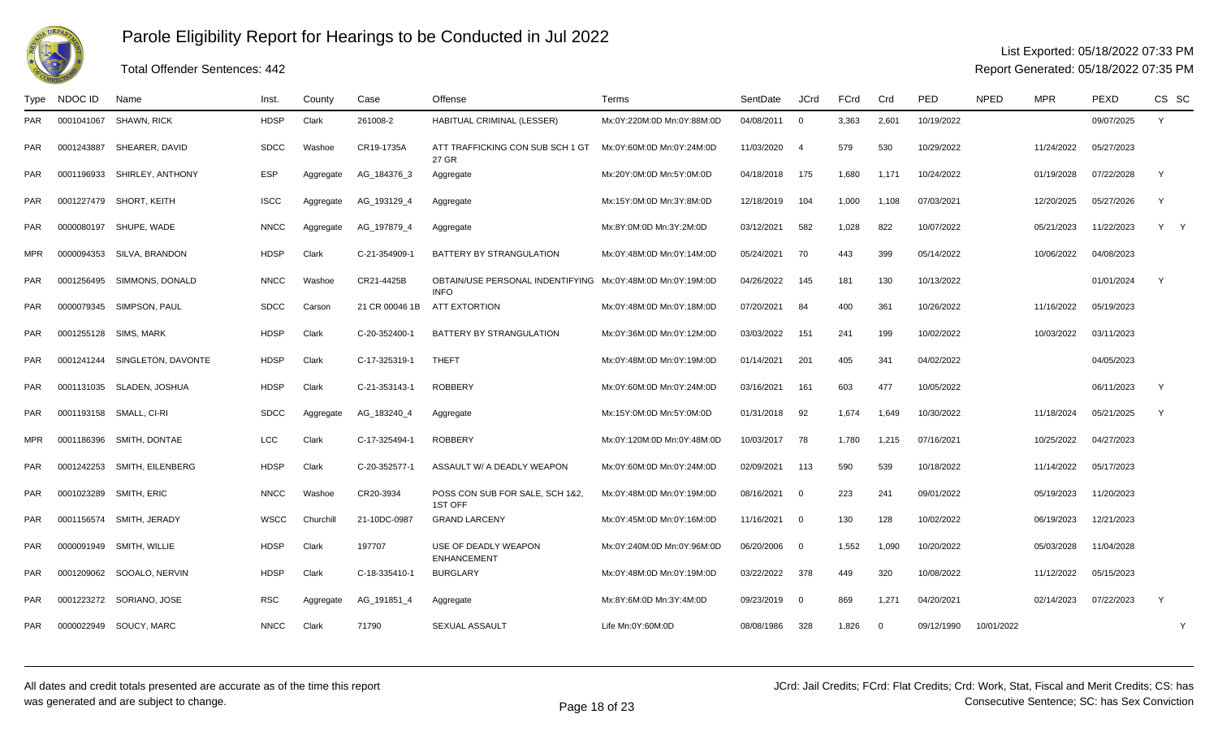

#### List Exported: 05/18/2022 07:33 PM

Report Generated: 05/18/2022 07:35 PM

#### Type NDOC IDD Name Ninst. County Case Offense New Terms Network SentDate JCrd FCrd Crd PED NPED MPR PEXD CS SC PAR <sup>0001041067</sup> SHAWN, RICK HDSP Clark 261008-2 HABITUAL CRIMINAL (LESSER) Mx:0Y:220M:0D Mn:0Y:88M:0D 04/08/2011 <sup>0</sup> 3,363 2,601 10/19/2022 09/07/2025 <sup>Y</sup> PAR <sup>0001243887</sup> SHEARER, DAVID SDCC Washoe CR19-1735A ATT TRAFFICKING CON SUB SCH 1 GT 27 GRMx:0Y:60M:0D Mn:0Y:24M:0D 11/03/2020 <sup>4</sup> <sup>579</sup> <sup>530</sup> 10/29/2022 11/24/2022 05/27/2023 PARR 0001196933 SHIRLEY, ANTHONY ESP Aggregate AG\_184376\_3 Aggregate Mx:20Y:0M:0D Mn:5Y:0M:0D 04/18/2018 175 1,680 1,171 10/24/2022 07/19/2028 07/22/2028 Y PARR 0001227479 SHORT, KEITH ISCC Aggregate AG\_193129\_4 Aggregate Mx:15Y:0M:0D Mn:3Y:8M:0D 12/18/2019 104 1,000 1,108 07/03/2021 12/20/2025 05/27/2026 Y PARR 0000080197 SHUPE, WADE NNCC Aggregate AG\_197879\_4 Aggregate Mx:8Y:0M:0D Mn:3Y:2M:0D 03/12/2021 582 1,028 822 10/07/2022 05/21/2023 MPR <sup>0000094353</sup> SILVA, BRANDON HDSP Clark C-21-354909-1 BATTERY BY STRANGULATION Mx:0Y:48M:0D Mn:0Y:14M:0D 05/24/2021 <sup>70</sup> <sup>443</sup> <sup>399</sup> 05/14/2022 10/06/2022 04/08/2023 PARR 0001256495 SIMMONS, DONALD NNCC Washoe CR21-4425B OBTAIN/USE PERSONAL INDENTIFYING Mx:0Y:48M:0D Mn:0Y:19M:0D INFO**ATT EXTORTION** D 04/26/2022 145 181 130 10/13/2022 201 101/01/2024 Y PAR <sup>0000079345</sup> SIMPSON, PAUL SDCC Carson 21 CR 00046 1B ATT EXTORTION Mx:0Y:48M:0D Mn:0Y:18M:0D 07/20/2021 <sup>84</sup> <sup>400</sup> <sup>361</sup> 10/26/2022 11/16/2022 05/19/2023 PAR <sup>0001255128</sup> SIMS, MARK HDSP Clark C-20-352400-1 BATTERY BY STRANGULATION Mx:0Y:36M:0D Mn:0Y:12M:0D 03/03/2022 <sup>151</sup> <sup>241</sup> <sup>199</sup> 10/02/2022 10/03/2022 03/11/2023 PAR <sup>0001241244</sup> SINGLETON, DAVONTE HDSP Clark C-17-325319-1 THEFT Mx:0Y:48M:0D Mn:0Y:19M:0D 01/14/2021 <sup>201</sup> <sup>405</sup> <sup>341</sup> 04/02/2022 04/05/2023 PAR <sup>0001131035</sup> SLADEN, JOSHUA HDSP Clark C-21-353143-1 ROBBERY Mx:0Y:60M:0D Mn:0Y:24M:0D 03/16/2021 <sup>161</sup> <sup>603</sup> <sup>477</sup> 10/05/2022 06/11/2023 <sup>Y</sup> PARR 0001193158 SMALL, CI-RI SDCC Aggregate AG\_183240\_4 Aggregate Mx:15Y:0M:0D Mn:5Y:0M:0D 01/31/2018 92 1,674 1,649 10/30/2022 11/18/2024 05/21/2025 Y MPR <sup>0001186396</sup> SMITH, DONTAE LCC Clark C-17-325494-1 ROBBERY Mx:0Y:120M:0D Mn:0Y:48M:0D 10/03/2017 <sup>78</sup> 1,780 1,215 07/16/2021 10/25/2022 04/27/2023 PAR <sup>0001242253</sup> SMITH, EILENBERG HDSP Clark C-20-352577-1 ASSAULT W/ A DEADLY WEAPON Mx:0Y:60M:0D Mn:0Y:24M:0D 02/09/2021 <sup>113</sup> <sup>590</sup> <sup>539</sup> 10/18/2022 11/14/2022 05/17/2023 PAR0001023289 SMITH, ERIC NORTH NNCC Washoe CR20-3934 POSS CON SUB FOR SALE, SCH 1&2 1ST OFFMx:0Y:48M:0D Mn:0Y:19M:0D 08/16/2021 <sup>0</sup> <sup>223</sup> <sup>241</sup> 09/01/2022 05/19/2023 11/20/2023 PARR 0001156574 SMITH, JERADY WSCC Churchill 21-10DC-0987 GRAND LARCENY Mx:0Y:45M:0D Mn:0Y:16M:0D 11/16/2021 0 130 128 10/02/2022 06/19/2023 12/21/2023 PAR0000091949 SMITH, WILLIE HDSP Clark 197707 USE OF DEADLY WEAPON **ENHANCEMENT** Mx:0Y:240M:0D Mn:0Y:96M:0D 06/20/2006 <sup>0</sup> 1,552 1,090 10/20/2022 05/03/2028 11/04/2028 PAR <sup>0001209062</sup> SOOALO, NERVIN HDSP Clark C-18-335410-1 BURGLARY Mx:0Y:48M:0D Mn:0Y:19M:0D 03/22/2022 <sup>378</sup> <sup>449</sup> <sup>320</sup> 10/08/2022 11/12/2022 05/15/2023 PARR 0001223272 SORIANO, JOSE RSC Aggregate AG\_191851\_4 Aggregate Mx:8Y:6M:0D Mn:3Y:4M:0D 09/23/2019 0 869 1,271 04/20/2021 02/14/2023 07/22/2023 Y PARR 0000022949 SOUCY, MARC NNCC Clark 71790 SEXUAL ASSAULT Life Mn:0Y:60M:0D 08/08/1986 328 1,826 0 09/12/1990 10/01/2022 Y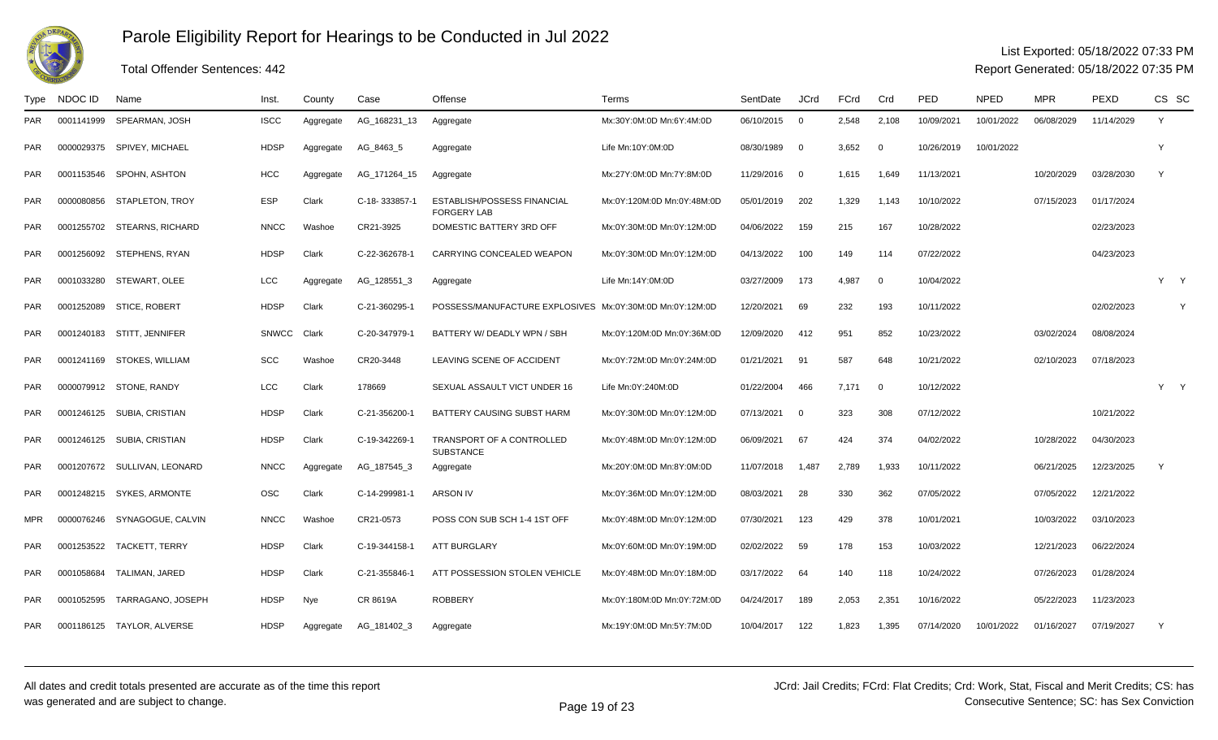

### Total Offender Sentences: 442

### List Exported: 05/18/2022 07:33 PM

| Type       | NDOC ID    | Name                         | Inst.       | County    | Case          | Offense                                                  | Terms                      | SentDate     | <b>JCrd</b>             | FCrd  | Crd         | PED        | <b>NPED</b> | <b>MPR</b> | PEXD       | CS SC |   |
|------------|------------|------------------------------|-------------|-----------|---------------|----------------------------------------------------------|----------------------------|--------------|-------------------------|-------|-------------|------------|-------------|------------|------------|-------|---|
| <b>PAR</b> | 0001141999 | SPEARMAN, JOSH               | <b>ISCC</b> | Aggregate | AG_168231_13  | Aggregate                                                | Mx:30Y:0M:0D Mn:6Y:4M:0D   | 06/10/2015   | $\overline{\mathbf{0}}$ | 2,548 | 2,108       | 10/09/2021 | 10/01/2022  | 06/08/2029 | 11/14/2029 | Y     |   |
| <b>PAR</b> |            | 0000029375 SPIVEY, MICHAEL   | <b>HDSP</b> | Aggregate | AG_8463_5     | Aggregate                                                | Life Mn:10Y:0M:0D          | 08/30/1989   | $\overline{\mathbf{0}}$ | 3,652 | $\mathbf 0$ | 10/26/2019 | 10/01/2022  |            |            | Y     |   |
| <b>PAR</b> |            | 0001153546 SPOHN, ASHTON     | <b>HCC</b>  | Aggregate | AG_171264_15  | Aggregate                                                | Mx:27Y:0M:0D Mn:7Y:8M:0D   | 11/29/2016 0 |                         | 1,615 | 1,649       | 11/13/2021 |             | 10/20/2029 | 03/28/2030 | Y     |   |
| <b>PAR</b> |            | 0000080856 STAPLETON, TROY   | ESP         | Clark     | C-18-333857-1 | <b>ESTABLISH/POSSESS FINANCIAL</b><br><b>FORGERY LAB</b> | Mx:0Y:120M:0D Mn:0Y:48M:0D | 05/01/2019   | 202                     | 1,329 | 1,143       | 10/10/2022 |             | 07/15/2023 | 01/17/2024 |       |   |
| <b>PAR</b> |            | 0001255702 STEARNS, RICHARD  | <b>NNCC</b> | Washoe    | CR21-3925     | DOMESTIC BATTERY 3RD OFF                                 | Mx:0Y:30M:0D Mn:0Y:12M:0D  | 04/06/2022   | 159                     | 215   | 167         | 10/28/2022 |             |            | 02/23/2023 |       |   |
| <b>PAR</b> |            | 0001256092 STEPHENS, RYAN    | <b>HDSP</b> | Clark     | C-22-362678-1 | CARRYING CONCEALED WEAPON                                | Mx:0Y:30M:0D Mn:0Y:12M:0D  | 04/13/2022   | 100                     | 149   | 114         | 07/22/2022 |             |            | 04/23/2023 |       |   |
| <b>PAR</b> | 0001033280 | STEWART, OLEE                | LCC         | Aggregate | AG_128551_3   | Aggregate                                                | Life Mn:14Y:0M:0D          | 03/27/2009   | 173                     | 4.987 | $\mathbf 0$ | 10/04/2022 |             |            |            | Y Y   |   |
| <b>PAR</b> |            | 0001252089 STICE, ROBERT     | <b>HDSP</b> | Clark     | C-21-360295-1 | POSSESS/MANUFACTURE EXPLOSIVES Mx:0Y:30M:0D Mn:0Y:12M:0D |                            | 12/20/2021   | 69                      | 232   | 193         | 10/11/2022 |             |            | 02/02/2023 |       | Y |
| <b>PAR</b> |            | 0001240183 STITT, JENNIFER   | SNWCC       | Clark     | C-20-347979-1 | BATTERY W/ DEADLY WPN / SBH                              | Mx:0Y:120M:0D Mn:0Y:36M:0D | 12/09/2020   | 412                     | 951   | 852         | 10/23/2022 |             | 03/02/2024 | 08/08/2024 |       |   |
| <b>PAR</b> |            | 0001241169 STOKES, WILLIAM   | <b>SCC</b>  | Washoe    | CR20-3448     | LEAVING SCENE OF ACCIDENT                                | Mx:0Y:72M:0D Mn:0Y:24M:0D  | 01/21/2021   | - 91                    | 587   | 648         | 10/21/2022 |             | 02/10/2023 | 07/18/2023 |       |   |
| <b>PAR</b> |            | 0000079912 STONE, RANDY      | <b>LCC</b>  | Clark     | 178669        | SEXUAL ASSAULT VICT UNDER 16                             | Life Mn:0Y:240M:0D         | 01/22/2004   | 466                     | 7,171 | $\mathbf 0$ | 10/12/2022 |             |            |            | Y     |   |
| <b>PAR</b> | 0001246125 | SUBIA, CRISTIAN              | <b>HDSP</b> | Clark     | C-21-356200-  | BATTERY CAUSING SUBST HARM                               | Mx:0Y:30M:0D Mn:0Y:12M:0D  | 07/13/2021   | - 0                     | 323   | 308         | 07/12/2022 |             |            | 10/21/2022 |       |   |
| <b>PAR</b> |            | 0001246125 SUBIA, CRISTIAN   | <b>HDSP</b> | Clark     | C-19-342269-1 | TRANSPORT OF A CONTROLLED<br><b>SUBSTANCE</b>            | Mx:0Y:48M:0D Mn:0Y:12M:0D  | 06/09/2021   | 67                      | 424   | 374         | 04/02/2022 |             | 10/28/2022 | 04/30/2023 |       |   |
| <b>PAR</b> |            | 0001207672 SULLIVAN, LEONARD | <b>NNCC</b> | Aggregate | AG_187545_3   | Aggregate                                                | Mx:20Y:0M:0D Mn:8Y:0M:0D   | 11/07/2018   | 1,487                   | 2,789 | 1,933       | 10/11/2022 |             | 06/21/2025 | 12/23/2025 | Y     |   |
| <b>PAR</b> |            | 0001248215 SYKES, ARMONTE    | <b>OSC</b>  | Clark     | C-14-299981-1 | <b>ARSON IV</b>                                          | Mx:0Y:36M:0D Mn:0Y:12M:0D  | 08/03/2021   | 28                      | 330   | 362         | 07/05/2022 |             | 07/05/2022 | 12/21/2022 |       |   |
| <b>MPR</b> |            | 0000076246 SYNAGOGUE, CALVIN | <b>NNCC</b> | Washoe    | CR21-0573     | POSS CON SUB SCH 1-4 1ST OFF                             | Mx:0Y:48M:0D Mn:0Y:12M:0D  | 07/30/2021   | 123                     | 429   | 378         | 10/01/2021 |             | 10/03/2022 | 03/10/2023 |       |   |
| <b>PAR</b> |            | 0001253522 TACKETT, TERRY    | <b>HDSP</b> | Clark     | C-19-344158-1 | <b>ATT BURGLARY</b>                                      | Mx:0Y:60M:0D Mn:0Y:19M:0D  | 02/02/2022   | 59                      | 178   | 153         | 10/03/2022 |             | 12/21/2023 | 06/22/2024 |       |   |
| <b>PAR</b> | 0001058684 | TALIMAN, JARED               | <b>HDSP</b> | Clark     | C-21-355846-1 | ATT POSSESSION STOLEN VEHICLE                            | Mx:0Y:48M:0D Mn:0Y:18M:0D  | 03/17/2022   | 64                      | 140   | 118         | 10/24/2022 |             | 07/26/2023 | 01/28/2024 |       |   |
| <b>PAR</b> | 0001052595 | TARRAGANO, JOSEPH            | <b>HDSP</b> | Nye       | CR 8619A      | <b>ROBBERY</b>                                           | Mx:0Y:180M:0D Mn:0Y:72M:0D | 04/24/2017   | 189                     | 2,053 | 2,351       | 10/16/2022 |             | 05/22/2023 | 11/23/2023 |       |   |
| <b>PAR</b> |            | 0001186125 TAYLOR, ALVERSE   | <b>HDSP</b> | Aggregate | AG_181402_3   | Aggregate                                                | Mx:19Y:0M:0D Mn:5Y:7M:0D   | 10/04/2017   | 122                     | 1,823 | 1,395       | 07/14/2020 | 10/01/2022  | 01/16/2027 | 07/19/2027 | Y     |   |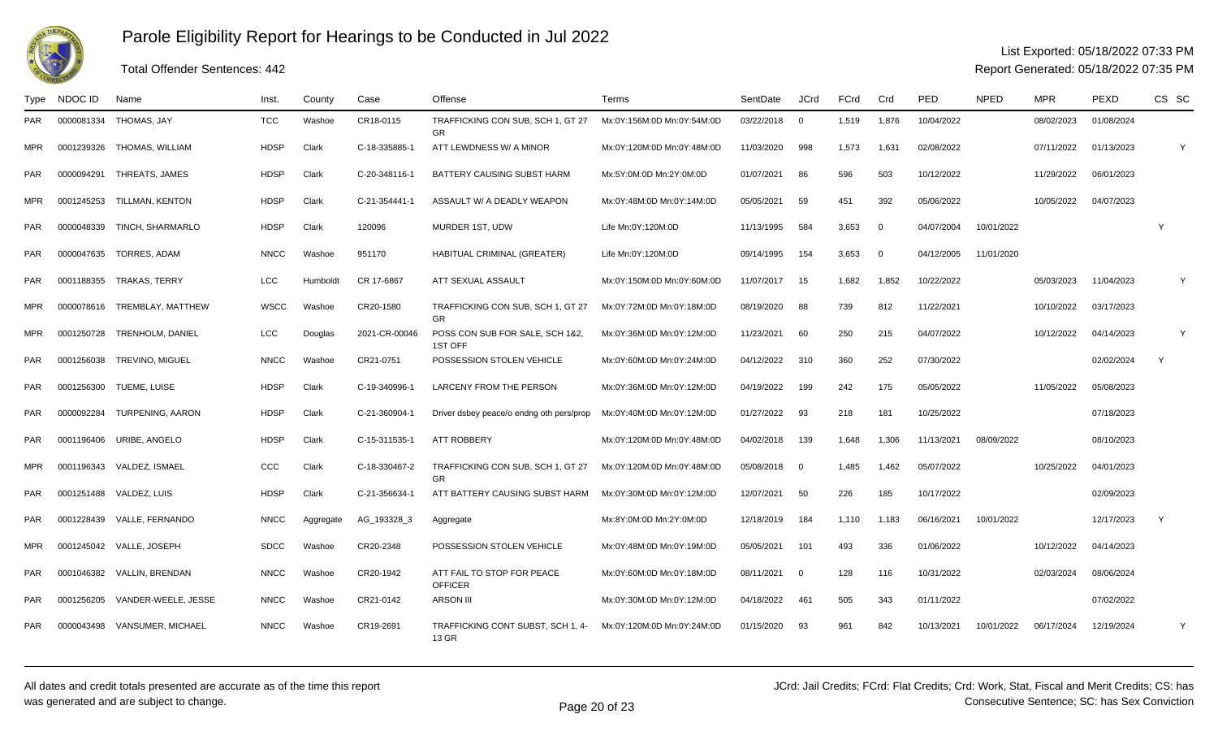

## Total Offender Sentences: 442

### List Exported: 05/18/2022 07:33 PM

| Type       | NDOC ID    | Name                         | Inst.       | County    | Case          | Offense                                        | Terms                      | SentDate     | <b>JCrd</b>              | FCrd  | Crd            | <b>PED</b> | <b>NPED</b> | <b>MPR</b> | <b>PEXD</b> | CS SC        |   |
|------------|------------|------------------------------|-------------|-----------|---------------|------------------------------------------------|----------------------------|--------------|--------------------------|-------|----------------|------------|-------------|------------|-------------|--------------|---|
| <b>PAR</b> | 0000081334 | THOMAS, JAY                  | <b>TCC</b>  | Washoe    | CR18-0115     | TRAFFICKING CON SUB. SCH 1. GT 27<br><b>GR</b> | Mx:0Y:156M:0D Mn:0Y:54M:0D | 03/22/2018 0 |                          | 1.519 | 1,876          | 10/04/2022 |             | 08/02/2023 | 01/08/2024  |              |   |
| MPR.       |            | 0001239326 THOMAS, WILLIAM   | <b>HDSP</b> | Clark     | C-18-335885-1 | ATT LEWDNESS W/ A MINOR                        | Mx:0Y:120M:0D Mn:0Y:48M:0D | 11/03/2020   | 998                      | 1,573 | 1,631          | 02/08/2022 |             | 07/11/2022 | 01/13/2023  |              | Y |
| <b>PAR</b> | 0000094291 | THREATS, JAMES               | <b>HDSP</b> | Clark     | C-20-348116-1 | BATTERY CAUSING SUBST HARM                     | Mx:5Y:0M:0D Mn:2Y:0M:0D    | 01/07/2021   | 86                       | 596   | 503            | 10/12/2022 |             | 11/29/2022 | 06/01/2023  |              |   |
| MPR.       | 0001245253 | TILLMAN, KENTON              | <b>HDSP</b> | Clark     | C-21-354441-1 | ASSAULT W/ A DEADLY WEAPON                     | Mx:0Y:48M:0D Mn:0Y:14M:0D  | 05/05/2021   | 59                       | 451   | 392            | 05/06/2022 |             | 10/05/2022 | 04/07/2023  |              |   |
| <b>PAR</b> | 0000048339 | TINCH, SHARMARLO             | <b>HDSP</b> | Clark     | 120096        | MURDER 1ST, UDW                                | Life Mn:0Y:120M:0D         | 11/13/1995   | 584                      | 3,653 | $\mathbf 0$    | 04/07/2004 | 10/01/2022  |            |             | $\mathsf{Y}$ |   |
| <b>PAR</b> | 0000047635 | TORRES, ADAM                 | <b>NNCC</b> | Washoe    | 951170        | HABITUAL CRIMINAL (GREATER)                    | Life Mn:0Y:120M:0D         | 09/14/1995   | 154                      | 3,653 | $\overline{0}$ | 04/12/2005 | 11/01/2020  |            |             |              |   |
| PAR        |            | 0001188355 TRAKAS, TERRY     | LCC         | Humboldt  | CR 17-6867    | ATT SEXUAL ASSAULT                             | Mx:0Y:150M:0D Mn:0Y:60M:0D | 11/07/2017   | 15                       | 1,682 | 1,852          | 10/22/2022 |             | 05/03/2023 | 11/04/2023  |              | Y |
| <b>MPR</b> |            | 0000078616 TREMBLAY, MATTHEW | WSCC        | Washoe    | CR20-1580     | TRAFFICKING CON SUB, SCH 1, GT 27<br><b>GR</b> | Mx:0Y:72M:0D Mn:0Y:18M:0D  | 08/19/2020   | 88                       | 739   | 812            | 11/22/2021 |             | 10/10/2022 | 03/17/2023  |              |   |
| <b>MPR</b> |            | 0001250728 TRENHOLM, DANIEL  | <b>LCC</b>  | Douglas   | 2021-CR-00046 | POSS CON SUB FOR SALE, SCH 1&2,<br>1ST OFF     | Mx:0Y:36M:0D Mn:0Y:12M:0D  | 11/23/2021   | 60                       | 250   | 215            | 04/07/2022 |             | 10/12/2022 | 04/14/2023  |              | Y |
| <b>PAR</b> | 0001256038 | <b>TREVINO, MIGUEL</b>       | <b>NNCC</b> | Washoe    | CR21-0751     | POSSESSION STOLEN VEHICLE                      | Mx:0Y:60M:0D Mn:0Y:24M:0D  | 04/12/2022   | 310                      | 360   | 252            | 07/30/2022 |             |            | 02/02/2024  | Y            |   |
| <b>PAR</b> | 0001256300 | TUEME, LUISE                 | <b>HDSP</b> | Clark     | C-19-340996-1 | LARCENY FROM THE PERSON                        | Mx:0Y:36M:0D Mn:0Y:12M:0D  | 04/19/2022   | 199                      | 242   | 175            | 05/05/2022 |             | 11/05/2022 | 05/08/2023  |              |   |
| <b>PAR</b> |            | 0000092284 TURPENING, AARON  | <b>HDSP</b> | Clark     | C-21-360904-1 | Driver dsbey peace/o endng oth pers/prop       | Mx:0Y:40M:0D Mn:0Y:12M:0D  | 01/27/2022   | 93                       | 218   | 181            | 10/25/2022 |             |            | 07/18/2023  |              |   |
| <b>PAR</b> |            | 0001196406 URIBE, ANGELO     | <b>HDSP</b> | Clark     | C-15-311535-1 | <b>ATT ROBBERY</b>                             | Mx:0Y:120M:0D Mn:0Y:48M:0D | 04/02/2018   | 139                      | 1,648 | 1,306          | 11/13/2021 | 08/09/2022  |            | 08/10/2023  |              |   |
| <b>MPR</b> |            | 0001196343 VALDEZ, ISMAEL    | CCC         | Clark     | C-18-330467-2 | TRAFFICKING CON SUB, SCH 1, GT 27<br>GR        | Mx:0Y:120M:0D Mn:0Y:48M:0D | 05/08/2018 0 |                          | 1,485 | 1,462          | 05/07/2022 |             | 10/25/2022 | 04/01/2023  |              |   |
| <b>PAR</b> | 0001251488 | VALDEZ, LUIS                 | <b>HDSP</b> | Clark     | C-21-356634-1 | ATT BATTERY CAUSING SUBST HARM                 | Mx:0Y:30M:0D Mn:0Y:12M:0D  | 12/07/2021   | 50                       | 226   | 185            | 10/17/2022 |             |            | 02/09/2023  |              |   |
| <b>PAR</b> |            | 0001228439 VALLE, FERNANDO   | <b>NNCC</b> | Aggregate | AG 193328 3   | Aggregate                                      | Mx:8Y:0M:0D Mn:2Y:0M:0D    | 12/18/2019   | 184                      | 1,110 | 1,183          | 06/16/2021 | 10/01/2022  |            | 12/17/2023  | Y            |   |
| <b>MPR</b> |            | 0001245042 VALLE, JOSEPH     | <b>SDCC</b> | Washoe    | CR20-2348     | POSSESSION STOLEN VEHICLE                      | Mx:0Y:48M:0D Mn:0Y:19M:0D  | 05/05/2021   | 101                      | 493   | 336            | 01/06/2022 |             | 10/12/2022 | 04/14/2023  |              |   |
| <b>PAR</b> |            | 0001046382 VALLIN, BRENDAN   | <b>NNCC</b> | Washoe    | CR20-1942     | ATT FAIL TO STOP FOR PEACE<br><b>OFFICER</b>   | Mx:0Y:60M:0D Mn:0Y:18M:0D  | 08/11/2021   | $\overline{\phantom{0}}$ | 128   | 116            | 10/31/2022 |             | 02/03/2024 | 08/06/2024  |              |   |
| <b>PAR</b> | 0001256205 | VANDER-WEELE, JESSE          | <b>NNCC</b> | Washoe    | CR21-0142     | <b>ARSON III</b>                               | Mx:0Y:30M:0D Mn:0Y:12M:0D  | 04/18/2022   | 461                      | 505   | 343            | 01/11/2022 |             |            | 07/02/2022  |              |   |
| <b>PAR</b> | 0000043498 | <b>VANSUMER, MICHAEL</b>     | <b>NNCC</b> | Washoe    | CR19-2691     | TRAFFICKING CONT SUBST, SCH 1, 4-<br>13 GR     | Mx:0Y:120M:0D Mn:0Y:24M:0D | 01/15/2020   | 93                       | 961   | 842            | 10/13/2021 | 10/01/2022  | 06/17/2024 | 12/19/2024  |              | Y |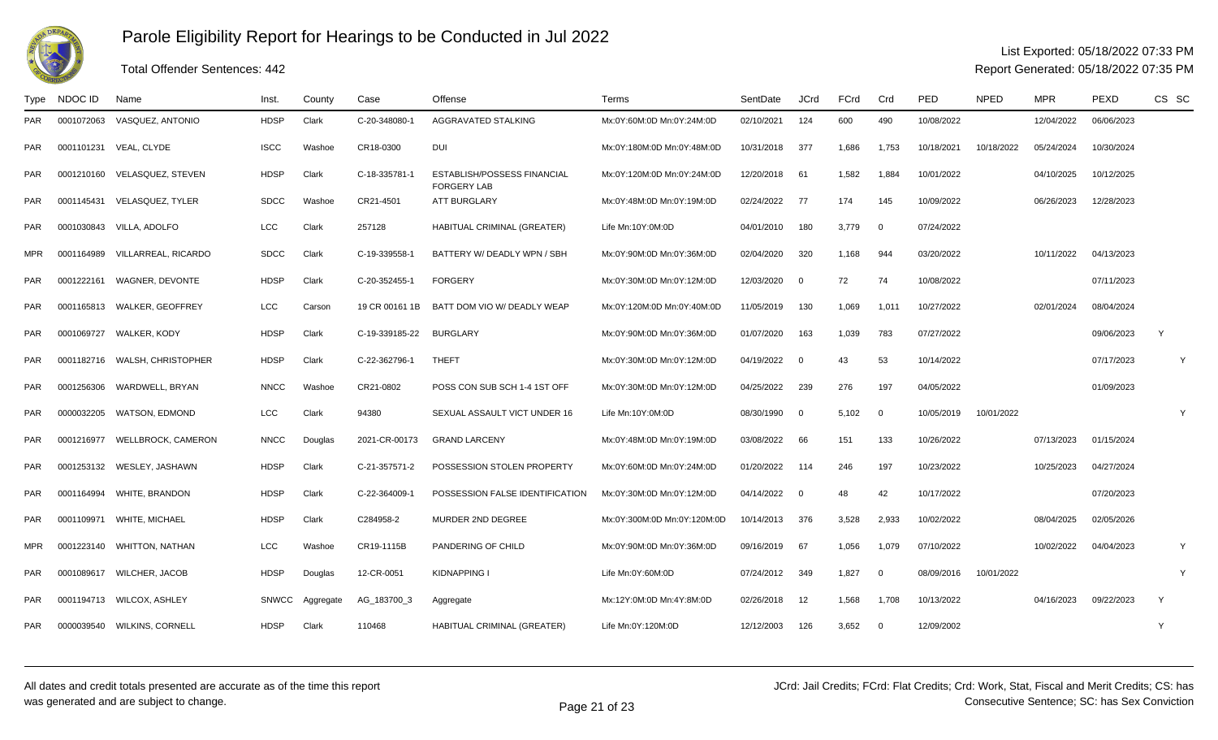

## Total Offender Sentences: 442

#### List Exported: 05/18/2022 07:33 PM

| Type       | NDOC ID    | Name                          | Inst.        | County    | Case           | Offense                                                  | Terms                       | SentDate   | <b>JCrd</b>              | FCrd  | Crd            | <b>PED</b> | <b>NPED</b> | <b>MPR</b> | PEXD       | CS SC |
|------------|------------|-------------------------------|--------------|-----------|----------------|----------------------------------------------------------|-----------------------------|------------|--------------------------|-------|----------------|------------|-------------|------------|------------|-------|
| <b>PAR</b> | 0001072063 | VASQUEZ, ANTONIO              | <b>HDSP</b>  | Clark     | C-20-348080-1  | AGGRAVATED STALKING                                      | Mx:0Y:60M:0D Mn:0Y:24M:0D   | 02/10/2021 | 124                      | 600   | 490            | 10/08/2022 |             | 12/04/2022 | 06/06/2023 |       |
| <b>PAR</b> | 0001101231 | VEAL, CLYDE                   | <b>ISCC</b>  | Washoe    | CR18-0300      | DUI                                                      | Mx:0Y:180M:0D Mn:0Y:48M:0D  | 10/31/2018 | 377                      | 1,686 | 1,753          | 10/18/2021 | 10/18/2022  | 05/24/2024 | 10/30/2024 |       |
| PAR.       |            | 0001210160 VELASQUEZ, STEVEN  | <b>HDSP</b>  | Clark     | C-18-335781-1  | <b>ESTABLISH/POSSESS FINANCIAL</b><br><b>FORGERY LAB</b> | Mx:0Y:120M:0D Mn:0Y:24M:0D  | 12/20/2018 | 61                       | 1,582 | 1,884          | 10/01/2022 |             | 04/10/2025 | 10/12/2025 |       |
| <b>PAR</b> | 0001145431 | VELASQUEZ, TYLER              | <b>SDCC</b>  | Washoe    | CR21-4501      | <b>ATT BURGLARY</b>                                      | Mx:0Y:48M:0D Mn:0Y:19M:0D   | 02/24/2022 | - 77                     | 174   | 145            | 10/09/2022 |             | 06/26/2023 | 12/28/2023 |       |
| <b>PAR</b> |            | 0001030843 VILLA, ADOLFO      | LCC          | Clark     | 257128         | HABITUAL CRIMINAL (GREATER)                              | Life Mn:10Y:0M:0D           | 04/01/2010 | 180                      | 3,779 | $\overline{0}$ | 07/24/2022 |             |            |            |       |
| <b>MPR</b> | 0001164989 | VILLARREAL, RICARDO           | <b>SDCC</b>  | Clark     | C-19-339558-   | BATTERY W/ DEADLY WPN / SBH                              | Mx:0Y:90M:0D Mn:0Y:36M:0D   | 02/04/2020 | 320                      | 1,168 | 944            | 03/20/2022 |             | 10/11/2022 | 04/13/2023 |       |
| <b>PAR</b> | 0001222161 | WAGNER, DEVONTE               | <b>HDSP</b>  | Clark     | C-20-352455-1  | <b>FORGERY</b>                                           | Mx:0Y:30M:0D Mn:0Y:12M:0D   | 12/03/2020 | $\overline{0}$           | 72    | 74             | 10/08/2022 |             |            | 07/11/2023 |       |
| <b>PAR</b> |            | 0001165813 WALKER, GEOFFREY   | LCC          | Carson    | 19 CR 00161 1B | BATT DOM VIO W/ DEADLY WEAP                              | Mx:0Y:120M:0D Mn:0Y:40M:0D  | 11/05/2019 | 130                      | 1,069 | 1,011          | 10/27/2022 |             | 02/01/2024 | 08/04/2024 |       |
| <b>PAR</b> |            | 0001069727 WALKER, KODY       | <b>HDSP</b>  | Clark     | C-19-339185-22 | <b>BURGLARY</b>                                          | Mx:0Y:90M:0D Mn:0Y:36M:0D   | 01/07/2020 | 163                      | 1,039 | 783            | 07/27/2022 |             |            | 09/06/2023 | Y     |
| <b>PAR</b> |            | 0001182716 WALSH, CHRISTOPHER | <b>HDSP</b>  | Clark     | C-22-362796-1  | <b>THEFT</b>                                             | Mx:0Y:30M:0D Mn:0Y:12M:0D   | 04/19/2022 | $\overline{\phantom{0}}$ | 43    | 53             | 10/14/2022 |             |            | 07/17/2023 | Y     |
| <b>PAR</b> | 0001256306 | WARDWELL, BRYAN               | <b>NNCC</b>  | Washoe    | CR21-0802      | POSS CON SUB SCH 1-4 1ST OFF                             | Mx:0Y:30M:0D Mn:0Y:12M:0D   | 04/25/2022 | 239                      | 276   | 197            | 04/05/2022 |             |            | 01/09/2023 |       |
| <b>PAR</b> | 0000032205 | <b>WATSON, EDMOND</b>         | LCC          | Clark     | 94380          | SEXUAL ASSAULT VICT UNDER 16                             | Life Mn:10Y:0M:0D           | 08/30/1990 | $\overline{\mathbf{0}}$  | 5,102 | $\overline{0}$ | 10/05/2019 | 10/01/2022  |            |            | Y     |
| <b>PAR</b> | 0001216977 | <b>WELLBROCK, CAMERON</b>     | <b>NNCC</b>  | Douglas   | 2021-CR-00173  | <b>GRAND LARCENY</b>                                     | Mx:0Y:48M:0D Mn:0Y:19M:0D   | 03/08/2022 | 66                       | 151   | 133            | 10/26/2022 |             | 07/13/2023 | 01/15/2024 |       |
| <b>PAR</b> |            | 0001253132 WESLEY, JASHAWN    | <b>HDSP</b>  | Clark     | C-21-357571-2  | POSSESSION STOLEN PROPERTY                               | Mx:0Y:60M:0D Mn:0Y:24M:0D   | 01/20/2022 | - 114                    | 246   | 197            | 10/23/2022 |             | 10/25/2023 | 04/27/2024 |       |
| <b>PAR</b> |            | 0001164994 WHITE, BRANDON     | <b>HDSP</b>  | Clark     | C-22-364009-1  | POSSESSION FALSE IDENTIFICATION                          | Mx:0Y:30M:0D Mn:0Y:12M:0D   | 04/14/2022 | $\overline{\mathbf{0}}$  | 48    | 42             | 10/17/2022 |             |            | 07/20/2023 |       |
| PAR.       |            | 0001109971 WHITE, MICHAEL     | <b>HDSP</b>  | Clark     | C284958-2      | MURDER 2ND DEGREE                                        | Mx:0Y:300M:0D Mn:0Y:120M:0D | 10/14/2013 | 376                      | 3,528 | 2,933          | 10/02/2022 |             | 08/04/2025 | 02/05/2026 |       |
| MPR        |            | 0001223140 WHITTON, NATHAN    | LCC          | Washoe    | CR19-1115B     | PANDERING OF CHILD                                       | Mx:0Y:90M:0D Mn:0Y:36M:0D   | 09/16/2019 | 67                       | 1,056 | 1,079          | 07/10/2022 |             | 10/02/2022 | 04/04/2023 | Y     |
| <b>PAR</b> | 0001089617 | WILCHER, JACOB                | <b>HDSP</b>  | Douglas   | 12-CR-0051     | <b>KIDNAPPING I</b>                                      | Life Mn:0Y:60M:0D           | 07/24/2012 | 349                      | 1,827 | $\overline{0}$ | 08/09/2016 | 10/01/2022  |            |            | Y     |
| <b>PAR</b> |            | 0001194713 WILCOX, ASHLEY     | <b>SNWCC</b> | Aggregate | AG_183700_3    | Aggregate                                                | Mx:12Y:0M:0D Mn:4Y:8M:0D    | 02/26/2018 | 12                       | 1,568 | 1,708          | 10/13/2022 |             | 04/16/2023 | 09/22/2023 | Y     |
| <b>PAR</b> |            | 0000039540 WILKINS, CORNELL   | <b>HDSP</b>  | Clark     | 110468         | HABITUAL CRIMINAL (GREATER)                              | Life Mn:0Y:120M:0D          | 12/12/2003 | 126                      | 3,652 | $\overline{0}$ | 12/09/2002 |             |            |            | Y     |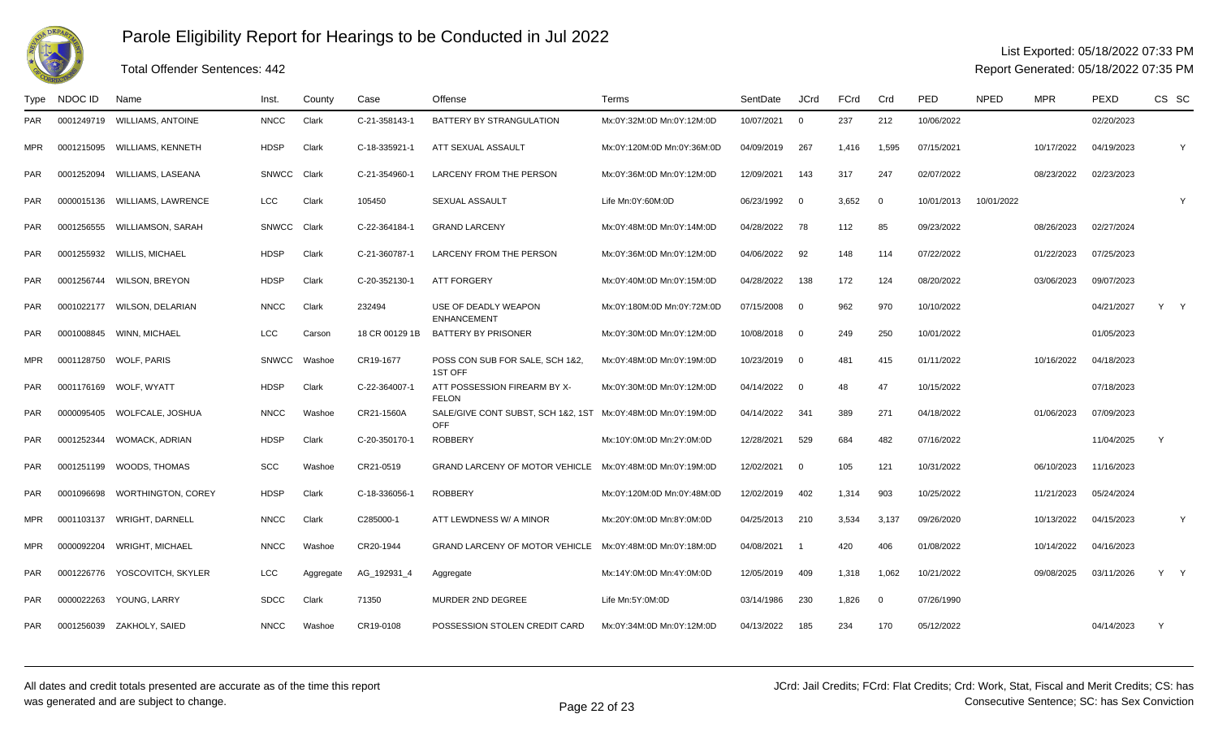

### Total Offender Sentences: 442

### List Exported: 05/18/2022 07:33 PM

| Type       | NDOC ID    | Name                          | Inst.        | County    | Case           | Offense                                      | Terms                      | SentDate   | <b>JCrd</b>              | FCrd  | Crd            | PED        | <b>NPED</b> | <b>MPR</b> | PEXD       | CS SC        |   |
|------------|------------|-------------------------------|--------------|-----------|----------------|----------------------------------------------|----------------------------|------------|--------------------------|-------|----------------|------------|-------------|------------|------------|--------------|---|
| <b>PAR</b> | 0001249719 | <b>WILLIAMS, ANTOINE</b>      | <b>NNCC</b>  | Clark     | C-21-358143-1  | BATTERY BY STRANGULATION                     | Mx:0Y:32M:0D Mn:0Y:12M:0D  | 10/07/2021 | $\overline{0}$           | 237   | 212            | 10/06/2022 |             |            | 02/20/2023 |              |   |
| MPR        | 0001215095 | WILLIAMS, KENNETH             | <b>HDSP</b>  | Clark     | C-18-335921-1  | ATT SEXUAL ASSAULT                           | Mx:0Y:120M:0D Mn:0Y:36M:0D | 04/09/2019 | 267                      | 1,416 | 1,595          | 07/15/2021 |             | 10/17/2022 | 04/19/2023 |              | Y |
| <b>PAR</b> |            | 0001252094 WILLIAMS, LASEANA  | <b>SNWCC</b> | Clark     | C-21-354960-1  | <b>LARCENY FROM THE PERSON</b>               | Mx:0Y:36M:0D Mn:0Y:12M:0D  | 12/09/2021 | 143                      | 317   | 247            | 02/07/2022 |             | 08/23/2022 | 02/23/2023 |              |   |
| <b>PAR</b> |            | 0000015136 WILLIAMS, LAWRENCE | <b>LCC</b>   | Clark     | 105450         | <b>SEXUAL ASSAULT</b>                        | Life Mn:0Y:60M:0D          | 06/23/1992 | $\overline{\mathbf{0}}$  | 3,652 | $\overline{0}$ | 10/01/2013 | 10/01/2022  |            |            |              | Y |
| <b>PAR</b> | 0001256555 | WILLIAMSON, SARAH             | <b>SNWCC</b> | Clark     | C-22-364184-1  | <b>GRAND LARCENY</b>                         | Mx:0Y:48M:0D Mn:0Y:14M:0D  | 04/28/2022 | 78                       | 112   | 85             | 09/23/2022 |             | 08/26/2023 | 02/27/2024 |              |   |
| <b>PAR</b> | 0001255932 | WILLIS, MICHAEL               | <b>HDSP</b>  | Clark     | C-21-360787-1  | LARCENY FROM THE PERSON                      | Mx:0Y:36M:0D Mn:0Y:12M:0D  | 04/06/2022 | 92                       | 148   | 114            | 07/22/2022 |             | 01/22/2023 | 07/25/2023 |              |   |
| <b>PAR</b> | 0001256744 | <b>WILSON, BREYON</b>         | <b>HDSP</b>  | Clark     | C-20-352130-1  | <b>ATT FORGERY</b>                           | Mx:0Y:40M:0D Mn:0Y:15M:0D  | 04/28/2022 | 138                      | 172   | 124            | 08/20/2022 |             | 03/06/2023 | 09/07/2023 |              |   |
| <b>PAR</b> |            | 0001022177 WILSON, DELARIAN   | <b>NNCC</b>  | Clark     | 232494         | USE OF DEADLY WEAPON<br><b>ENHANCEMENT</b>   | Mx:0Y:180M:0D Mn:0Y:72M:0D | 07/15/2008 | $\overline{\mathbf{0}}$  | 962   | 970            | 10/10/2022 |             |            | 04/21/2027 | Y Y          |   |
| <b>PAR</b> |            | 0001008845 WINN, MICHAEL      | LCC          | Carson    | 18 CR 00129 1B | <b>BATTERY BY PRISONER</b>                   | Mx:0Y:30M:0D Mn:0Y:12M:0D  | 10/08/2018 | $\overline{0}$           | 249   | 250            | 10/01/2022 |             |            | 01/05/2023 |              |   |
| MPR        |            | 0001128750 WOLF, PARIS        | <b>SNWCC</b> | Washoe    | CR19-1677      | POSS CON SUB FOR SALE, SCH 1&2,<br>1ST OFF   | Mx:0Y:48M:0D Mn:0Y:19M:0D  | 10/23/2019 | $\overline{0}$           | 481   | 415            | 01/11/2022 |             | 10/16/2022 | 04/18/2023 |              |   |
| <b>PAR</b> |            | 0001176169 WOLF, WYATT        | <b>HDSP</b>  | Clark     | C-22-364007-1  | ATT POSSESSION FIREARM BY X-<br><b>FELON</b> | Mx:0Y:30M:0D Mn:0Y:12M:0D  | 04/14/2022 | $\overline{\phantom{0}}$ | 48    | 47             | 10/15/2022 |             |            | 07/18/2023 |              |   |
| <b>PAR</b> | 0000095405 | WOLFCALE, JOSHUA              | <b>NNCC</b>  | Washoe    | CR21-1560A     | SALE/GIVE CONT SUBST, SCH 1&2, 1ST<br>OFF    | Mx:0Y:48M:0D Mn:0Y:19M:0D  | 04/14/2022 | -341                     | 389   | 271            | 04/18/2022 |             | 01/06/2023 | 07/09/2023 |              |   |
| <b>PAR</b> | 0001252344 | WOMACK, ADRIAN                | <b>HDSP</b>  | Clark     | C-20-350170-1  | <b>ROBBERY</b>                               | Mx:10Y:0M:0D Mn:2Y:0M:0D   | 12/28/2021 | 529                      | 684   | 482            | 07/16/2022 |             |            | 11/04/2025 | Y            |   |
| <b>PAR</b> |            | 0001251199 WOODS, THOMAS      | <b>SCC</b>   | Washoe    | CR21-0519      | <b>GRAND LARCENY OF MOTOR VEHICLE</b>        | Mx:0Y:48M:0D Mn:0Y:19M:0D  | 12/02/2021 | $\overline{0}$           | 105   | 121            | 10/31/2022 |             | 06/10/2023 | 11/16/2023 |              |   |
| <b>PAR</b> | 0001096698 | <b>WORTHINGTON, COREY</b>     | <b>HDSP</b>  | Clark     | C-18-336056-1  | <b>ROBBERY</b>                               | Mx:0Y:120M:0D Mn:0Y:48M:0D | 12/02/2019 | 402                      | 1,314 | 903            | 10/25/2022 |             | 11/21/2023 | 05/24/2024 |              |   |
| <b>MPR</b> | 0001103137 | <b>WRIGHT, DARNELL</b>        | <b>NNCC</b>  | Clark     | C285000-1      | ATT LEWDNESS W/ A MINOR                      | Mx:20Y:0M:0D Mn:8Y:0M:0D   | 04/25/2013 | 210                      | 3,534 | 3,137          | 09/26/2020 |             | 10/13/2022 | 04/15/2023 |              | Y |
| MPR.       | 0000092204 | <b>WRIGHT, MICHAEL</b>        | <b>NNCC</b>  | Washoe    | CR20-1944      | GRAND LARCENY OF MOTOR VEHICLE               | Mx:0Y:48M:0D Mn:0Y:18M:0D  | 04/08/2021 | - 1                      | 420   | 406            | 01/08/2022 |             | 10/14/2022 | 04/16/2023 |              |   |
| <b>PAR</b> | 0001226776 | YOSCOVITCH, SKYLER            | LCC          | Aggregate | AG_192931_4    | Aggregate                                    | Mx:14Y:0M:0D Mn:4Y:0M:0D   | 12/05/2019 | 409                      | 1,318 | 1,062          | 10/21/2022 |             | 09/08/2025 | 03/11/2026 | Y Y          |   |
| <b>PAR</b> | 0000022263 | YOUNG, LARRY                  | <b>SDCC</b>  | Clark     | 71350          | MURDER 2ND DEGREE                            | Life Mn:5Y:0M:0D           | 03/14/1986 | 230                      | 1,826 | $\overline{0}$ | 07/26/1990 |             |            |            |              |   |
| <b>PAR</b> | 0001256039 | ZAKHOLY. SAIED                | <b>NNCC</b>  | Washoe    | CR19-0108      | POSSESSION STOLEN CREDIT CARD                | Mx:0Y:34M:0D Mn:0Y:12M:0D  | 04/13/2022 | 185                      | 234   | 170            | 05/12/2022 |             |            | 04/14/2023 | $\mathsf{Y}$ |   |